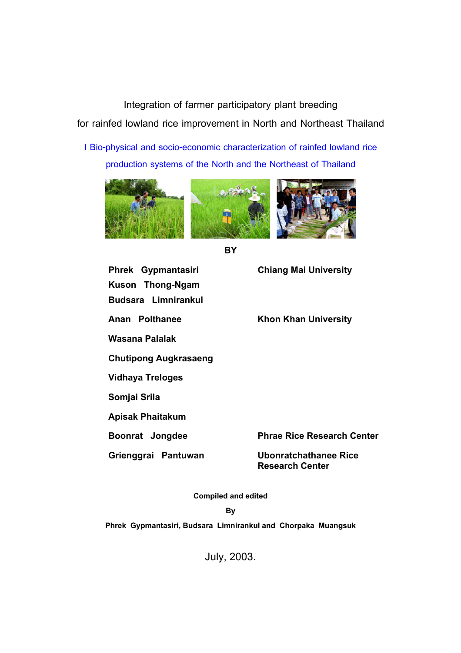**Integration of farmer participatory plant breeding for rainfed lowland rice improvement in North and Northeast Thailand**

**I Bio-physical and socio-economic characterization of rainfed lowland rice production systems of the North and the Northeast of Thailand**





**BY** 

**Phrek Gypmantasiri Chiang Mai University Kuson Thong-Ngam Budsara Limnirankul**  Anan Polthanee Khon Khan University **Wasana Palalak Chutipong Augkrasaeng Vidhaya Treloges Somjai Srila Apisak Phaitakum Boonrat Jongdee Phrae Rice Research Center Grienggrai Pantuwan Ubonratchathanee Rice** 

**Research Center** 

**Compiled and edited** 

**By** 

**Phrek Gypmantasiri, Budsara Limnirankul and Chorpaka Muangsuk** 

July, 2003.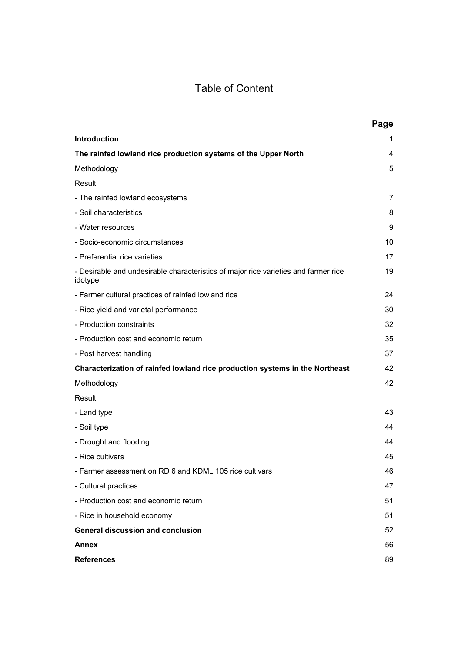# Table of Content

|                                                                                                | Page |
|------------------------------------------------------------------------------------------------|------|
| <b>Introduction</b>                                                                            | 1    |
| The rainfed lowland rice production systems of the Upper North                                 | 4    |
| Methodology                                                                                    | 5    |
| Result                                                                                         |      |
| - The rainfed lowland ecosystems                                                               | 7    |
| - Soil characteristics                                                                         | 8    |
| - Water resources                                                                              | 9    |
| - Socio-economic circumstances                                                                 | 10   |
| - Preferential rice varieties                                                                  | 17   |
| - Desirable and undesirable characteristics of major rice varieties and farmer rice<br>idotype | 19   |
| - Farmer cultural practices of rainfed lowland rice                                            | 24   |
| - Rice yield and varietal performance                                                          | 30   |
| - Production constraints                                                                       | 32   |
| - Production cost and economic return                                                          | 35   |
| - Post harvest handling                                                                        | 37   |
| Characterization of rainfed lowland rice production systems in the Northeast                   | 42   |
| Methodology                                                                                    | 42   |
| Result                                                                                         |      |
| - Land type                                                                                    | 43   |
| - Soil type                                                                                    | 44   |
| - Drought and flooding                                                                         | 44   |
| - Rice cultivars                                                                               | 45   |
| - Farmer assessment on RD 6 and KDML 105 rice cultivars                                        | 46   |
| - Cultural practices                                                                           | 47   |
| - Production cost and economic return                                                          | 51   |
| - Rice in household economy                                                                    | 51   |
| <b>General discussion and conclusion</b>                                                       | 52   |
| <b>Annex</b>                                                                                   | 56   |
| <b>References</b>                                                                              | 89   |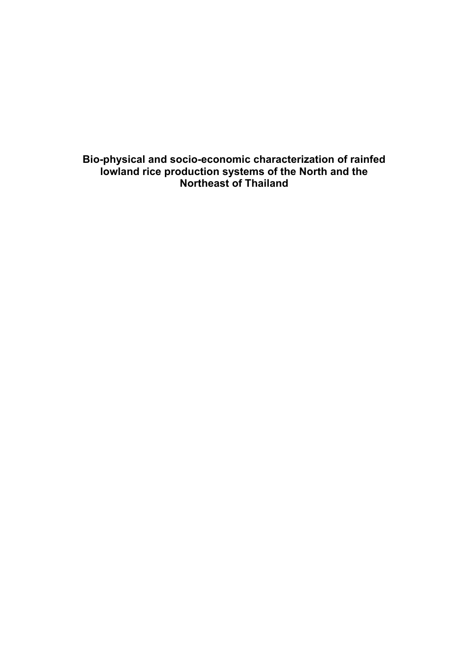**Bio-physical and socio-economic characterization of rainfed lowland rice production systems of the North and the Northeast of Thailand**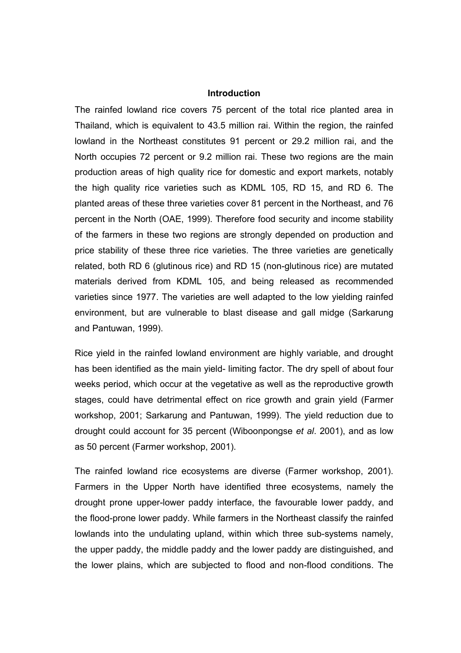#### **Introduction**

The rainfed lowland rice covers 75 percent of the total rice planted area in Thailand, which is equivalent to 43.5 million rai. Within the region, the rainfed lowland in the Northeast constitutes 91 percent or 29.2 million rai, and the North occupies 72 percent or 9.2 million rai. These two regions are the main production areas of high quality rice for domestic and export markets, notably the high quality rice varieties such as KDML 105, RD 15, and RD 6. The planted areas of these three varieties cover 81 percent in the Northeast, and 76 percent in the North (OAE, 1999). Therefore food security and income stability of the farmers in these two regions are strongly depended on production and price stability of these three rice varieties. The three varieties are genetically related, both RD 6 (glutinous rice) and RD 15 (non-glutinous rice) are mutated materials derived from KDML 105, and being released as recommended varieties since 1977. The varieties are well adapted to the low yielding rainfed environment, but are vulnerable to blast disease and gall midge (Sarkarung and Pantuwan, 1999).

Rice yield in the rainfed lowland environment are highly variable, and drought has been identified as the main yield- limiting factor. The dry spell of about four weeks period, which occur at the vegetative as well as the reproductive growth stages, could have detrimental effect on rice growth and grain yield (Farmer workshop, 2001; Sarkarung and Pantuwan, 1999). The yield reduction due to drought could account for 35 percent (Wiboonpongse *et al*. 2001), and as low as 50 percent (Farmer workshop, 2001).

The rainfed lowland rice ecosystems are diverse (Farmer workshop, 2001). Farmers in the Upper North have identified three ecosystems, namely the drought prone upper-lower paddy interface, the favourable lower paddy, and the flood-prone lower paddy. While farmers in the Northeast classify the rainfed lowlands into the undulating upland, within which three sub-systems namely, the upper paddy, the middle paddy and the lower paddy are distinguished, and the lower plains, which are subjected to flood and non-flood conditions. The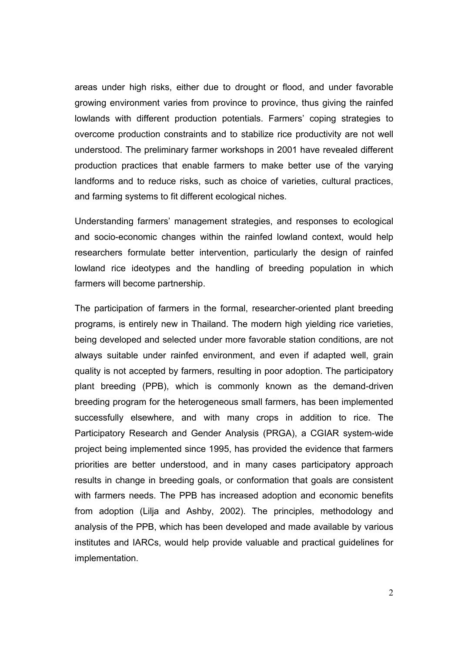areas under high risks, either due to drought or flood, and under favorable growing environment varies from province to province, thus giving the rainfed lowlands with different production potentials. Farmers' coping strategies to overcome production constraints and to stabilize rice productivity are not well understood. The preliminary farmer workshops in 2001 have revealed different production practices that enable farmers to make better use of the varying landforms and to reduce risks, such as choice of varieties, cultural practices, and farming systems to fit different ecological niches.

Understanding farmers' management strategies, and responses to ecological and socio-economic changes within the rainfed lowland context, would help researchers formulate better intervention, particularly the design of rainfed lowland rice ideotypes and the handling of breeding population in which farmers will become partnership.

The participation of farmers in the formal, researcher-oriented plant breeding programs, is entirely new in Thailand. The modern high yielding rice varieties, being developed and selected under more favorable station conditions, are not always suitable under rainfed environment, and even if adapted well, grain quality is not accepted by farmers, resulting in poor adoption. The participatory plant breeding (PPB), which is commonly known as the demand-driven breeding program for the heterogeneous small farmers, has been implemented successfully elsewhere, and with many crops in addition to rice. The Participatory Research and Gender Analysis (PRGA), a CGIAR system-wide project being implemented since 1995, has provided the evidence that farmers priorities are better understood, and in many cases participatory approach results in change in breeding goals, or conformation that goals are consistent with farmers needs. The PPB has increased adoption and economic benefits from adoption (Lilja and Ashby, 2002). The principles, methodology and analysis of the PPB, which has been developed and made available by various institutes and IARCs, would help provide valuable and practical guidelines for implementation.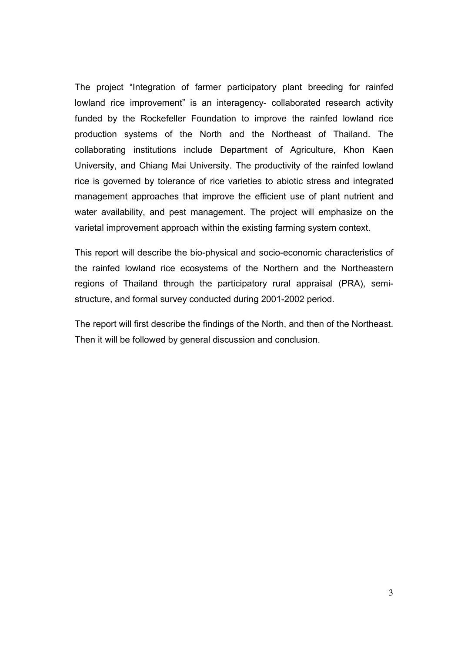The project "Integration of farmer participatory plant breeding for rainfed lowland rice improvement" is an interagency- collaborated research activity funded by the Rockefeller Foundation to improve the rainfed lowland rice production systems of the North and the Northeast of Thailand. The collaborating institutions include Department of Agriculture, Khon Kaen University, and Chiang Mai University. The productivity of the rainfed lowland rice is governed by tolerance of rice varieties to abiotic stress and integrated management approaches that improve the efficient use of plant nutrient and water availability, and pest management. The project will emphasize on the varietal improvement approach within the existing farming system context.

This report will describe the bio-physical and socio-economic characteristics of the rainfed lowland rice ecosystems of the Northern and the Northeastern regions of Thailand through the participatory rural appraisal (PRA), semistructure, and formal survey conducted during 2001-2002 period.

The report will first describe the findings of the North, and then of the Northeast. Then it will be followed by general discussion and conclusion.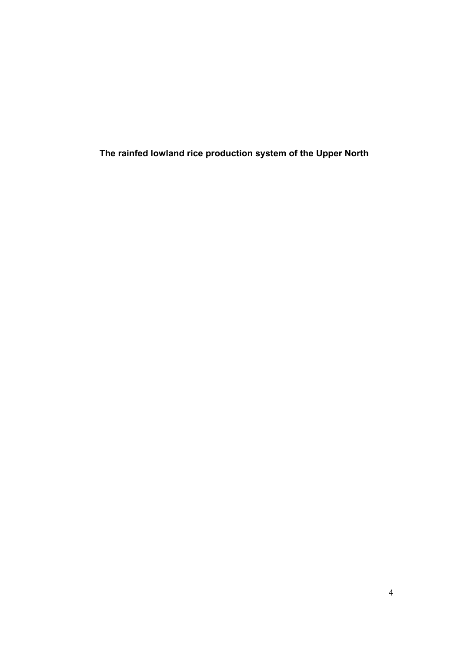**The rainfed lowland rice production system of the Upper North**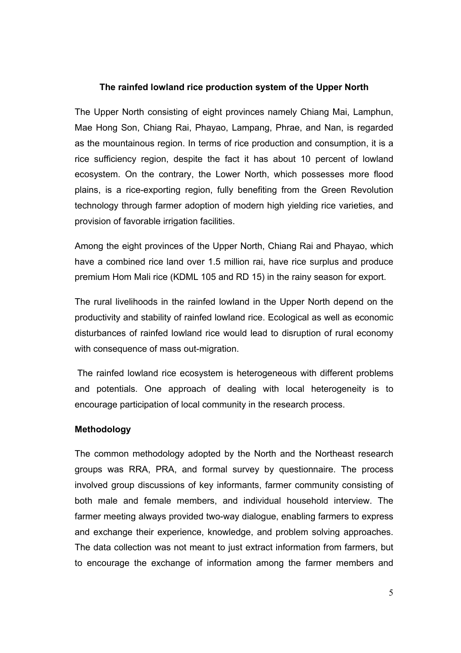# **The rainfed lowland rice production system of the Upper North**

The Upper North consisting of eight provinces namely Chiang Mai, Lamphun, Mae Hong Son, Chiang Rai, Phayao, Lampang, Phrae, and Nan, is regarded as the mountainous region. In terms of rice production and consumption, it is a rice sufficiency region, despite the fact it has about 10 percent of lowland ecosystem. On the contrary, the Lower North, which possesses more flood plains, is a rice-exporting region, fully benefiting from the Green Revolution technology through farmer adoption of modern high yielding rice varieties, and provision of favorable irrigation facilities.

Among the eight provinces of the Upper North, Chiang Rai and Phayao, which have a combined rice land over 1.5 million rai, have rice surplus and produce premium Hom Mali rice (KDML 105 and RD 15) in the rainy season for export.

The rural livelihoods in the rainfed lowland in the Upper North depend on the productivity and stability of rainfed lowland rice. Ecological as well as economic disturbances of rainfed lowland rice would lead to disruption of rural economy with consequence of mass out-migration.

 The rainfed lowland rice ecosystem is heterogeneous with different problems and potentials. One approach of dealing with local heterogeneity is to encourage participation of local community in the research process.

# **Methodology**

The common methodology adopted by the North and the Northeast research groups was RRA, PRA, and formal survey by questionnaire. The process involved group discussions of key informants, farmer community consisting of both male and female members, and individual household interview. The farmer meeting always provided two-way dialogue, enabling farmers to express and exchange their experience, knowledge, and problem solving approaches. The data collection was not meant to just extract information from farmers, but to encourage the exchange of information among the farmer members and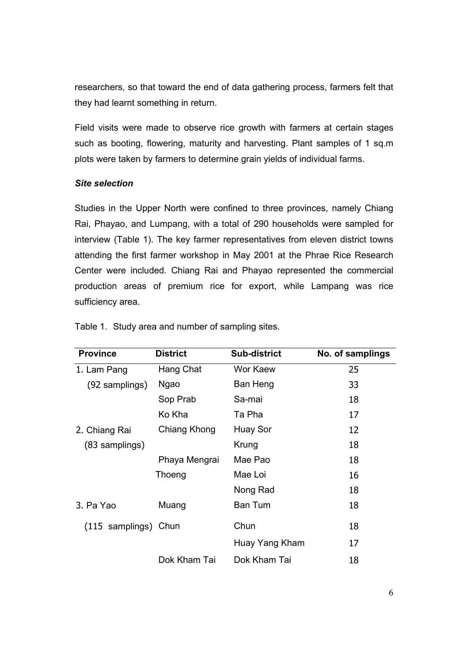researchers, so that toward the end of data gathering process, farmers felt that they had learnt something in return.

Field visits were made to observe rice growth with farmers at certain stages such as booting, flowering, maturity and harvesting. Plant samples of 1 sq.m plots were taken by farmers to determine grain yields of individual farms.

# *Site selection*

Studies in the Upper North were confined to three provinces, namely Chiang Rai, Phayao, and Lumpang, with a total of 290 households were sampled for interview (Table 1). The key farmer representatives from eleven district towns attending the first farmer workshop in May 2001 at the Phrae Rice Research Center were included. Chiang Rai and Phayao represented the commercial production areas of premium rice for export, while Lampang was rice sufficiency area.

| <b>Province</b>      | <b>District</b> | <b>Sub-district</b> | No. of samplings |
|----------------------|-----------------|---------------------|------------------|
| 1. Lam Pang          | Hang Chat       | Wor Kaew            | 25               |
| (92 samplings)       | <b>Ngao</b>     | Ban Heng            | 33               |
|                      | Sop Prab        | Sa-mai              | 18               |
|                      | Ko Kha          | Ta Pha              | 17               |
| 2. Chiang Rai        | Chiang Khong    | Huay Sor            | 12               |
| (83 samplings)       |                 | Krung               | 18               |
|                      | Phaya Mengrai   | Mae Pao             | 18               |
|                      | Thoeng          | Mae Loi             | 16               |
|                      |                 | Nong Rad            | 18               |
| 3. Pa Yao            | Muang           | <b>Ban Tum</b>      | 18               |
| (115 samplings) Chun |                 | Chun                | 18               |
|                      |                 | Huay Yang Kham      | 17               |
|                      | Dok Kham Tai    | Dok Kham Tai        | 18               |

Table 1. Study area and number of sampling sites.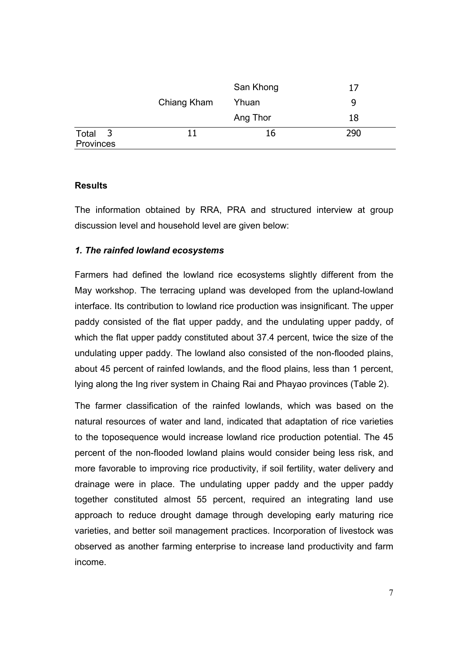|                      |             | San Khong | 17  |
|----------------------|-------------|-----------|-----|
|                      | Chiang Kham | Yhuan     | 9   |
|                      |             | Ang Thor  | 18  |
| Total 3<br>Provinces | 11          | 16        | 290 |

# **Results**

The information obtained by RRA, PRA and structured interview at group discussion level and household level are given below:

# *1. The rainfed lowland ecosystems*

Farmers had defined the lowland rice ecosystems slightly different from the May workshop. The terracing upland was developed from the upland-lowland interface. Its contribution to lowland rice production was insignificant. The upper paddy consisted of the flat upper paddy, and the undulating upper paddy, of which the flat upper paddy constituted about 37.4 percent, twice the size of the undulating upper paddy. The lowland also consisted of the non-flooded plains, about 45 percent of rainfed lowlands, and the flood plains, less than 1 percent, lying along the Ing river system in Chaing Rai and Phayao provinces (Table 2).

The farmer classification of the rainfed lowlands, which was based on the natural resources of water and land, indicated that adaptation of rice varieties to the toposequence would increase lowland rice production potential. The 45 percent of the non-flooded lowland plains would consider being less risk, and more favorable to improving rice productivity, if soil fertility, water delivery and drainage were in place. The undulating upper paddy and the upper paddy together constituted almost 55 percent, required an integrating land use approach to reduce drought damage through developing early maturing rice varieties, and better soil management practices. Incorporation of livestock was observed as another farming enterprise to increase land productivity and farm income.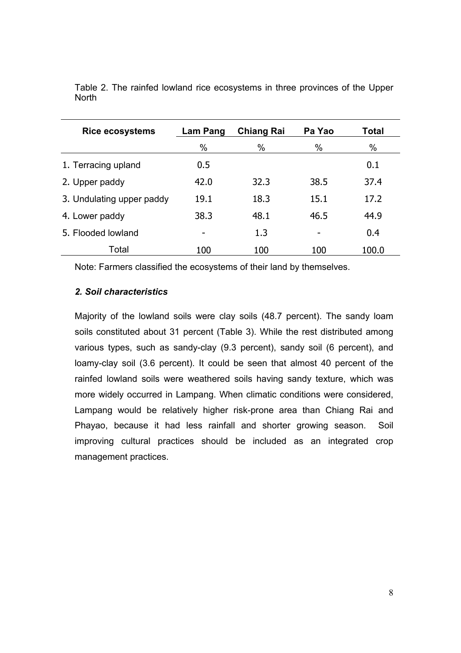| <b>Rice ecosystems</b>    | Lam Pang | <b>Chiang Rai</b> | Pa Yao | <b>Total</b> |
|---------------------------|----------|-------------------|--------|--------------|
|                           | $\%$     | $\%$              | $\%$   | %            |
| 1. Terracing upland       | 0.5      |                   |        | 0.1          |
| 2. Upper paddy            | 42.0     | 32.3              | 38.5   | 37.4         |
| 3. Undulating upper paddy | 19.1     | 18.3              | 15.1   | 17.2         |
| 4. Lower paddy            | 38.3     | 48.1              | 46.5   | 44.9         |
| 5. Flooded lowland        |          | 1.3               |        | 0.4          |
| Total                     | 100      | 100               | 100    | 100.0        |

Table 2. The rainfed lowland rice ecosystems in three provinces of the Upper **North** 

Note: Farmers classified the ecosystems of their land by themselves.

# *2. Soil characteristics*

Majority of the lowland soils were clay soils (48.7 percent). The sandy loam soils constituted about 31 percent (Table 3). While the rest distributed among various types, such as sandy-clay (9.3 percent), sandy soil (6 percent), and loamy-clay soil (3.6 percent). It could be seen that almost 40 percent of the rainfed lowland soils were weathered soils having sandy texture, which was more widely occurred in Lampang. When climatic conditions were considered, Lampang would be relatively higher risk-prone area than Chiang Rai and Phayao, because it had less rainfall and shorter growing season. Soil improving cultural practices should be included as an integrated crop management practices.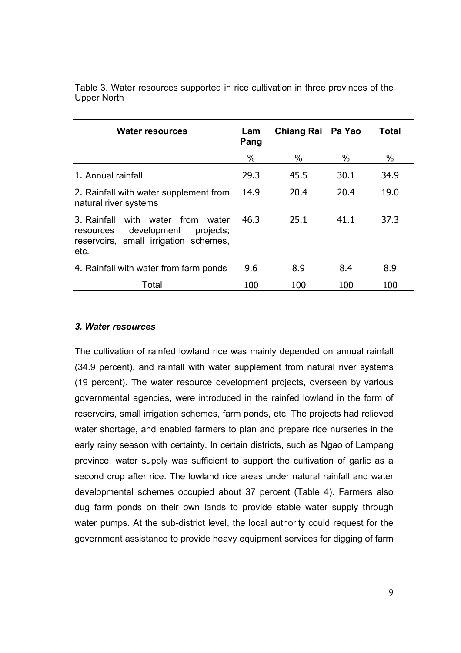| <b>Water resources</b>                                                                                                         | Lam<br>Pang | Chiang Rai Pa Yao |      | <b>Total</b> |
|--------------------------------------------------------------------------------------------------------------------------------|-------------|-------------------|------|--------------|
|                                                                                                                                | $\%$        | $\%$              | %    | $\%$         |
| 1. Annual rainfall                                                                                                             | 29.3        | 45.5              | 30.1 | 34.9         |
| 2. Rainfall with water supplement from<br>natural river systems                                                                | 14.9        | 20.4              | 20.4 | 19.0         |
| with water from water<br>3. Rainfall<br>development<br>projects;<br>resources<br>reservoirs, small irrigation schemes,<br>etc. | 46.3        | 25.1              | 41.1 | 37.3         |
| 4. Rainfall with water from farm ponds                                                                                         | 9.6         | 8.9               | 8.4  | 8.9          |
| Total                                                                                                                          | 100         | 100               | 100  | 100          |

Table 3. Water resources supported in rice cultivation in three provinces of the Upper North

## *3. Water resources*

The cultivation of rainfed lowland rice was mainly depended on annual rainfall (34.9 percent), and rainfall with water supplement from natural river systems (19 percent). The water resource development projects, overseen by various governmental agencies, were introduced in the rainfed lowland in the form of reservoirs, small irrigation schemes, farm ponds, etc. The projects had relieved water shortage, and enabled farmers to plan and prepare rice nurseries in the early rainy season with certainty. In certain districts, such as Ngao of Lampang province, water supply was sufficient to support the cultivation of garlic as a second crop after rice. The lowland rice areas under natural rainfall and water developmental schemes occupied about 37 percent (Table 4). Farmers also dug farm ponds on their own lands to provide stable water supply through water pumps. At the sub-district level, the local authority could request for the government assistance to provide heavy equipment services for digging of farm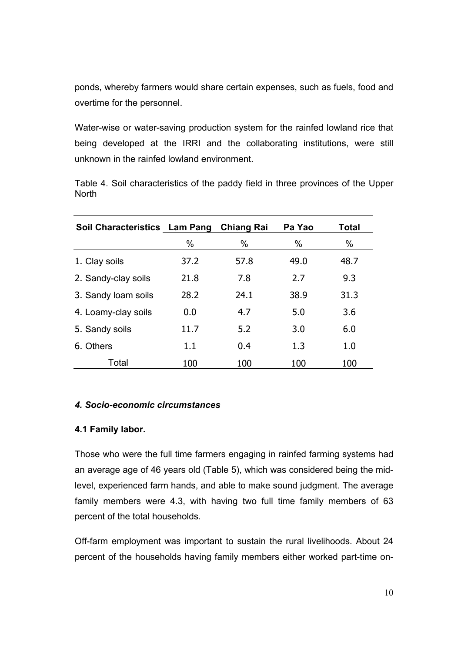ponds, whereby farmers would share certain expenses, such as fuels, food and overtime for the personnel.

Water-wise or water-saving production system for the rainfed lowland rice that being developed at the IRRI and the collaborating institutions, were still unknown in the rainfed lowland environment.

Table 4. Soil characteristics of the paddy field in three provinces of the Upper **North** 

| Soil Characteristics Lam Pang |      | Pa Yao<br><b>Chiang Rai</b> |      | <b>Total</b> |
|-------------------------------|------|-----------------------------|------|--------------|
|                               | $\%$ | $\%$                        | $\%$ | $\%$         |
| 1. Clay soils                 | 37.2 | 57.8                        | 49.0 | 48.7         |
| 2. Sandy-clay soils           | 21.8 | 7.8                         | 2.7  | 9.3          |
| 3. Sandy loam soils           | 28.2 | 24.1                        | 38.9 | 31.3         |
| 4. Loamy-clay soils           | 0.0  | 4.7                         | 5.0  | 3.6          |
| 5. Sandy soils                | 11.7 | 5.2                         | 3.0  | 6.0          |
| 6. Others                     | 1.1  | 0.4                         | 1.3  | 1.0          |
| Total                         | 100  | 100                         | 100  | 100          |

# *4. Socio-economic circumstances*

## **4.1 Family labor.**

Those who were the full time farmers engaging in rainfed farming systems had an average age of 46 years old (Table 5), which was considered being the midlevel, experienced farm hands, and able to make sound judgment. The average family members were 4.3, with having two full time family members of 63 percent of the total households.

Off-farm employment was important to sustain the rural livelihoods. About 24 percent of the households having family members either worked part-time on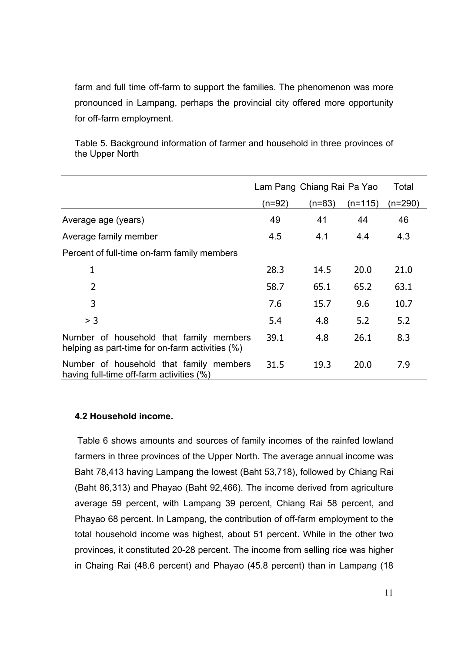farm and full time off-farm to support the families. The phenomenon was more pronounced in Lampang, perhaps the provincial city offered more opportunity for off-farm employment.

Table 5. Background information of farmer and household in three provinces of the Upper North

|                                                                                            | Lam Pang Chiang Rai Pa Yao |          |           | Total     |
|--------------------------------------------------------------------------------------------|----------------------------|----------|-----------|-----------|
|                                                                                            | $(n=92)$                   | $(n=83)$ | $(n=115)$ | $(n=290)$ |
| Average age (years)                                                                        | 49                         | 41       | 44        | 46        |
| Average family member                                                                      | 4.5                        | 4.1      | 4.4       | 4.3       |
| Percent of full-time on-farm family members                                                |                            |          |           |           |
| $\mathbf 1$                                                                                | 28.3                       | 14.5     | 20.0      | 21.0      |
| $\overline{2}$                                                                             | 58.7                       | 65.1     | 65.2      | 63.1      |
| 3                                                                                          | 7.6                        | 15.7     | 9.6       | 10.7      |
| > 3                                                                                        | 5.4                        | 4.8      | 5.2       | 5.2       |
| Number of household that family members<br>helping as part-time for on-farm activities (%) | 39.1                       | 4.8      | 26.1      | 8.3       |
| Number of household that family members<br>having full-time off-farm activities (%)        | 31.5                       | 19.3     | 20.0      | 7.9       |

## **4.2 Household income.**

 Table 6 shows amounts and sources of family incomes of the rainfed lowland farmers in three provinces of the Upper North. The average annual income was Baht 78,413 having Lampang the lowest (Baht 53,718), followed by Chiang Rai (Baht 86,313) and Phayao (Baht 92,466). The income derived from agriculture average 59 percent, with Lampang 39 percent, Chiang Rai 58 percent, and Phayao 68 percent. In Lampang, the contribution of off-farm employment to the total household income was highest, about 51 percent. While in the other two provinces, it constituted 20-28 percent. The income from selling rice was higher in Chaing Rai (48.6 percent) and Phayao (45.8 percent) than in Lampang (18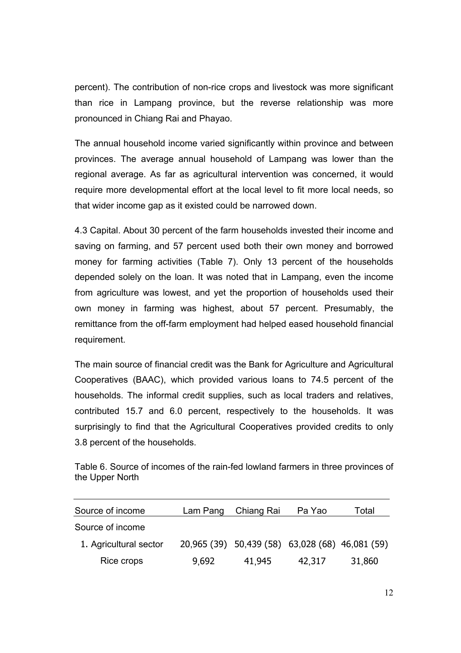percent). The contribution of non-rice crops and livestock was more significant than rice in Lampang province, but the reverse relationship was more pronounced in Chiang Rai and Phayao.

The annual household income varied significantly within province and between provinces. The average annual household of Lampang was lower than the regional average. As far as agricultural intervention was concerned, it would require more developmental effort at the local level to fit more local needs, so that wider income gap as it existed could be narrowed down.

4.3 Capital. About 30 percent of the farm households invested their income and saving on farming, and 57 percent used both their own money and borrowed money for farming activities (Table 7). Only 13 percent of the households depended solely on the loan. It was noted that in Lampang, even the income from agriculture was lowest, and yet the proportion of households used their own money in farming was highest, about 57 percent. Presumably, the remittance from the off-farm employment had helped eased household financial requirement.

The main source of financial credit was the Bank for Agriculture and Agricultural Cooperatives (BAAC), which provided various loans to 74.5 percent of the households. The informal credit supplies, such as local traders and relatives, contributed 15.7 and 6.0 percent, respectively to the households. It was surprisingly to find that the Agricultural Cooperatives provided credits to only 3.8 percent of the households.

Table 6. Source of incomes of the rain-fed lowland farmers in three provinces of the Upper North

| Source of income       | Lam Pang | Chiang Rai                                      | Pa Yao | Total  |
|------------------------|----------|-------------------------------------------------|--------|--------|
| Source of income       |          |                                                 |        |        |
| 1. Agricultural sector |          | 20,965 (39) 50,439 (58) 63,028 (68) 46,081 (59) |        |        |
| Rice crops             | 9,692    | 41,945                                          | 42,317 | 31,860 |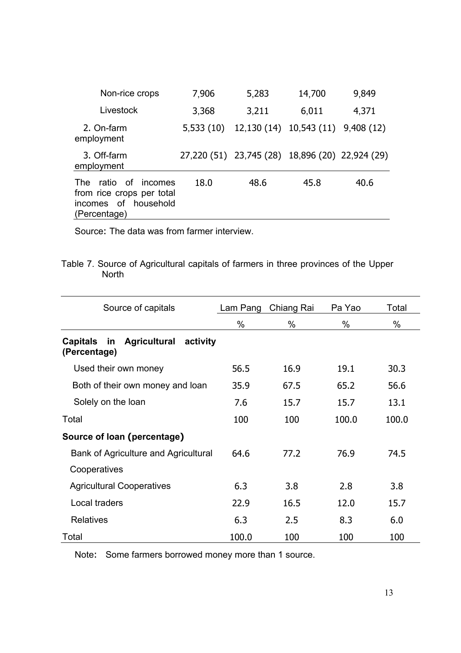| Non-rice crops                                                                                         | 7,906     | 5,283                                           | 14,700 | 9,849     |
|--------------------------------------------------------------------------------------------------------|-----------|-------------------------------------------------|--------|-----------|
| Livestock                                                                                              | 3,368     | 3,211                                           | 6,011  | 4,371     |
| 2. On-farm<br>employment                                                                               | 5,533(10) | 12,130 (14) 10,543 (11)                         |        | 9,408(12) |
| 3. Off-farm<br>employment                                                                              |           | 27,220 (51) 23,745 (28) 18,896 (20) 22,924 (29) |        |           |
| ratio of<br><b>The</b><br>incomes<br>from rice crops per total<br>incomes of household<br>(Percentage) | 18.0      | 48.6                                            | 45.8   | 40.6      |

Source: The data was from farmer interview.

Table 7. Source of Agricultural capitals of farmers in three provinces of the Upper North

| Source of capitals                                                       | Lam Pang | Chiang Rai | Pa Yao | Total |
|--------------------------------------------------------------------------|----------|------------|--------|-------|
|                                                                          | $\%$     | $\%$       | $\%$   | $\%$  |
| <b>Agricultural</b><br><b>Capitals</b><br>in<br>activity<br>(Percentage) |          |            |        |       |
| Used their own money                                                     | 56.5     | 16.9       | 19.1   | 30.3  |
| Both of their own money and loan                                         | 35.9     | 67.5       | 65.2   | 56.6  |
| Solely on the loan                                                       | 7.6      | 15.7       | 15.7   | 13.1  |
| Total                                                                    | 100      | 100        | 100.0  | 100.0 |
| Source of loan (percentage)                                              |          |            |        |       |
| Bank of Agriculture and Agricultural                                     | 64.6     | 77.2       | 76.9   | 74.5  |
| Cooperatives                                                             |          |            |        |       |
| <b>Agricultural Cooperatives</b>                                         | 6.3      | 3.8        | 2.8    | 3.8   |
| Local traders                                                            | 22.9     | 16.5       | 12.0   | 15.7  |
| <b>Relatives</b>                                                         | 6.3      | 2.5        | 8.3    | 6.0   |
| Total                                                                    | 100.0    | 100        | 100    | 100   |

Note: Some farmers borrowed money more than 1 source.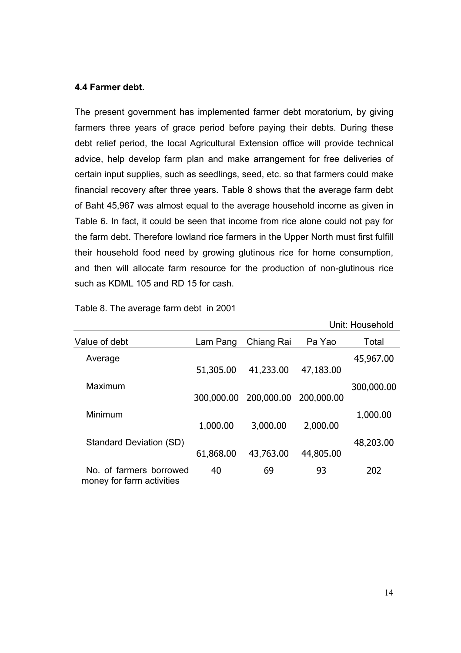#### **4.4 Farmer debt.**

The present government has implemented farmer debt moratorium, by giving farmers three years of grace period before paying their debts. During these debt relief period, the local Agricultural Extension office will provide technical advice, help develop farm plan and make arrangement for free deliveries of certain input supplies, such as seedlings, seed, etc. so that farmers could make financial recovery after three years. Table 8 shows that the average farm debt of Baht 45,967 was almost equal to the average household income as given in Table 6. In fact, it could be seen that income from rice alone could not pay for the farm debt. Therefore lowland rice farmers in the Upper North must first fulfill their household food need by growing glutinous rice for home consumption, and then will allocate farm resource for the production of non-glutinous rice such as KDML 105 and RD 15 for cash.

|                                                      |            |            |            | Unit: Household |
|------------------------------------------------------|------------|------------|------------|-----------------|
| Value of debt                                        | Lam Pang   | Chiang Rai | Pa Yao     | Total           |
| Average                                              | 51,305.00  | 41,233.00  | 47,183.00  | 45,967.00       |
| Maximum                                              | 300,000.00 | 200,000.00 | 200,000.00 | 300,000.00      |
| Minimum                                              | 1,000.00   | 3,000.00   | 2,000.00   | 1,000.00        |
| Standard Deviation (SD)                              | 61,868.00  | 43,763.00  | 44,805.00  | 48,203.00       |
| No. of farmers borrowed<br>money for farm activities | 40         | 69         | 93         | 202             |

Table 8. The average farm debt in 2001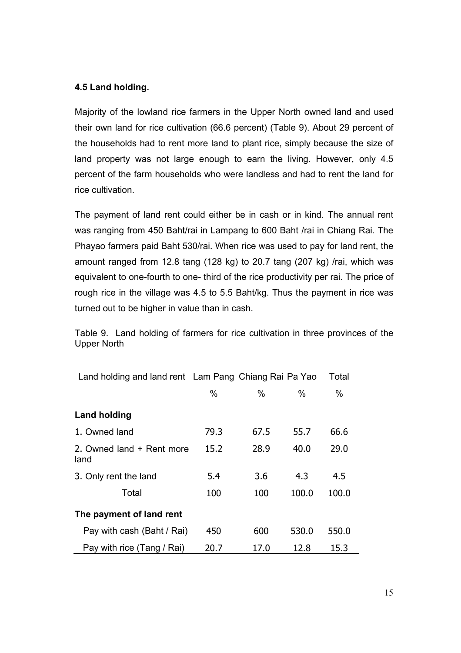# **4.5 Land holding.**

Majority of the lowland rice farmers in the Upper North owned land and used their own land for rice cultivation (66.6 percent) (Table 9). About 29 percent of the households had to rent more land to plant rice, simply because the size of land property was not large enough to earn the living. However, only 4.5 percent of the farm households who were landless and had to rent the land for rice cultivation.

The payment of land rent could either be in cash or in kind. The annual rent was ranging from 450 Baht/rai in Lampang to 600 Baht /rai in Chiang Rai. The Phayao farmers paid Baht 530/rai. When rice was used to pay for land rent, the amount ranged from 12.8 tang (128 kg) to 20.7 tang (207 kg) /rai, which was equivalent to one-fourth to one- third of the rice productivity per rai. The price of rough rice in the village was 4.5 to 5.5 Baht/kg. Thus the payment in rice was turned out to be higher in value than in cash.

| Land holding and land rent Lam Pang Chiang Rai Pa Yao |      |      |       | Total |
|-------------------------------------------------------|------|------|-------|-------|
|                                                       | %    | $\%$ | $\%$  | %     |
| <b>Land holding</b>                                   |      |      |       |       |
| 1. Owned land                                         | 79.3 | 67.5 | 55.7  | 66.6  |
| 2. Owned land + Rent more<br>land                     | 15.2 | 28.9 | 40.0  | 29.0  |
| 3. Only rent the land                                 | 5.4  | 3.6  | 4.3   | 4.5   |
| Total                                                 | 100  | 100  | 100.0 | 100.0 |
| The payment of land rent                              |      |      |       |       |
| Pay with cash (Baht / Rai)                            | 450  | 600  | 530.0 | 550.0 |
| Pay with rice (Tang / Rai)                            | 20.7 | 17.0 | 12.8  | 15.3  |

Table 9. Land holding of farmers for rice cultivation in three provinces of the Upper North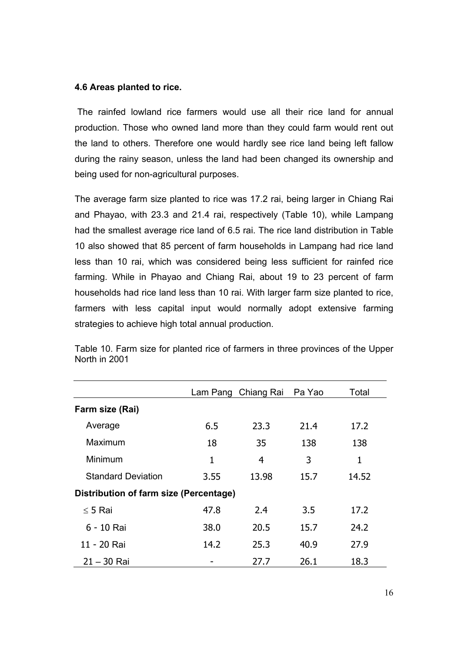## **4.6 Areas planted to rice.**

 The rainfed lowland rice farmers would use all their rice land for annual production. Those who owned land more than they could farm would rent out the land to others. Therefore one would hardly see rice land being left fallow during the rainy season, unless the land had been changed its ownership and being used for non-agricultural purposes.

The average farm size planted to rice was 17.2 rai, being larger in Chiang Rai and Phayao, with 23.3 and 21.4 rai, respectively (Table 10), while Lampang had the smallest average rice land of 6.5 rai. The rice land distribution in Table 10 also showed that 85 percent of farm households in Lampang had rice land less than 10 rai, which was considered being less sufficient for rainfed rice farming. While in Phayao and Chiang Rai, about 19 to 23 percent of farm households had rice land less than 10 rai. With larger farm size planted to rice, farmers with less capital input would normally adopt extensive farming strategies to achieve high total annual production.

|                                        |              | Lam Pang Chiang Rai | Pa Yao | Total |
|----------------------------------------|--------------|---------------------|--------|-------|
| Farm size (Rai)                        |              |                     |        |       |
| Average                                | 6.5          | 23.3                | 21.4   | 17.2  |
| Maximum                                | 18           | 35                  | 138    | 138   |
| Minimum                                | $\mathbf{1}$ | 4                   | 3      | 1     |
| <b>Standard Deviation</b>              | 3.55         | 13.98               | 15.7   | 14.52 |
| Distribution of farm size (Percentage) |              |                     |        |       |
| $\leq$ 5 Rai                           | 47.8         | 2.4                 | 3.5    | 17.2  |
| 6 - 10 Rai                             | 38.0         | 20.5                | 15.7   | 24.2  |
| 11 - 20 Rai                            | 14.2         | 25.3                | 40.9   | 27.9  |
| $21 - 30$ Rai                          |              | 27.7                | 26.1   | 18.3  |

Table 10. Farm size for planted rice of farmers in three provinces of the Upper North in 2001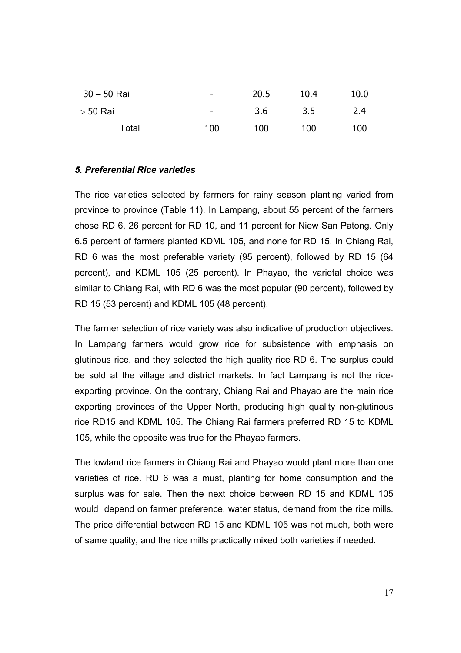| $30 - 50$ Rai | $\overline{\phantom{0}}$ | 20.5 | 10.4 | 10.0 |
|---------------|--------------------------|------|------|------|
| $>$ 50 Rai    | $\qquad \qquad$          | 3.6  | 3.5  | 2.4  |
| Total         | 100                      | 100  | 100  | 100  |

# *5. Preferential Rice varieties*

The rice varieties selected by farmers for rainy season planting varied from province to province (Table 11). In Lampang, about 55 percent of the farmers chose RD 6, 26 percent for RD 10, and 11 percent for Niew San Patong. Only 6.5 percent of farmers planted KDML 105, and none for RD 15. In Chiang Rai, RD 6 was the most preferable variety (95 percent), followed by RD 15 (64 percent), and KDML 105 (25 percent). In Phayao, the varietal choice was similar to Chiang Rai, with RD 6 was the most popular (90 percent), followed by RD 15 (53 percent) and KDML 105 (48 percent).

The farmer selection of rice variety was also indicative of production objectives. In Lampang farmers would grow rice for subsistence with emphasis on glutinous rice, and they selected the high quality rice RD 6. The surplus could be sold at the village and district markets. In fact Lampang is not the riceexporting province. On the contrary, Chiang Rai and Phayao are the main rice exporting provinces of the Upper North, producing high quality non-glutinous rice RD15 and KDML 105. The Chiang Rai farmers preferred RD 15 to KDML 105, while the opposite was true for the Phayao farmers.

The lowland rice farmers in Chiang Rai and Phayao would plant more than one varieties of rice. RD 6 was a must, planting for home consumption and the surplus was for sale. Then the next choice between RD 15 and KDML 105 would depend on farmer preference, water status, demand from the rice mills. The price differential between RD 15 and KDML 105 was not much, both were of same quality, and the rice mills practically mixed both varieties if needed.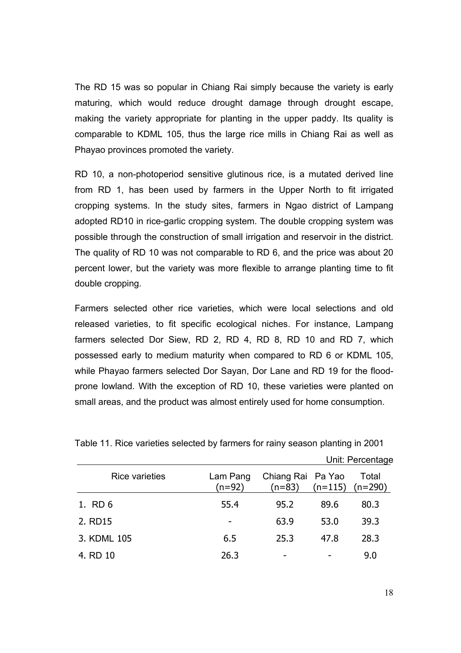The RD 15 was so popular in Chiang Rai simply because the variety is early maturing, which would reduce drought damage through drought escape, making the variety appropriate for planting in the upper paddy. Its quality is comparable to KDML 105, thus the large rice mills in Chiang Rai as well as Phayao provinces promoted the variety.

RD 10, a non-photoperiod sensitive glutinous rice, is a mutated derived line from RD 1, has been used by farmers in the Upper North to fit irrigated cropping systems. In the study sites, farmers in Ngao district of Lampang adopted RD10 in rice-garlic cropping system. The double cropping system was possible through the construction of small irrigation and reservoir in the district. The quality of RD 10 was not comparable to RD 6, and the price was about 20 percent lower, but the variety was more flexible to arrange planting time to fit double cropping.

Farmers selected other rice varieties, which were local selections and old released varieties, to fit specific ecological niches. For instance, Lampang farmers selected Dor Siew, RD 2, RD 4, RD 8, RD 10 and RD 7, which possessed early to medium maturity when compared to RD 6 or KDML 105, while Phayao farmers selected Dor Sayan, Dor Lane and RD 19 for the floodprone lowland. With the exception of RD 10, these varieties were planted on small areas, and the product was almost entirely used for home consumption.

|                       |                      |                               | Unit: Percentage |                              |
|-----------------------|----------------------|-------------------------------|------------------|------------------------------|
| <b>Rice varieties</b> | Lam Pang<br>$(n=92)$ | Chiang Rai Pa Yao<br>$(n=83)$ |                  | Total<br>$(n=115)$ $(n=290)$ |
| 1. RD 6               | 55.4                 | 95.2                          | 89.6             | 80.3                         |
| 2. RD15               |                      | 63.9                          | 53.0             | 39.3                         |
| 3. KDML 105           | 6.5                  | 25.3                          | 47.8             | 28.3                         |
| 4. RD 10              | 26.3                 |                               |                  | 9.0                          |

Table 11. Rice varieties selected by farmers for rainy season planting in 2001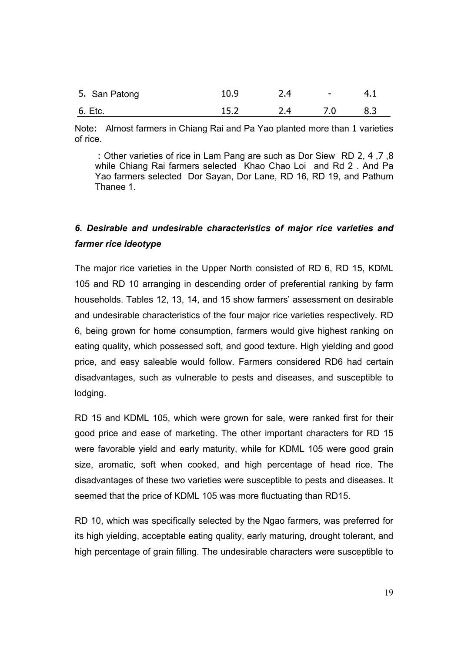| 5. San Patong | 10.9 | 2.4 | $\sim$ | 4.1 |
|---------------|------|-----|--------|-----|
| 6. Etc.       | 15.2 | 2.4 | 7.0    | 8.3 |

Note: Almost farmers in Chiang Rai and Pa Yao planted more than 1 varieties of rice.

 : Other varieties of rice in Lam Pang are such as Dor Siew RD 2, 4 ,7 ,8 while Chiang Rai farmers selected Khao Chao Loi and Rd 2 . And Pa Yao farmers selected Dor Sayan, Dor Lane, RD 16, RD 19, and Pathum Thanee 1.

# *6. Desirable and undesirable characteristics of major rice varieties and farmer rice ideotype*

The major rice varieties in the Upper North consisted of RD 6, RD 15, KDML 105 and RD 10 arranging in descending order of preferential ranking by farm households. Tables 12, 13, 14, and 15 show farmers' assessment on desirable and undesirable characteristics of the four major rice varieties respectively. RD 6, being grown for home consumption, farmers would give highest ranking on eating quality, which possessed soft, and good texture. High yielding and good price, and easy saleable would follow. Farmers considered RD6 had certain disadvantages, such as vulnerable to pests and diseases, and susceptible to lodging.

RD 15 and KDML 105, which were grown for sale, were ranked first for their good price and ease of marketing. The other important characters for RD 15 were favorable yield and early maturity, while for KDML 105 were good grain size, aromatic, soft when cooked, and high percentage of head rice. The disadvantages of these two varieties were susceptible to pests and diseases. It seemed that the price of KDML 105 was more fluctuating than RD15.

RD 10, which was specifically selected by the Ngao farmers, was preferred for its high yielding, acceptable eating quality, early maturing, drought tolerant, and high percentage of grain filling. The undesirable characters were susceptible to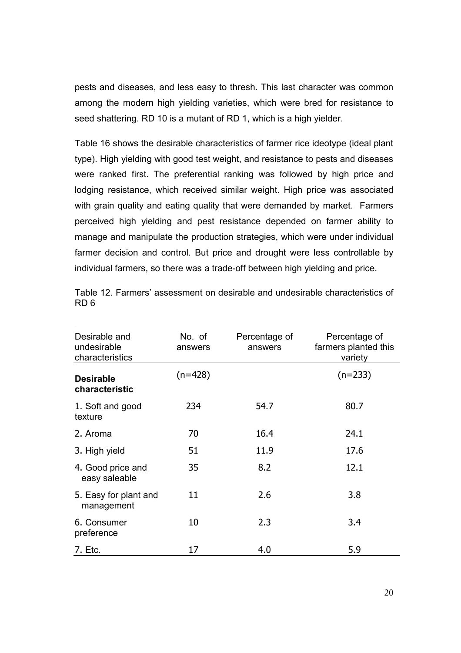pests and diseases, and less easy to thresh. This last character was common among the modern high yielding varieties, which were bred for resistance to seed shattering. RD 10 is a mutant of RD 1, which is a high yielder.

Table 16 shows the desirable characteristics of farmer rice ideotype (ideal plant type). High yielding with good test weight, and resistance to pests and diseases were ranked first. The preferential ranking was followed by high price and lodging resistance, which received similar weight. High price was associated with grain quality and eating quality that were demanded by market. Farmers perceived high yielding and pest resistance depended on farmer ability to manage and manipulate the production strategies, which were under individual farmer decision and control. But price and drought were less controllable by individual farmers, so there was a trade-off between high yielding and price.

| Desirable and<br>undesirable<br>characteristics | No. of<br>answers | Percentage of<br>answers | Percentage of<br>farmers planted this<br>variety |
|-------------------------------------------------|-------------------|--------------------------|--------------------------------------------------|
| <b>Desirable</b><br>characteristic              | $(n=428)$         |                          | $(n=233)$                                        |
| 1. Soft and good<br>texture                     | 234               | 54.7                     | 80.7                                             |
| 2. Aroma                                        | 70                | 16.4                     | 24.1                                             |
| 3. High yield                                   | 51                | 11.9                     | 17.6                                             |
| 4. Good price and<br>easy saleable              | 35                | 8.2                      | 12.1                                             |
| 5. Easy for plant and<br>management             | 11                | 2.6                      | 3.8                                              |
| 6. Consumer<br>preference                       | 10                | 2.3                      | 3.4                                              |
| 7. Etc.                                         | 17                | 4.0                      | 5.9                                              |

Table 12. Farmers' assessment on desirable and undesirable characteristics of RD 6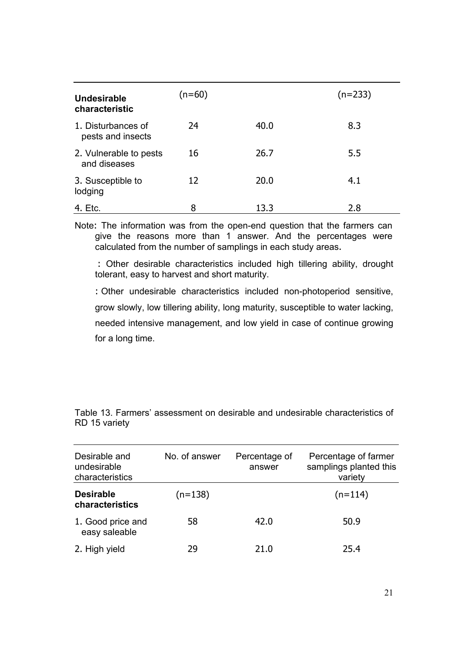| Undesirable<br>characteristic           | (n=60) |      | $(n=233)$ |
|-----------------------------------------|--------|------|-----------|
| 1. Disturbances of<br>pests and insects | 24     | 40.0 | 8.3       |
| 2. Vulnerable to pests<br>and diseases  | 16     | 26.7 | 5.5       |
| 3. Susceptible to<br>lodging            | 12     | 20.0 | 4.1       |
| 4. Etc.                                 | 8      | 13.3 | 2.8       |

Note: The information was from the open-end question that the farmers can give the reasons more than 1 answer. And the percentages were calculated from the number of samplings in each study areas.

 : Other desirable characteristics included high tillering ability, drought tolerant, easy to harvest and short maturity.

: Other undesirable characteristics included non-photoperiod sensitive, grow slowly, low tillering ability, long maturity, susceptible to water lacking, needed intensive management, and low yield in case of continue growing for a long time.

| Desirable and<br>undesirable<br>characteristics | No. of answer<br>Percentage of<br>answer |      | Percentage of farmer<br>samplings planted this<br>variety |  |  |
|-------------------------------------------------|------------------------------------------|------|-----------------------------------------------------------|--|--|
| <b>Desirable</b><br>characteristics             | $(n=138)$                                |      | $(n=114)$                                                 |  |  |
| 1. Good price and<br>easy saleable              | 58                                       | 42.0 | 50.9                                                      |  |  |
| 2. High yield                                   | 29                                       | 21.0 | 25.4                                                      |  |  |

Table 13. Farmers' assessment on desirable and undesirable characteristics of RD 15 variety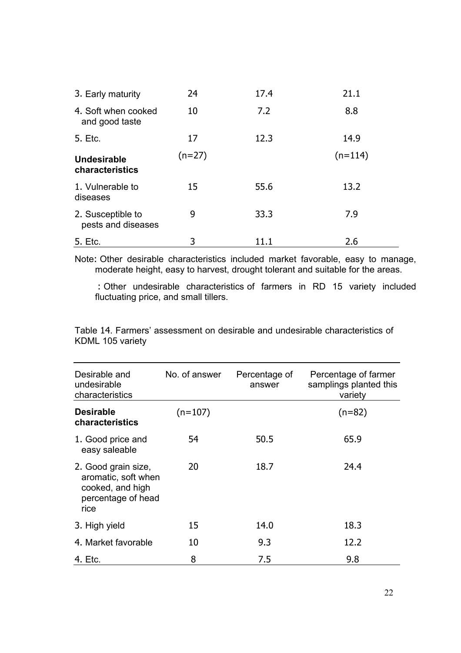| 3. Early maturity                       | 24       | 17.4 | 21.1      |
|-----------------------------------------|----------|------|-----------|
| 4. Soft when cooked<br>and good taste   | 10       | 7.2  | 8.8       |
| 5. Etc.                                 | 17       | 12.3 | 14.9      |
| Undesirable<br>characteristics          | $(n=27)$ |      | $(n=114)$ |
| 1. Vulnerable to<br>diseases            | 15       | 55.6 | 13.2      |
| 2. Susceptible to<br>pests and diseases | 9        | 33.3 | 7.9       |
| 5. Etc.                                 | 3        | 11.1 | 2.6       |

Note: Other desirable characteristics included market favorable, easy to manage, moderate height, easy to harvest, drought tolerant and suitable for the areas.

 : Other undesirable characteristics of farmers in RD 15 variety included fluctuating price, and small tillers.

Table 14. Farmers' assessment on desirable and undesirable characteristics of KDML 105 variety

| Desirable and<br>undesirable<br>characteristics                                              | No. of answer | Percentage of<br>answer | Percentage of farmer<br>samplings planted this<br>variety |
|----------------------------------------------------------------------------------------------|---------------|-------------------------|-----------------------------------------------------------|
| <b>Desirable</b><br>characteristics                                                          | $(n=107)$     |                         | $(n=82)$                                                  |
| 1. Good price and<br>easy saleable                                                           | 54            | 50.5                    | 65.9                                                      |
| 2. Good grain size,<br>aromatic, soft when<br>cooked, and high<br>percentage of head<br>rice | 20            | 18.7                    | 24.4                                                      |
| 3. High yield                                                                                | 15            | 14.0                    | 18.3                                                      |
| 4. Market favorable                                                                          | 10            | 9.3                     | 12.2                                                      |
| 4. Etc.                                                                                      | 8             | 7.5                     | 9.8                                                       |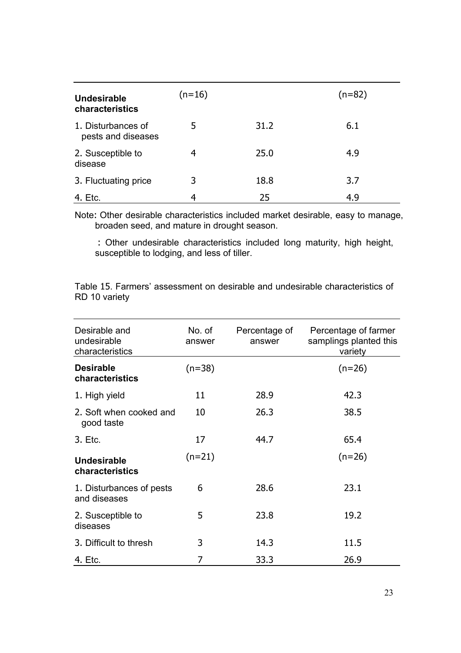| Undesirable<br>characteristics           | $(n=16)$ |      | $(n=82)$ |
|------------------------------------------|----------|------|----------|
| 1. Disturbances of<br>pests and diseases | 5        | 31.2 | 6.1      |
| 2. Susceptible to<br>disease             | 4        | 25.0 | 4.9      |
| 3. Fluctuating price                     | 3        | 18.8 | 3.7      |
| 4. Etc.                                  | 4        | 25   | 4.9      |

Note: Other desirable characteristics included market desirable, easy to manage, broaden seed, and mature in drought season.

 : Other undesirable characteristics included long maturity, high height, susceptible to lodging, and less of tiller.

Table 15. Farmers' assessment on desirable and undesirable characteristics of RD 10 variety

| Desirable and<br>undesirable<br>characteristics | No. of<br>answer | Percentage of<br>answer | Percentage of farmer<br>samplings planted this<br>variety |
|-------------------------------------------------|------------------|-------------------------|-----------------------------------------------------------|
| <b>Desirable</b><br>characteristics             | $(n=38)$         |                         | $(n=26)$                                                  |
| 1. High yield                                   | 11               | 28.9                    | 42.3                                                      |
| 2. Soft when cooked and<br>good taste           | 10               | 26.3                    | 38.5                                                      |
| 3. Etc.                                         | 17               | 44.7                    | 65.4                                                      |
| <b>Undesirable</b><br>characteristics           | $(n=21)$         |                         | $(n=26)$                                                  |
| 1. Disturbances of pests<br>and diseases        | 6                | 28.6                    | 23.1                                                      |
| 2. Susceptible to<br>diseases                   | 5                | 23.8                    | 19.2                                                      |
| 3. Difficult to thresh                          | 3                | 14.3                    | 11.5                                                      |
| 4. Etc.                                         | 7                | 33.3                    | 26.9                                                      |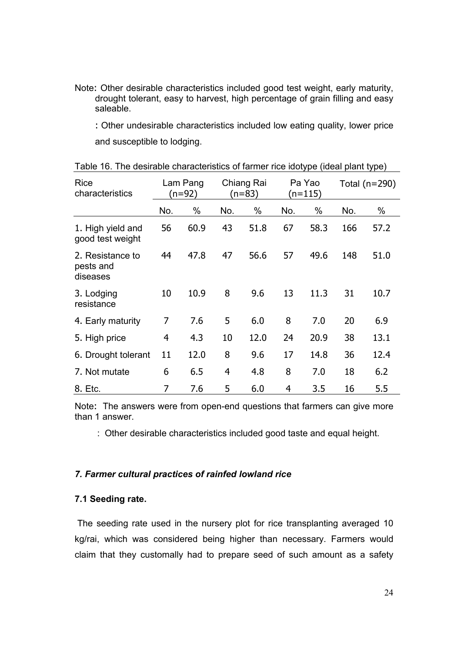Note: Other desirable characteristics included good test weight, early maturity, drought tolerant, easy to harvest, high percentage of grain filling and easy saleable.

: Other undesirable characteristics included low eating quality, lower price and susceptible to lodging.

| <b>Rice</b><br>characteristics            | Lam Pang<br>(n=92) |      |     | Chiang Rai<br>(n=83) |     | Pa Yao<br>$(n=115)$ |     | Total $(n=290)$ |  |
|-------------------------------------------|--------------------|------|-----|----------------------|-----|---------------------|-----|-----------------|--|
|                                           | No.                | %    | No. | %                    | No. | %                   | No. | %               |  |
| 1. High yield and<br>good test weight     | 56                 | 60.9 | 43  | 51.8                 | 67  | 58.3                | 166 | 57.2            |  |
| 2. Resistance to<br>pests and<br>diseases | 44                 | 47.8 | 47  | 56.6                 | 57  | 49.6                | 148 | 51.0            |  |
| 3. Lodging<br>resistance                  | 10                 | 10.9 | 8   | 9.6                  | 13  | 11.3                | 31  | 10.7            |  |
| 4. Early maturity                         | 7                  | 7.6  | 5   | 6.0                  | 8   | 7.0                 | 20  | 6.9             |  |
| 5. High price                             | 4                  | 4.3  | 10  | 12.0                 | 24  | 20.9                | 38  | 13.1            |  |
| 6. Drought tolerant                       | 11                 | 12.0 | 8   | 9.6                  | 17  | 14.8                | 36  | 12.4            |  |
| 7. Not mutate                             | 6                  | 6.5  | 4   | 4.8                  | 8   | 7.0                 | 18  | 6.2             |  |
| 8. Etc.                                   |                    | 7.6  | 5   | 6.0                  | 4   | 3.5                 | 16  | 5.5             |  |

| Table 16. The desirable characteristics of farmer rice idotype (ideal plant type) |  |  |  |  |  |  |  |  |
|-----------------------------------------------------------------------------------|--|--|--|--|--|--|--|--|
|-----------------------------------------------------------------------------------|--|--|--|--|--|--|--|--|

Note: The answers were from open-end questions that farmers can give more than 1 answer.

: Other desirable characteristics included good taste and equal height.

## *7. Farmer cultural practices of rainfed lowland rice*

## **7.1 Seeding rate.**

 The seeding rate used in the nursery plot for rice transplanting averaged 10 kg/rai, which was considered being higher than necessary. Farmers would claim that they customally had to prepare seed of such amount as a safety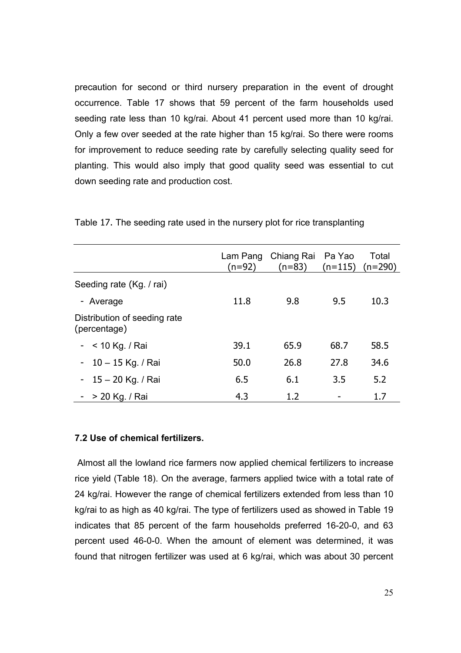precaution for second or third nursery preparation in the event of drought occurrence. Table 17 shows that 59 percent of the farm households used seeding rate less than 10 kg/rai. About 41 percent used more than 10 kg/rai. Only a few over seeded at the rate higher than 15 kg/rai. So there were rooms for improvement to reduce seeding rate by carefully selecting quality seed for planting. This would also imply that good quality seed was essential to cut down seeding rate and production cost.

|                                              | Lam Pang<br>(n=92) | Chiang Rai Pa Yao<br>$(n=83)$ | $(n=115)$ | Total<br>$(n=290)$ |
|----------------------------------------------|--------------------|-------------------------------|-----------|--------------------|
| Seeding rate (Kg. / rai)                     |                    |                               |           |                    |
| - Average                                    | 11.8               | 9.8                           | 9.5       | 10.3               |
| Distribution of seeding rate<br>(percentage) |                    |                               |           |                    |
| $-$ < 10 Kg. / Rai                           | 39.1               | 65.9                          | 68.7      | 58.5               |
| - $10 - 15$ Kg. / Rai                        | 50.0               | 26.8                          | 27.8      | 34.6               |
| - $15 - 20$ Kg. / Rai                        | 6.5                | 6.1                           | 3.5       | 5.2                |
| $-$ > 20 Kg. / Rai                           | 4.3                | 1.2                           |           | 1.7                |

Table 17. The seeding rate used in the nursery plot for rice transplanting

## **7.2 Use of chemical fertilizers.**

 Almost all the lowland rice farmers now applied chemical fertilizers to increase rice yield (Table 18). On the average, farmers applied twice with a total rate of 24 kg/rai. However the range of chemical fertilizers extended from less than 10 kg/rai to as high as 40 kg/rai. The type of fertilizers used as showed in Table 19 indicates that 85 percent of the farm households preferred 16-20-0, and 63 percent used 46-0-0. When the amount of element was determined, it was found that nitrogen fertilizer was used at 6 kg/rai, which was about 30 percent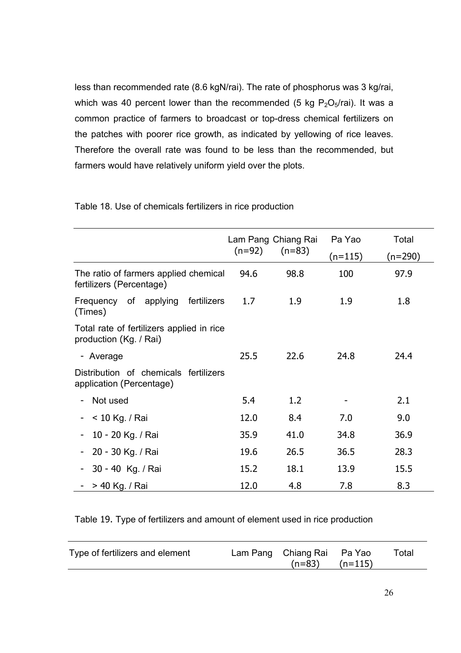less than recommended rate (8.6 kgN/rai). The rate of phosphorus was 3 kg/rai, which was 40 percent lower than the recommended (5 kg  $P_2O_5/r$ ai). It was a common practice of farmers to broadcast or top-dress chemical fertilizers on the patches with poorer rice growth, as indicated by yellowing of rice leaves. Therefore the overall rate was found to be less than the recommended, but farmers would have relatively uniform yield over the plots.

|                                                                     | $(n=92)$ | Lam Pang Chiang Rai<br>$(n=83)$ | Pa Yao<br>$(n=115)$ | Total<br>$(n=290)$ |
|---------------------------------------------------------------------|----------|---------------------------------|---------------------|--------------------|
| The ratio of farmers applied chemical<br>fertilizers (Percentage)   | 94.6     | 98.8                            | 100                 | 97.9               |
| Frequency of applying<br>fertilizers<br>(Times)                     | 1.7      | 1.9                             | 1.9                 | 1.8                |
| Total rate of fertilizers applied in rice<br>production (Kg. / Rai) |          |                                 |                     |                    |
| - Average                                                           | 25.5     | 22.6                            | 24.8                | 24.4               |
| Distribution of chemicals fertilizers<br>application (Percentage)   |          |                                 |                     |                    |
| Not used                                                            | 5.4      | 1.2                             |                     | 2.1                |
| < 10 Kg. / Rai                                                      | 12.0     | 8.4                             | 7.0                 | 9.0                |
| 10 - 20 Kg. / Rai                                                   | 35.9     | 41.0                            | 34.8                | 36.9               |
| 20 - 30 Kg. / Rai                                                   | 19.6     | 26.5                            | 36.5                | 28.3               |
| 30 - 40 Kg. / Rai                                                   | 15.2     | 18.1                            | 13.9                | 15.5               |
| > 40 Kg. / Rai                                                      | 12.0     | 4.8                             | 7.8                 | 8.3                |

Table 18. Use of chemicals fertilizers in rice production

Table 19. Type of fertilizers and amount of element used in rice production

|  | Type of fertilizers and element |  | Lam Pang Chiang Rai Pa Yao<br>$(n=83)$ $(n=115)$ |  | Total |
|--|---------------------------------|--|--------------------------------------------------|--|-------|
|--|---------------------------------|--|--------------------------------------------------|--|-------|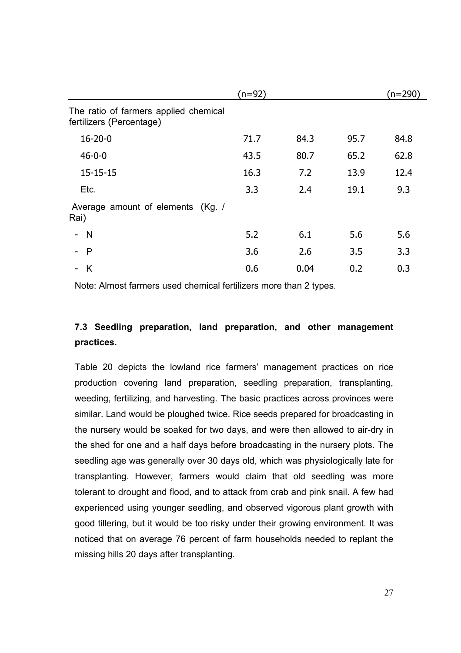|                                                                   | (n=92) |      |      | $(n=290)$ |
|-------------------------------------------------------------------|--------|------|------|-----------|
| The ratio of farmers applied chemical<br>fertilizers (Percentage) |        |      |      |           |
| $16 - 20 - 0$                                                     | 71.7   | 84.3 | 95.7 | 84.8      |
| $46 - 0 - 0$                                                      | 43.5   | 80.7 | 65.2 | 62.8      |
| $15 - 15 - 15$                                                    | 16.3   | 7.2  | 13.9 | 12.4      |
| Etc.                                                              | 3.3    | 2.4  | 19.1 | 9.3       |
| Average amount of elements (Kg. /<br>Rai)                         |        |      |      |           |
| - N                                                               | 5.2    | 6.1  | 5.6  | 5.6       |
| $\mathsf{P}$                                                      | 3.6    | 2.6  | 3.5  | 3.3       |
| - K                                                               | 0.6    | 0.04 | 0.2  | 0.3       |

Note: Almost farmers used chemical fertilizers more than 2 types.

# **7.3 Seedling preparation, land preparation, and other management practices.**

Table 20 depicts the lowland rice farmers' management practices on rice production covering land preparation, seedling preparation, transplanting, weeding, fertilizing, and harvesting. The basic practices across provinces were similar. Land would be ploughed twice. Rice seeds prepared for broadcasting in the nursery would be soaked for two days, and were then allowed to air-dry in the shed for one and a half days before broadcasting in the nursery plots. The seedling age was generally over 30 days old, which was physiologically late for transplanting. However, farmers would claim that old seedling was more tolerant to drought and flood, and to attack from crab and pink snail. A few had experienced using younger seedling, and observed vigorous plant growth with good tillering, but it would be too risky under their growing environment. It was noticed that on average 76 percent of farm households needed to replant the missing hills 20 days after transplanting.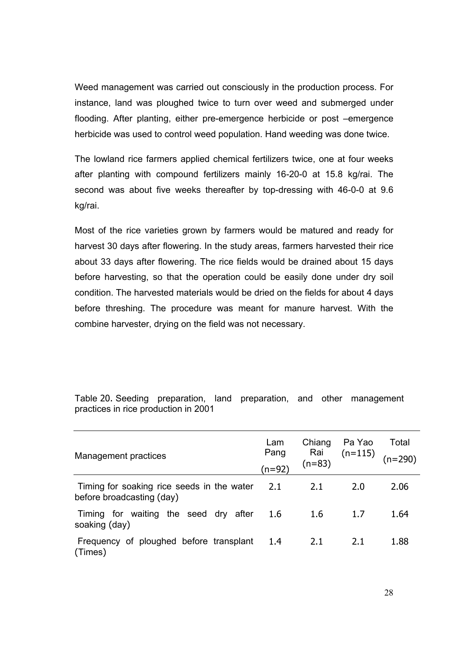Weed management was carried out consciously in the production process. For instance, land was ploughed twice to turn over weed and submerged under flooding. After planting, either pre-emergence herbicide or post –emergence herbicide was used to control weed population. Hand weeding was done twice.

The lowland rice farmers applied chemical fertilizers twice, one at four weeks after planting with compound fertilizers mainly 16-20-0 at 15.8 kg/rai. The second was about five weeks thereafter by top-dressing with 46-0-0 at 9.6 kg/rai.

Most of the rice varieties grown by farmers would be matured and ready for harvest 30 days after flowering. In the study areas, farmers harvested their rice about 33 days after flowering. The rice fields would be drained about 15 days before harvesting, so that the operation could be easily done under dry soil condition. The harvested materials would be dried on the fields for about 4 days before threshing. The procedure was meant for manure harvest. With the combine harvester, drying on the field was not necessary.

| Management practices                                                        | Lam<br>Pang<br>$(n=92)$ | Chiang<br>Rai<br>$(n=83)$ | Pa Yao<br>$(n=115)$ | Total<br>$n = 290$ |
|-----------------------------------------------------------------------------|-------------------------|---------------------------|---------------------|--------------------|
| Timing for soaking rice seeds in the water 2.1<br>before broadcasting (day) |                         | 2.1                       | 2.0                 | 2.06               |
| Timing for waiting the seed dry after<br>soaking (day)                      | 1.6                     | 1.6                       | 1.7                 | 1.64               |
| Frequency of ploughed before transplant<br>(Times)                          | -1.4                    | 2.1                       | 2.1                 | 1.88               |

Table 20. Seeding preparation, land preparation, and other management practices in rice production in 2001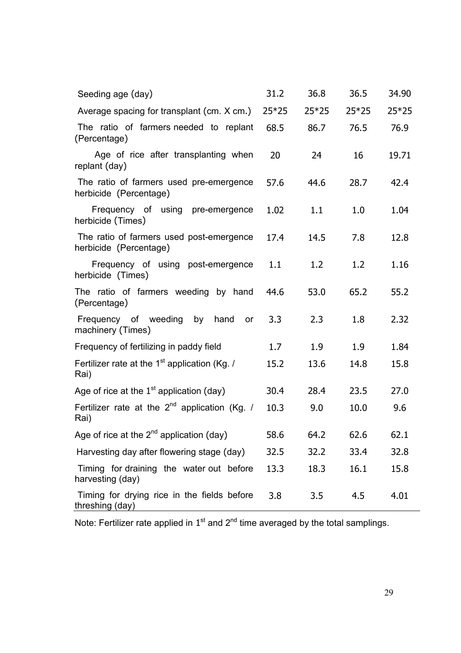| Seeding age (day)                                                  | 31.2    | 36.8    | 36.5    | 34.90 |
|--------------------------------------------------------------------|---------|---------|---------|-------|
| Average spacing for transplant (cm. X cm.)                         | $25*25$ | $25*25$ | $25*25$ | 25*25 |
| The ratio of farmers needed to replant<br>(Percentage)             | 68.5    | 86.7    | 76.5    | 76.9  |
| Age of rice after transplanting when<br>replant (day)              | 20      | 24      | 16      | 19.71 |
| The ratio of farmers used pre-emergence<br>herbicide (Percentage)  | 57.6    | 44.6    | 28.7    | 42.4  |
| Frequency of using pre-emergence<br>herbicide (Times)              | 1.02    | 1.1     | 1.0     | 1.04  |
| The ratio of farmers used post-emergence<br>herbicide (Percentage) | 17.4    | 14.5    | 7.8     | 12.8  |
| Frequency of using post-emergence<br>herbicide (Times)             | 1.1     | 1.2     | 1.2     | 1.16  |
| The ratio of farmers weeding by hand<br>(Percentage)               | 44.6    | 53.0    | 65.2    | 55.2  |
| Frequency of weeding by<br>hand<br>or<br>machinery (Times)         | 3.3     | 2.3     | 1.8     | 2.32  |
| Frequency of fertilizing in paddy field                            | 1.7     | 1.9     | 1.9     | 1.84  |
| Fertilizer rate at the $1st$ application (Kg. /<br>Rai)            | 15.2    | 13.6    | 14.8    | 15.8  |
| Age of rice at the $1st$ application (day)                         | 30.4    | 28.4    | 23.5    | 27.0  |
| Fertilizer rate at the $2^{nd}$ application (Kg. /<br>Rai)         | 10.3    | 9.0     | 10.0    | 9.6   |
| Age of rice at the $2^{nd}$ application (day)                      | 58.6    | 64.2    | 62.6    | 62.1  |
| Harvesting day after flowering stage (day)                         | 32.5    | 32.2    | 33.4    | 32.8  |
| Timing for draining the water out before<br>harvesting (day)       | 13.3    | 18.3    | 16.1    | 15.8  |
| Timing for drying rice in the fields before<br>threshing (day)     | 3.8     | 3.5     | 4.5     | 4.01  |

Note: Fertilizer rate applied in  $1<sup>st</sup>$  and  $2<sup>nd</sup>$  time averaged by the total samplings.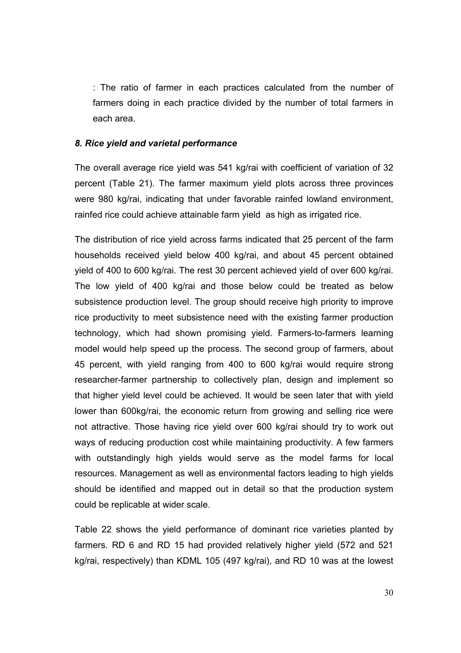: The ratio of farmer in each practices calculated from the number of farmers doing in each practice divided by the number of total farmers in each area.

#### *8. Rice yield and varietal performance*

The overall average rice yield was 541 kg/rai with coefficient of variation of 32 percent (Table 21). The farmer maximum yield plots across three provinces were 980 kg/rai, indicating that under favorable rainfed lowland environment, rainfed rice could achieve attainable farm yield as high as irrigated rice.

The distribution of rice yield across farms indicated that 25 percent of the farm households received yield below 400 kg/rai, and about 45 percent obtained yield of 400 to 600 kg/rai. The rest 30 percent achieved yield of over 600 kg/rai. The low yield of 400 kg/rai and those below could be treated as below subsistence production level. The group should receive high priority to improve rice productivity to meet subsistence need with the existing farmer production technology, which had shown promising yield. Farmers-to-farmers learning model would help speed up the process. The second group of farmers, about 45 percent, with yield ranging from 400 to 600 kg/rai would require strong researcher-farmer partnership to collectively plan, design and implement so that higher yield level could be achieved. It would be seen later that with yield lower than 600kg/rai, the economic return from growing and selling rice were not attractive. Those having rice yield over 600 kg/rai should try to work out ways of reducing production cost while maintaining productivity. A few farmers with outstandingly high yields would serve as the model farms for local resources. Management as well as environmental factors leading to high yields should be identified and mapped out in detail so that the production system could be replicable at wider scale.

Table 22 shows the yield performance of dominant rice varieties planted by farmers. RD 6 and RD 15 had provided relatively higher yield (572 and 521 kg/rai, respectively) than KDML 105 (497 kg/rai), and RD 10 was at the lowest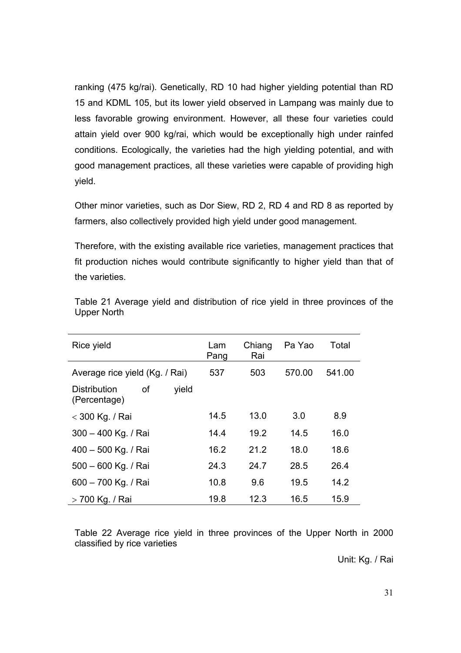ranking (475 kg/rai). Genetically, RD 10 had higher yielding potential than RD 15 and KDML 105, but its lower yield observed in Lampang was mainly due to less favorable growing environment. However, all these four varieties could attain yield over 900 kg/rai, which would be exceptionally high under rainfed conditions. Ecologically, the varieties had the high yielding potential, and with good management practices, all these varieties were capable of providing high yield.

Other minor varieties, such as Dor Siew, RD 2, RD 4 and RD 8 as reported by farmers, also collectively provided high yield under good management.

Therefore, with the existing available rice varieties, management practices that fit production niches would contribute significantly to higher yield than that of the varieties.

| Rice yield                                                | Lam<br>Pang | Chiang<br>Rai | Pa Yao | Total  |
|-----------------------------------------------------------|-------------|---------------|--------|--------|
| Average rice yield (Kg. / Rai)                            | 537         | 503           | 570.00 | 541.00 |
| yield<br><b>Distribution</b><br><b>of</b><br>(Percentage) |             |               |        |        |
| < 300 Kg. / Rai                                           | 14.5        | 13.0          | 3.0    | 8.9    |
| 300 - 400 Kg. / Rai                                       | 14.4        | 19.2          | 14.5   | 16.0   |
| 400 - 500 Kg. / Rai                                       | 16.2        | 21.2          | 18.0   | 18.6   |
| 500 - 600 Kg. / Rai                                       | 24.3        | 24.7          | 28.5   | 26.4   |
| 600 - 700 Kg. / Rai                                       | 10.8        | 9.6           | 19.5   | 14.2   |
| > 700 Kg. / Rai                                           | 19.8        | 12.3          | 16.5   | 15.9   |

Table 21 Average yield and distribution of rice yield in three provinces of the Upper North

Table 22 Average rice yield in three provinces of the Upper North in 2000 classified by rice varieties

Unit: Kg. / Rai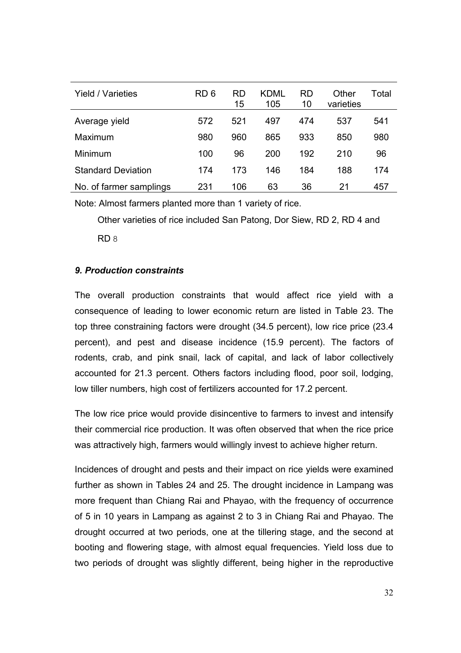| <b>Yield / Varieties</b>  | RD <sub>6</sub> | <b>RD</b><br>15 | KDML<br>105 | RD<br>10 | Other<br>varieties | Total |
|---------------------------|-----------------|-----------------|-------------|----------|--------------------|-------|
| Average yield             | 572             | 521             | 497         | 474      | 537                | 541   |
| Maximum                   | 980             | 960             | 865         | 933      | 850                | 980   |
| Minimum                   | 100             | 96              | 200         | 192      | 210                | 96    |
| <b>Standard Deviation</b> | 174             | 173             | 146         | 184      | 188                | 174   |
| No. of farmer samplings   | 231             | 106             | 63          | 36       | 21                 | 457   |

Note: Almost farmers planted more than 1 variety of rice.

 Other varieties of rice included San Patong, Dor Siew, RD 2, RD 4 and RD 8

## *9. Production constraints*

The overall production constraints that would affect rice yield with a consequence of leading to lower economic return are listed in Table 23. The top three constraining factors were drought (34.5 percent), low rice price (23.4 percent), and pest and disease incidence (15.9 percent). The factors of rodents, crab, and pink snail, lack of capital, and lack of labor collectively accounted for 21.3 percent. Others factors including flood, poor soil, lodging, low tiller numbers, high cost of fertilizers accounted for 17.2 percent.

The low rice price would provide disincentive to farmers to invest and intensify their commercial rice production. It was often observed that when the rice price was attractively high, farmers would willingly invest to achieve higher return.

Incidences of drought and pests and their impact on rice yields were examined further as shown in Tables 24 and 25. The drought incidence in Lampang was more frequent than Chiang Rai and Phayao, with the frequency of occurrence of 5 in 10 years in Lampang as against 2 to 3 in Chiang Rai and Phayao. The drought occurred at two periods, one at the tillering stage, and the second at booting and flowering stage, with almost equal frequencies. Yield loss due to two periods of drought was slightly different, being higher in the reproductive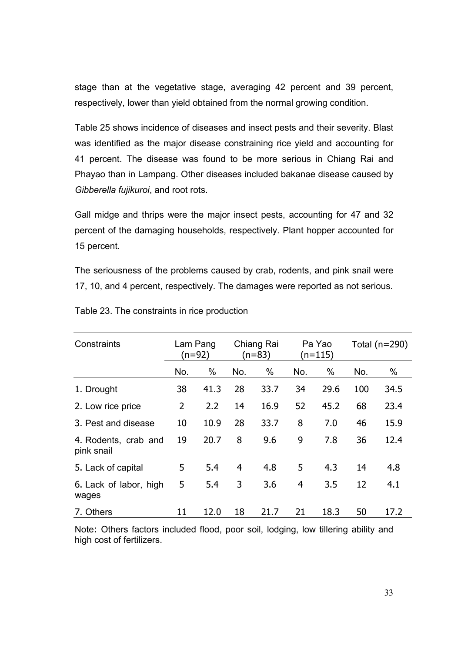stage than at the vegetative stage, averaging 42 percent and 39 percent, respectively, lower than yield obtained from the normal growing condition.

Table 25 shows incidence of diseases and insect pests and their severity. Blast was identified as the major disease constraining rice yield and accounting for 41 percent. The disease was found to be more serious in Chiang Rai and Phayao than in Lampang. Other diseases included bakanae disease caused by *Gibberella fujikuroi*, and root rots.

Gall midge and thrips were the major insect pests, accounting for 47 and 32 percent of the damaging households, respectively. Plant hopper accounted for 15 percent.

The seriousness of the problems caused by crab, rodents, and pink snail were 17, 10, and 4 percent, respectively. The damages were reported as not serious.

| Constraints                        | Lam Pang<br>$(n=92)$ |      |     | Pa Yao<br>Chiang Rai<br>(n=83)<br>(n=115) |     |      | Total $(n=290)$ |      |
|------------------------------------|----------------------|------|-----|-------------------------------------------|-----|------|-----------------|------|
|                                    | No.                  | %    | No. | %                                         | No. | $\%$ | No.             | %    |
| 1. Drought                         | 38                   | 41.3 | 28  | 33.7                                      | 34  | 29.6 | 100             | 34.5 |
| 2. Low rice price                  | $\overline{2}$       | 2.2  | 14  | 16.9                                      | 52  | 45.2 | 68              | 23.4 |
| 3. Pest and disease                | 10                   | 10.9 | 28  | 33.7                                      | 8   | 7.0  | 46              | 15.9 |
| 4. Rodents, crab and<br>pink snail | 19                   | 20.7 | 8   | 9.6                                       | 9   | 7.8  | 36              | 12.4 |
| 5. Lack of capital                 | 5                    | 5.4  | 4   | 4.8                                       | 5   | 4.3  | 14              | 4.8  |
| 6. Lack of labor, high<br>wages    | 5                    | 5.4  | 3   | 3.6                                       | 4   | 3.5  | 12              | 4.1  |
| 7. Others                          | 11                   | 12.0 | 18  | 21.7                                      | 21  | 18.3 | 50              | 17.2 |

Table 23. The constraints in rice production

Note: Others factors included flood, poor soil, lodging, low tillering ability and high cost of fertilizers.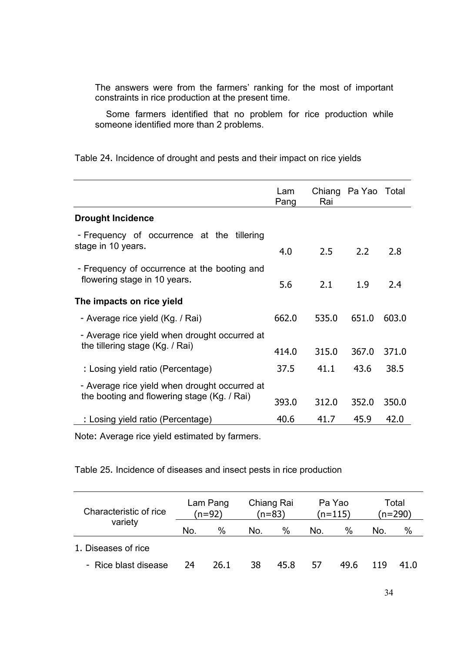The answers were from the farmers' ranking for the most of important constraints in rice production at the present time.

 Some farmers identified that no problem for rice production while someone identified more than 2 problems.

Table 24. Incidence of drought and pests and their impact on rice yields

|                                                                                              | Lam<br>Pang | Rai   | Chiang Pa Yao Total |       |
|----------------------------------------------------------------------------------------------|-------------|-------|---------------------|-------|
| <b>Drought Incidence</b>                                                                     |             |       |                     |       |
| - Frequency of occurrence at the<br>tillering<br>stage in 10 years.                          | 4.0         | 2.5   | 2.2                 | 2.8   |
| - Frequency of occurrence at the booting and<br>flowering stage in 10 years.                 | 5.6         | 2.1   | 1.9                 | 2.4   |
| The impacts on rice yield                                                                    |             |       |                     |       |
| - Average rice yield (Kg. / Rai)                                                             | 662.0       | 535.0 | 651.0               | 603.0 |
| - Average rice yield when drought occurred at                                                |             |       |                     |       |
| the tillering stage (Kg. / Rai)                                                              | 414.0       | 315.0 | 367.0               | 371.0 |
| : Losing yield ratio (Percentage)                                                            | 37.5        | 41.1  | 43.6                | 38.5  |
| - Average rice yield when drought occurred at<br>the booting and flowering stage (Kg. / Rai) | 393.0       | 312.0 | 352.0               | 350.0 |
| : Losing yield ratio (Percentage)                                                            | 40.6        | 41.7  | 45.9                | 42.0  |

Note: Average rice yield estimated by farmers.

Table 25. Incidence of diseases and insect pests in rice production

| Characteristic of rice | Lam Pang<br>(n=92) |      | Chiang Rai<br>$(n=83)$ |      | Pa Yao<br>$(n=115)$ |      | Total<br>(n=290) |      |
|------------------------|--------------------|------|------------------------|------|---------------------|------|------------------|------|
| variety                | No.                | %    | No.                    | %    | No.                 | %    | No.              | %    |
| 1. Diseases of rice    |                    |      |                        |      |                     |      |                  |      |
| - Rice blast disease   | 24                 | 26.1 | 38                     | 45.8 | 57                  | 49.6 | 119              | 41.0 |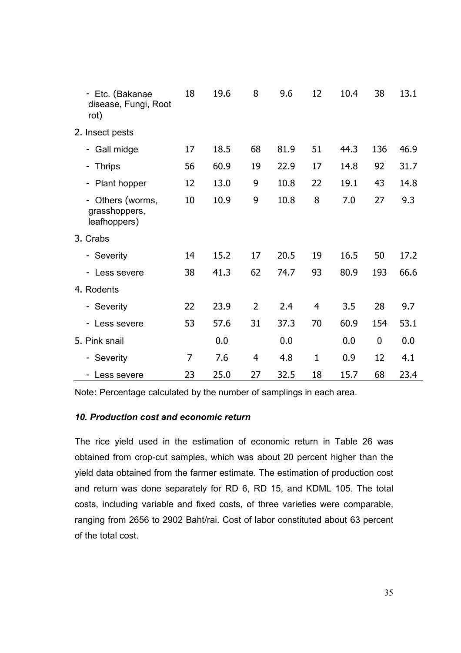| - Etc. (Bakanae<br>disease, Fungi, Root<br>rot) | 18             | 19.6 | 8              | 9.6  | 12             | 10.4 | 38             | 13.1 |
|-------------------------------------------------|----------------|------|----------------|------|----------------|------|----------------|------|
| 2. Insect pests                                 |                |      |                |      |                |      |                |      |
| Gall midge                                      | 17             | 18.5 | 68             | 81.9 | 51             | 44.3 | 136            | 46.9 |
| <b>Thrips</b><br>۰.                             | 56             | 60.9 | 19             | 22.9 | 17             | 14.8 | 92             | 31.7 |
| Plant hopper                                    | 12             | 13.0 | 9              | 10.8 | 22             | 19.1 | 43             | 14.8 |
| Others (worms,<br>grasshoppers,<br>leafhoppers) | 10             | 10.9 | 9              | 10.8 | 8              | 7.0  | 27             | 9.3  |
| 3. Crabs                                        |                |      |                |      |                |      |                |      |
| - Severity                                      | 14             | 15.2 | 17             | 20.5 | 19             | 16.5 | 50             | 17.2 |
| Less severe                                     | 38             | 41.3 | 62             | 74.7 | 93             | 80.9 | 193            | 66.6 |
| 4. Rodents                                      |                |      |                |      |                |      |                |      |
| - Severity                                      | 22             | 23.9 | $\overline{2}$ | 2.4  | $\overline{4}$ | 3.5  | 28             | 9.7  |
| Less severe                                     | 53             | 57.6 | 31             | 37.3 | 70             | 60.9 | 154            | 53.1 |
| 5. Pink snail                                   |                | 0.0  |                | 0.0  |                | 0.0  | $\overline{0}$ | 0.0  |
| - Severity                                      | $\overline{7}$ | 7.6  | $\overline{4}$ | 4.8  | $\mathbf{1}$   | 0.9  | 12             | 4.1  |
| - Less severe                                   | 23             | 25.0 | 27             | 32.5 | 18             | 15.7 | 68             | 23.4 |

Note: Percentage calculated by the number of samplings in each area.

## *10. Production cost and economic return*

The rice yield used in the estimation of economic return in Table 26 was obtained from crop-cut samples, which was about 20 percent higher than the yield data obtained from the farmer estimate. The estimation of production cost and return was done separately for RD 6, RD 15, and KDML 105. The total costs, including variable and fixed costs, of three varieties were comparable, ranging from 2656 to 2902 Baht/rai. Cost of labor constituted about 63 percent of the total cost.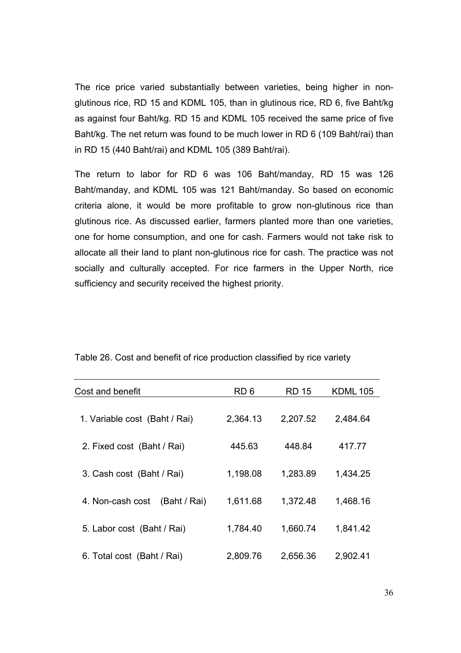The rice price varied substantially between varieties, being higher in nonglutinous rice, RD 15 and KDML 105, than in glutinous rice, RD 6, five Baht/kg as against four Baht/kg. RD 15 and KDML 105 received the same price of five Baht/kg. The net return was found to be much lower in RD 6 (109 Baht/rai) than in RD 15 (440 Baht/rai) and KDML 105 (389 Baht/rai).

The return to labor for RD 6 was 106 Baht/manday, RD 15 was 126 Baht/manday, and KDML 105 was 121 Baht/manday. So based on economic criteria alone, it would be more profitable to grow non-glutinous rice than glutinous rice. As discussed earlier, farmers planted more than one varieties, one for home consumption, and one for cash. Farmers would not take risk to allocate all their land to plant non-glutinous rice for cash. The practice was not socially and culturally accepted. For rice farmers in the Upper North, rice sufficiency and security received the highest priority.

| Cost and benefit                 | RD 6     | RD 15    | <b>KDML105</b> |
|----------------------------------|----------|----------|----------------|
| 1. Variable cost (Baht / Rai)    | 2,364.13 | 2,207.52 | 2,484.64       |
| 2. Fixed cost (Baht / Rai)       | 445.63   | 448.84   | 417.77         |
| 3. Cash cost (Baht / Rai)        | 1,198.08 | 1,283.89 | 1,434.25       |
| 4. Non-cash cost<br>(Baht / Rai) | 1,611.68 | 1,372.48 | 1,468.16       |
| 5. Labor cost (Baht / Rai)       | 1,784.40 | 1,660.74 | 1,841.42       |
| 6. Total cost (Baht / Rai)       | 2,809.76 | 2,656.36 | 2,902.41       |

Table 26. Cost and benefit of rice production classified by rice variety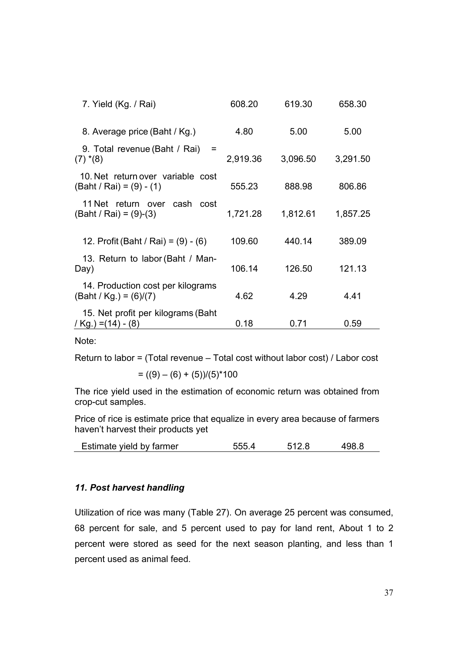| 7. Yield (Kg. / Rai)                                            | 608.20   | 619.30   | 658.30   |
|-----------------------------------------------------------------|----------|----------|----------|
| 8. Average price (Baht / Kg.)                                   | 4.80     | 5.00     | 5.00     |
| 9. Total revenue (Baht / Rai)<br>$=$<br>$(7)$ * $(8)$           | 2,919.36 | 3,096.50 | 3,291.50 |
| 10. Net return over variable cost<br>$(Baht / Rai) = (9) - (1)$ | 555.23   | 888.98   | 806.86   |
| 11 Net return over cash cost<br>$(Baht / Rai) = (9)-(3)$        | 1,721.28 | 1,812.61 | 1,857.25 |
| 12. Profit (Baht / Rai) = $(9) - (6)$                           | 109.60   | 440.14   | 389.09   |
| 13. Return to labor (Baht / Man-<br>Day)                        | 106.14   | 126.50   | 121.13   |
| 14. Production cost per kilograms<br>$(Baht / Kg.) = (6)/(7)$   | 4.62     | 4.29     | 4.41     |
| 15. Net profit per kilograms (Baht<br>/ Kg.) = $(14)$ - $(8)$   | 0.18     | 0.71     | 0.59     |

Note:

Return to labor = (Total revenue – Total cost without labor cost) / Labor cost

$$
= ((9) - (6) + (5)) / (5)^*100
$$

The rice yield used in the estimation of economic return was obtained from crop-cut samples.

Price of rice is estimate price that equalize in every area because of farmers haven't harvest their products yet

| Estimate vield by farmer |  |  | 498.8 |
|--------------------------|--|--|-------|
|--------------------------|--|--|-------|

#### *11. Post harvest handling*

Utilization of rice was many (Table 27). On average 25 percent was consumed, 68 percent for sale, and 5 percent used to pay for land rent, About 1 to 2 percent were stored as seed for the next season planting, and less than 1 percent used as animal feed.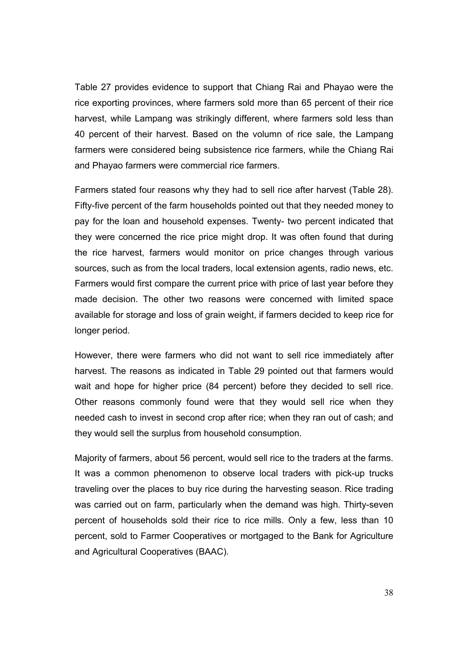Table 27 provides evidence to support that Chiang Rai and Phayao were the rice exporting provinces, where farmers sold more than 65 percent of their rice harvest, while Lampang was strikingly different, where farmers sold less than 40 percent of their harvest. Based on the volumn of rice sale, the Lampang farmers were considered being subsistence rice farmers, while the Chiang Rai and Phayao farmers were commercial rice farmers.

Farmers stated four reasons why they had to sell rice after harvest (Table 28). Fifty-five percent of the farm households pointed out that they needed money to pay for the loan and household expenses. Twenty- two percent indicated that they were concerned the rice price might drop. It was often found that during the rice harvest, farmers would monitor on price changes through various sources, such as from the local traders, local extension agents, radio news, etc. Farmers would first compare the current price with price of last year before they made decision. The other two reasons were concerned with limited space available for storage and loss of grain weight, if farmers decided to keep rice for longer period.

However, there were farmers who did not want to sell rice immediately after harvest. The reasons as indicated in Table 29 pointed out that farmers would wait and hope for higher price (84 percent) before they decided to sell rice. Other reasons commonly found were that they would sell rice when they needed cash to invest in second crop after rice; when they ran out of cash; and they would sell the surplus from household consumption.

Majority of farmers, about 56 percent, would sell rice to the traders at the farms. It was a common phenomenon to observe local traders with pick-up trucks traveling over the places to buy rice during the harvesting season. Rice trading was carried out on farm, particularly when the demand was high. Thirty-seven percent of households sold their rice to rice mills. Only a few, less than 10 percent, sold to Farmer Cooperatives or mortgaged to the Bank for Agriculture and Agricultural Cooperatives (BAAC).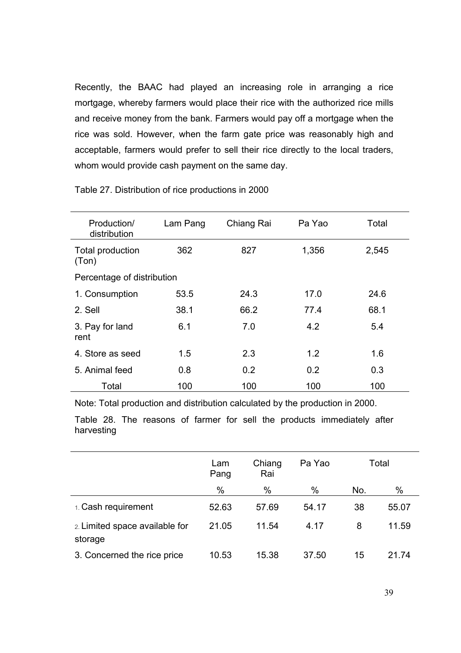Recently, the BAAC had played an increasing role in arranging a rice mortgage, whereby farmers would place their rice with the authorized rice mills and receive money from the bank. Farmers would pay off a mortgage when the rice was sold. However, when the farm gate price was reasonably high and acceptable, farmers would prefer to sell their rice directly to the local traders, whom would provide cash payment on the same day.

| Production/<br>distribution | Lam Pang | Chiang Rai | Pa Yao | Total |
|-----------------------------|----------|------------|--------|-------|
| Total production<br>(Ton)   | 362      | 827        | 1,356  | 2,545 |
| Percentage of distribution  |          |            |        |       |
| 1. Consumption              | 53.5     | 24.3       | 17.0   | 24.6  |
| 2. Sell                     | 38.1     | 66.2       | 77.4   | 68.1  |
| 3. Pay for land<br>rent     | 6.1      | 7.0        | 4.2    | 5.4   |
| 4. Store as seed            | 1.5      | 2.3        | 1.2    | 1.6   |
| 5. Animal feed              | 0.8      | 0.2        | 0.2    | 0.3   |
| Total                       | 100      | 100        | 100    | 100   |

#### Table 27. Distribution of rice productions in 2000

Note: Total production and distribution calculated by the production in 2000.

Table 28. The reasons of farmer for sell the products immediately after harvesting

|                                           | Lam<br>Pang | Chiang<br>Rai | Pa Yao | Total |       |
|-------------------------------------------|-------------|---------------|--------|-------|-------|
|                                           | %           | %             | $\%$   | No.   | $\%$  |
| 1. Cash requirement                       | 52.63       | 57.69         | 54.17  | 38    | 55.07 |
| 2. Limited space available for<br>storage | 21.05       | 11.54         | 4.17   | 8     | 11.59 |
| 3. Concerned the rice price               | 10.53       | 15.38         | 37.50  | 15    | 21 74 |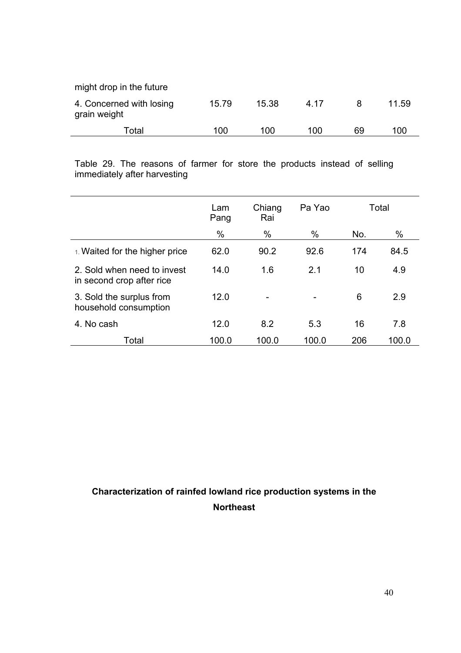| might drop in the future                 |       |       |      |    |       |
|------------------------------------------|-------|-------|------|----|-------|
| 4. Concerned with losing<br>grain weight | 15.79 | 15.38 | 4 17 |    | 11.59 |
| Total                                    | 100   | 100   | 100  | 69 | 100   |

Table 29. The reasons of farmer for store the products instead of selling immediately after harvesting

|                                                          | Lam<br>Pang | Chiang<br>Rai | Pa Yao |     | Total |
|----------------------------------------------------------|-------------|---------------|--------|-----|-------|
|                                                          | $\%$        | $\%$          | %      | No. | $\%$  |
| 1. Waited for the higher price                           | 62.0        | 90.2          | 92.6   | 174 | 84.5  |
| 2. Sold when need to invest<br>in second crop after rice | 14.0        | 1.6           | 2.1    | 10  | 4.9   |
| 3. Sold the surplus from<br>household consumption        | 12.0        |               |        | 6   | 2.9   |
| 4. No cash                                               | 12.0        | 8.2           | 5.3    | 16  | 7.8   |
| Total                                                    | 100.0       | 100.0         | 100.0  | 206 | 100.0 |

# **Characterization of rainfed lowland rice production systems in the Northeast**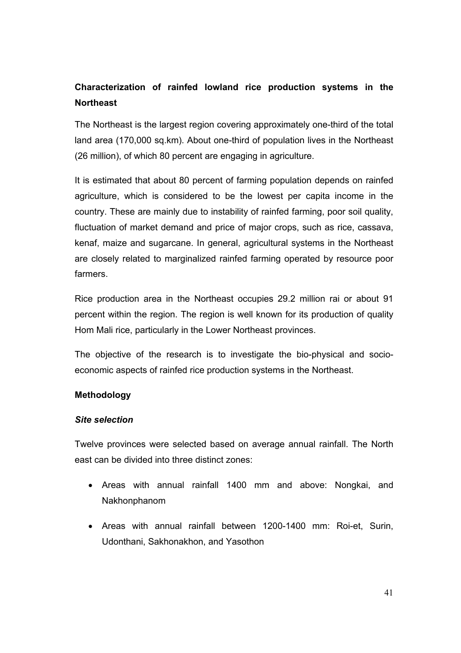# **Characterization of rainfed lowland rice production systems in the Northeast**

The Northeast is the largest region covering approximately one-third of the total land area (170,000 sq.km). About one-third of population lives in the Northeast (26 million), of which 80 percent are engaging in agriculture.

It is estimated that about 80 percent of farming population depends on rainfed agriculture, which is considered to be the lowest per capita income in the country. These are mainly due to instability of rainfed farming, poor soil quality, fluctuation of market demand and price of major crops, such as rice, cassava, kenaf, maize and sugarcane. In general, agricultural systems in the Northeast are closely related to marginalized rainfed farming operated by resource poor farmers.

Rice production area in the Northeast occupies 29.2 million rai or about 91 percent within the region. The region is well known for its production of quality Hom Mali rice, particularly in the Lower Northeast provinces.

The objective of the research is to investigate the bio-physical and socioeconomic aspects of rainfed rice production systems in the Northeast.

## **Methodology**

## *Site selection*

Twelve provinces were selected based on average annual rainfall. The North east can be divided into three distinct zones:

- Areas with annual rainfall 1400 mm and above: Nongkai, and Nakhonphanom
- Areas with annual rainfall between 1200-1400 mm: Roi-et, Surin, Udonthani, Sakhonakhon, and Yasothon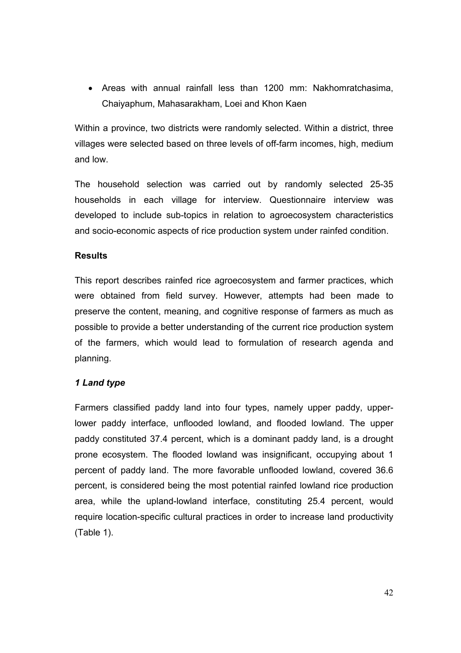• Areas with annual rainfall less than 1200 mm: Nakhomratchasima, Chaiyaphum, Mahasarakham, Loei and Khon Kaen

Within a province, two districts were randomly selected. Within a district, three villages were selected based on three levels of off-farm incomes, high, medium and low.

The household selection was carried out by randomly selected 25-35 households in each village for interview. Questionnaire interview was developed to include sub-topics in relation to agroecosystem characteristics and socio-economic aspects of rice production system under rainfed condition.

#### **Results**

This report describes rainfed rice agroecosystem and farmer practices, which were obtained from field survey. However, attempts had been made to preserve the content, meaning, and cognitive response of farmers as much as possible to provide a better understanding of the current rice production system of the farmers, which would lead to formulation of research agenda and planning.

#### *1 Land type*

Farmers classified paddy land into four types, namely upper paddy, upperlower paddy interface, unflooded lowland, and flooded lowland. The upper paddy constituted 37.4 percent, which is a dominant paddy land, is a drought prone ecosystem. The flooded lowland was insignificant, occupying about 1 percent of paddy land. The more favorable unflooded lowland, covered 36.6 percent, is considered being the most potential rainfed lowland rice production area, while the upland-lowland interface, constituting 25.4 percent, would require location-specific cultural practices in order to increase land productivity (Table 1).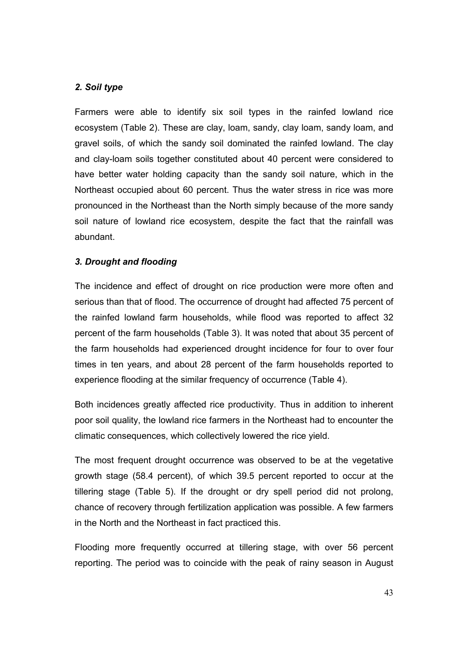## *2. Soil type*

Farmers were able to identify six soil types in the rainfed lowland rice ecosystem (Table 2). These are clay, loam, sandy, clay loam, sandy loam, and gravel soils, of which the sandy soil dominated the rainfed lowland. The clay and clay-loam soils together constituted about 40 percent were considered to have better water holding capacity than the sandy soil nature, which in the Northeast occupied about 60 percent. Thus the water stress in rice was more pronounced in the Northeast than the North simply because of the more sandy soil nature of lowland rice ecosystem, despite the fact that the rainfall was abundant.

## *3. Drought and flooding*

The incidence and effect of drought on rice production were more often and serious than that of flood. The occurrence of drought had affected 75 percent of the rainfed lowland farm households, while flood was reported to affect 32 percent of the farm households (Table 3). It was noted that about 35 percent of the farm households had experienced drought incidence for four to over four times in ten years, and about 28 percent of the farm households reported to experience flooding at the similar frequency of occurrence (Table 4).

Both incidences greatly affected rice productivity. Thus in addition to inherent poor soil quality, the lowland rice farmers in the Northeast had to encounter the climatic consequences, which collectively lowered the rice yield.

The most frequent drought occurrence was observed to be at the vegetative growth stage (58.4 percent), of which 39.5 percent reported to occur at the tillering stage (Table 5). If the drought or dry spell period did not prolong, chance of recovery through fertilization application was possible. A few farmers in the North and the Northeast in fact practiced this.

Flooding more frequently occurred at tillering stage, with over 56 percent reporting. The period was to coincide with the peak of rainy season in August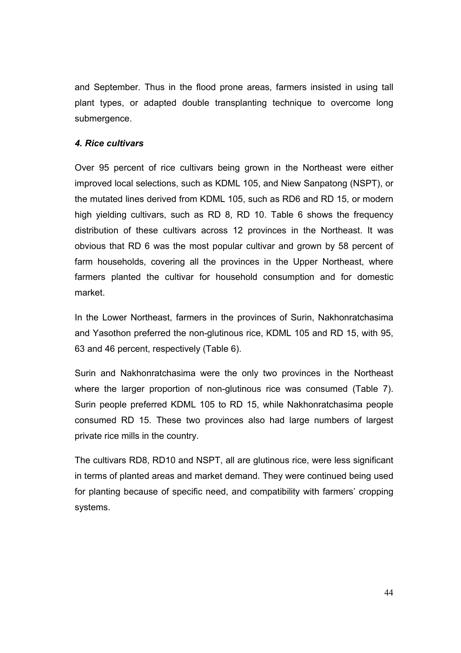and September. Thus in the flood prone areas, farmers insisted in using tall plant types, or adapted double transplanting technique to overcome long submergence.

#### *4. Rice cultivars*

Over 95 percent of rice cultivars being grown in the Northeast were either improved local selections, such as KDML 105, and Niew Sanpatong (NSPT), or the mutated lines derived from KDML 105, such as RD6 and RD 15, or modern high yielding cultivars, such as RD 8, RD 10. Table 6 shows the frequency distribution of these cultivars across 12 provinces in the Northeast. It was obvious that RD 6 was the most popular cultivar and grown by 58 percent of farm households, covering all the provinces in the Upper Northeast, where farmers planted the cultivar for household consumption and for domestic market.

In the Lower Northeast, farmers in the provinces of Surin, Nakhonratchasima and Yasothon preferred the non-glutinous rice, KDML 105 and RD 15, with 95, 63 and 46 percent, respectively (Table 6).

Surin and Nakhonratchasima were the only two provinces in the Northeast where the larger proportion of non-glutinous rice was consumed (Table 7). Surin people preferred KDML 105 to RD 15, while Nakhonratchasima people consumed RD 15. These two provinces also had large numbers of largest private rice mills in the country.

The cultivars RD8, RD10 and NSPT, all are glutinous rice, were less significant in terms of planted areas and market demand. They were continued being used for planting because of specific need, and compatibility with farmers' cropping systems.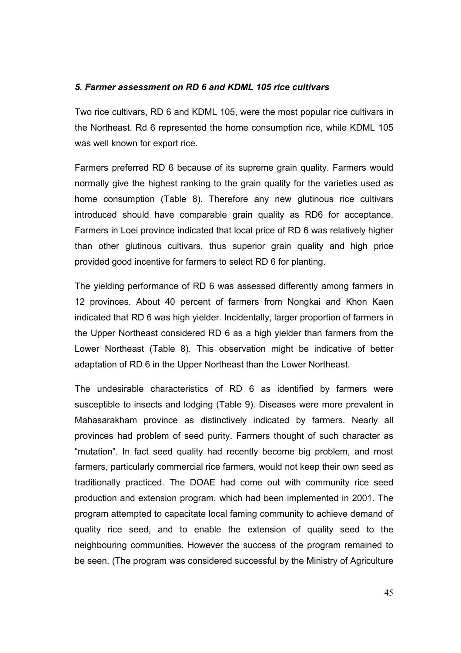#### *5. Farmer assessment on RD 6 and KDML 105 rice cultivars*

Two rice cultivars, RD 6 and KDML 105, were the most popular rice cultivars in the Northeast. Rd 6 represented the home consumption rice, while KDML 105 was well known for export rice.

Farmers preferred RD 6 because of its supreme grain quality. Farmers would normally give the highest ranking to the grain quality for the varieties used as home consumption (Table 8). Therefore any new glutinous rice cultivars introduced should have comparable grain quality as RD6 for acceptance. Farmers in Loei province indicated that local price of RD 6 was relatively higher than other glutinous cultivars, thus superior grain quality and high price provided good incentive for farmers to select RD 6 for planting.

The yielding performance of RD 6 was assessed differently among farmers in 12 provinces. About 40 percent of farmers from Nongkai and Khon Kaen indicated that RD 6 was high yielder. Incidentally, larger proportion of farmers in the Upper Northeast considered RD 6 as a high yielder than farmers from the Lower Northeast (Table 8). This observation might be indicative of better adaptation of RD 6 in the Upper Northeast than the Lower Northeast.

The undesirable characteristics of RD 6 as identified by farmers were susceptible to insects and lodging (Table 9). Diseases were more prevalent in Mahasarakham province as distinctively indicated by farmers. Nearly all provinces had problem of seed purity. Farmers thought of such character as "mutation". In fact seed quality had recently become big problem, and most farmers, particularly commercial rice farmers, would not keep their own seed as traditionally practiced. The DOAE had come out with community rice seed production and extension program, which had been implemented in 2001. The program attempted to capacitate local faming community to achieve demand of quality rice seed, and to enable the extension of quality seed to the neighbouring communities. However the success of the program remained to be seen. (The program was considered successful by the Ministry of Agriculture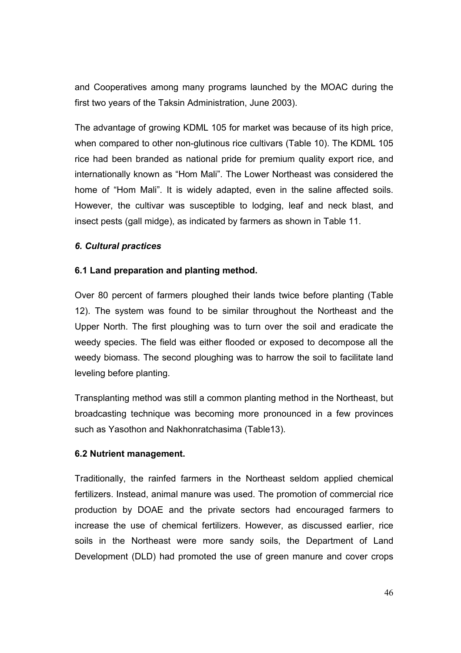and Cooperatives among many programs launched by the MOAC during the first two years of the Taksin Administration, June 2003).

The advantage of growing KDML 105 for market was because of its high price, when compared to other non-glutinous rice cultivars (Table 10). The KDML 105 rice had been branded as national pride for premium quality export rice, and internationally known as "Hom Mali". The Lower Northeast was considered the home of "Hom Mali". It is widely adapted, even in the saline affected soils. However, the cultivar was susceptible to lodging, leaf and neck blast, and insect pests (gall midge), as indicated by farmers as shown in Table 11.

## *6. Cultural practices*

## **6.1 Land preparation and planting method.**

Over 80 percent of farmers ploughed their lands twice before planting (Table 12). The system was found to be similar throughout the Northeast and the Upper North. The first ploughing was to turn over the soil and eradicate the weedy species. The field was either flooded or exposed to decompose all the weedy biomass. The second ploughing was to harrow the soil to facilitate land leveling before planting.

Transplanting method was still a common planting method in the Northeast, but broadcasting technique was becoming more pronounced in a few provinces such as Yasothon and Nakhonratchasima (Table13).

## **6.2 Nutrient management.**

Traditionally, the rainfed farmers in the Northeast seldom applied chemical fertilizers. Instead, animal manure was used. The promotion of commercial rice production by DOAE and the private sectors had encouraged farmers to increase the use of chemical fertilizers. However, as discussed earlier, rice soils in the Northeast were more sandy soils, the Department of Land Development (DLD) had promoted the use of green manure and cover crops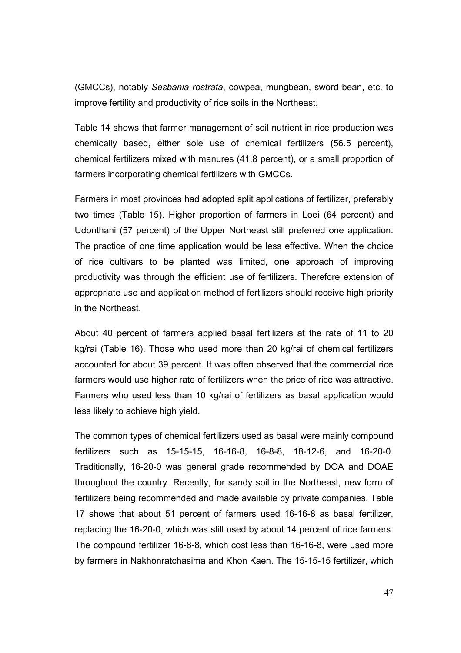(GMCCs), notably *Sesbania rostrata*, cowpea, mungbean, sword bean, etc. to improve fertility and productivity of rice soils in the Northeast.

Table 14 shows that farmer management of soil nutrient in rice production was chemically based, either sole use of chemical fertilizers (56.5 percent), chemical fertilizers mixed with manures (41.8 percent), or a small proportion of farmers incorporating chemical fertilizers with GMCCs.

Farmers in most provinces had adopted split applications of fertilizer, preferably two times (Table 15). Higher proportion of farmers in Loei (64 percent) and Udonthani (57 percent) of the Upper Northeast still preferred one application. The practice of one time application would be less effective. When the choice of rice cultivars to be planted was limited, one approach of improving productivity was through the efficient use of fertilizers. Therefore extension of appropriate use and application method of fertilizers should receive high priority in the Northeast.

About 40 percent of farmers applied basal fertilizers at the rate of 11 to 20 kg/rai (Table 16). Those who used more than 20 kg/rai of chemical fertilizers accounted for about 39 percent. It was often observed that the commercial rice farmers would use higher rate of fertilizers when the price of rice was attractive. Farmers who used less than 10 kg/rai of fertilizers as basal application would less likely to achieve high yield.

The common types of chemical fertilizers used as basal were mainly compound fertilizers such as 15-15-15, 16-16-8, 16-8-8, 18-12-6, and 16-20-0. Traditionally, 16-20-0 was general grade recommended by DOA and DOAE throughout the country. Recently, for sandy soil in the Northeast, new form of fertilizers being recommended and made available by private companies. Table 17 shows that about 51 percent of farmers used 16-16-8 as basal fertilizer, replacing the 16-20-0, which was still used by about 14 percent of rice farmers. The compound fertilizer 16-8-8, which cost less than 16-16-8, were used more by farmers in Nakhonratchasima and Khon Kaen. The 15-15-15 fertilizer, which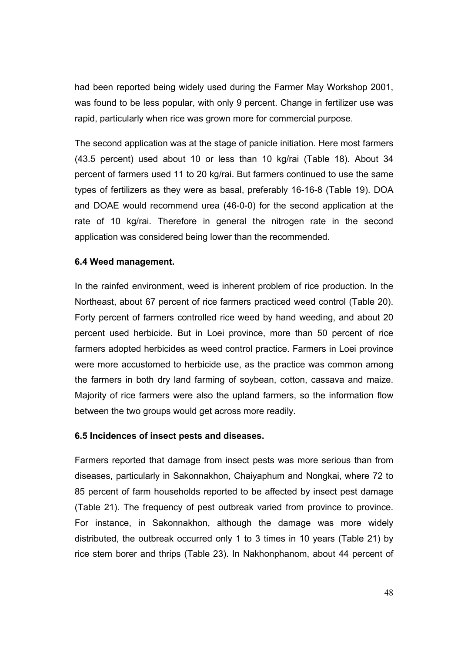had been reported being widely used during the Farmer May Workshop 2001, was found to be less popular, with only 9 percent. Change in fertilizer use was rapid, particularly when rice was grown more for commercial purpose.

The second application was at the stage of panicle initiation. Here most farmers (43.5 percent) used about 10 or less than 10 kg/rai (Table 18). About 34 percent of farmers used 11 to 20 kg/rai. But farmers continued to use the same types of fertilizers as they were as basal, preferably 16-16-8 (Table 19). DOA and DOAE would recommend urea (46-0-0) for the second application at the rate of 10 kg/rai. Therefore in general the nitrogen rate in the second application was considered being lower than the recommended.

#### **6.4 Weed management.**

In the rainfed environment, weed is inherent problem of rice production. In the Northeast, about 67 percent of rice farmers practiced weed control (Table 20). Forty percent of farmers controlled rice weed by hand weeding, and about 20 percent used herbicide. But in Loei province, more than 50 percent of rice farmers adopted herbicides as weed control practice. Farmers in Loei province were more accustomed to herbicide use, as the practice was common among the farmers in both dry land farming of soybean, cotton, cassava and maize. Majority of rice farmers were also the upland farmers, so the information flow between the two groups would get across more readily.

#### **6.5 Incidences of insect pests and diseases.**

Farmers reported that damage from insect pests was more serious than from diseases, particularly in Sakonnakhon, Chaiyaphum and Nongkai, where 72 to 85 percent of farm households reported to be affected by insect pest damage (Table 21). The frequency of pest outbreak varied from province to province. For instance, in Sakonnakhon, although the damage was more widely distributed, the outbreak occurred only 1 to 3 times in 10 years (Table 21) by rice stem borer and thrips (Table 23). In Nakhonphanom, about 44 percent of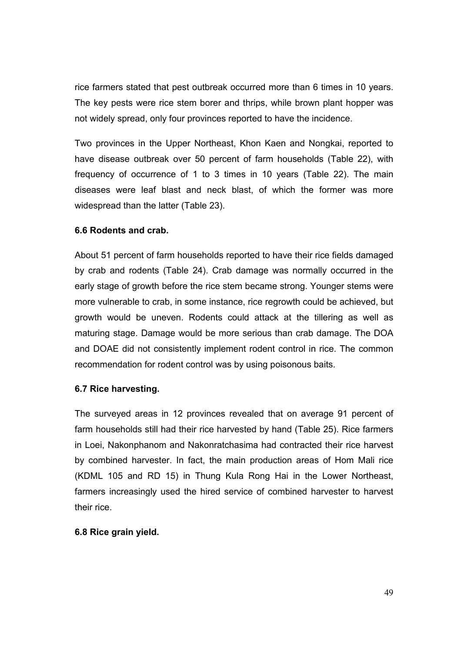rice farmers stated that pest outbreak occurred more than 6 times in 10 years. The key pests were rice stem borer and thrips, while brown plant hopper was not widely spread, only four provinces reported to have the incidence.

Two provinces in the Upper Northeast, Khon Kaen and Nongkai, reported to have disease outbreak over 50 percent of farm households (Table 22), with frequency of occurrence of 1 to 3 times in 10 years (Table 22). The main diseases were leaf blast and neck blast, of which the former was more widespread than the latter (Table 23).

## **6.6 Rodents and crab.**

About 51 percent of farm households reported to have their rice fields damaged by crab and rodents (Table 24). Crab damage was normally occurred in the early stage of growth before the rice stem became strong. Younger stems were more vulnerable to crab, in some instance, rice regrowth could be achieved, but growth would be uneven. Rodents could attack at the tillering as well as maturing stage. Damage would be more serious than crab damage. The DOA and DOAE did not consistently implement rodent control in rice. The common recommendation for rodent control was by using poisonous baits.

## **6.7 Rice harvesting.**

The surveyed areas in 12 provinces revealed that on average 91 percent of farm households still had their rice harvested by hand (Table 25). Rice farmers in Loei, Nakonphanom and Nakonratchasima had contracted their rice harvest by combined harvester. In fact, the main production areas of Hom Mali rice (KDML 105 and RD 15) in Thung Kula Rong Hai in the Lower Northeast, farmers increasingly used the hired service of combined harvester to harvest their rice.

## **6.8 Rice grain yield.**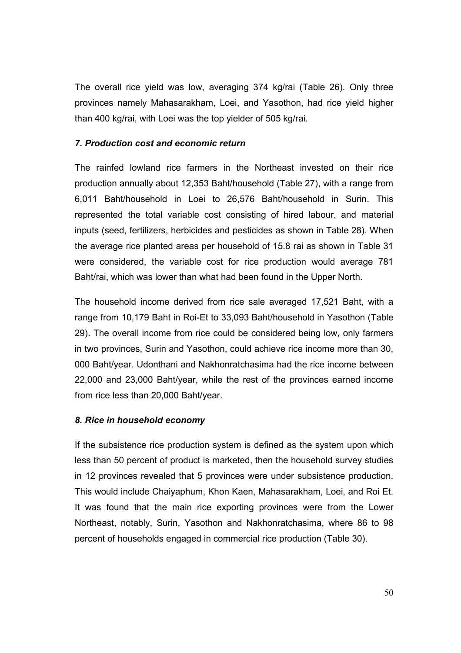The overall rice yield was low, averaging 374 kg/rai (Table 26). Only three provinces namely Mahasarakham, Loei, and Yasothon, had rice yield higher than 400 kg/rai, with Loei was the top yielder of 505 kg/rai.

#### *7. Production cost and economic return*

The rainfed lowland rice farmers in the Northeast invested on their rice production annually about 12,353 Baht/household (Table 27), with a range from 6,011 Baht/household in Loei to 26,576 Baht/household in Surin. This represented the total variable cost consisting of hired labour, and material inputs (seed, fertilizers, herbicides and pesticides as shown in Table 28). When the average rice planted areas per household of 15.8 rai as shown in Table 31 were considered, the variable cost for rice production would average 781 Baht/rai, which was lower than what had been found in the Upper North.

The household income derived from rice sale averaged 17,521 Baht, with a range from 10,179 Baht in Roi-Et to 33,093 Baht/household in Yasothon (Table 29). The overall income from rice could be considered being low, only farmers in two provinces, Surin and Yasothon, could achieve rice income more than 30, 000 Baht/year. Udonthani and Nakhonratchasima had the rice income between 22,000 and 23,000 Baht/year, while the rest of the provinces earned income from rice less than 20,000 Baht/year.

## *8. Rice in household economy*

If the subsistence rice production system is defined as the system upon which less than 50 percent of product is marketed, then the household survey studies in 12 provinces revealed that 5 provinces were under subsistence production. This would include Chaiyaphum, Khon Kaen, Mahasarakham, Loei, and Roi Et. It was found that the main rice exporting provinces were from the Lower Northeast, notably, Surin, Yasothon and Nakhonratchasima, where 86 to 98 percent of households engaged in commercial rice production (Table 30).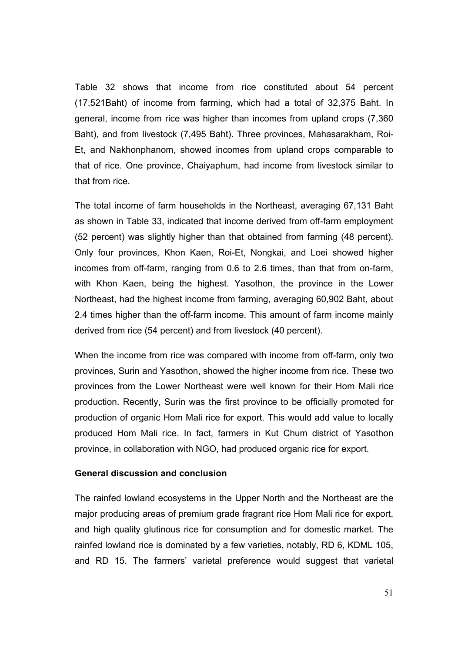Table 32 shows that income from rice constituted about 54 percent (17,521Baht) of income from farming, which had a total of 32,375 Baht. In general, income from rice was higher than incomes from upland crops (7,360 Baht), and from livestock (7,495 Baht). Three provinces, Mahasarakham, Roi-Et, and Nakhonphanom, showed incomes from upland crops comparable to that of rice. One province, Chaiyaphum, had income from livestock similar to that from rice.

The total income of farm households in the Northeast, averaging 67,131 Baht as shown in Table 33, indicated that income derived from off-farm employment (52 percent) was slightly higher than that obtained from farming (48 percent). Only four provinces, Khon Kaen, Roi-Et, Nongkai, and Loei showed higher incomes from off-farm, ranging from 0.6 to 2.6 times, than that from on-farm, with Khon Kaen, being the highest. Yasothon, the province in the Lower Northeast, had the highest income from farming, averaging 60,902 Baht, about 2.4 times higher than the off-farm income. This amount of farm income mainly derived from rice (54 percent) and from livestock (40 percent).

When the income from rice was compared with income from off-farm, only two provinces, Surin and Yasothon, showed the higher income from rice. These two provinces from the Lower Northeast were well known for their Hom Mali rice production. Recently, Surin was the first province to be officially promoted for production of organic Hom Mali rice for export. This would add value to locally produced Hom Mali rice. In fact, farmers in Kut Chum district of Yasothon province, in collaboration with NGO, had produced organic rice for export.

#### **General discussion and conclusion**

The rainfed lowland ecosystems in the Upper North and the Northeast are the major producing areas of premium grade fragrant rice Hom Mali rice for export, and high quality glutinous rice for consumption and for domestic market. The rainfed lowland rice is dominated by a few varieties, notably, RD 6, KDML 105, and RD 15. The farmers' varietal preference would suggest that varietal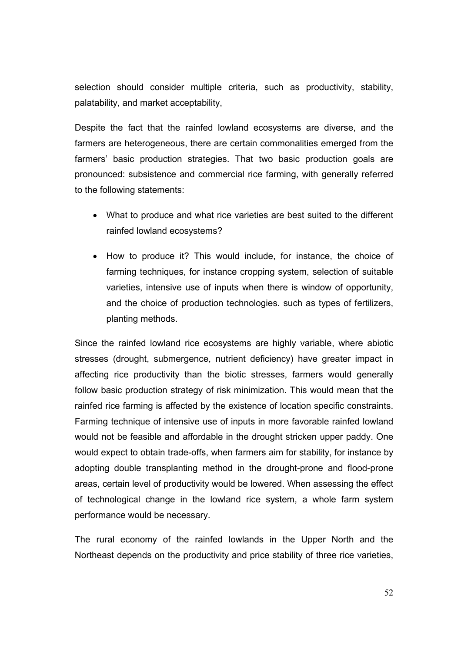selection should consider multiple criteria, such as productivity, stability, palatability, and market acceptability,

Despite the fact that the rainfed lowland ecosystems are diverse, and the farmers are heterogeneous, there are certain commonalities emerged from the farmers' basic production strategies. That two basic production goals are pronounced: subsistence and commercial rice farming, with generally referred to the following statements:

- What to produce and what rice varieties are best suited to the different rainfed lowland ecosystems?
- How to produce it? This would include, for instance, the choice of farming techniques, for instance cropping system, selection of suitable varieties, intensive use of inputs when there is window of opportunity, and the choice of production technologies. such as types of fertilizers, planting methods.

Since the rainfed lowland rice ecosystems are highly variable, where abiotic stresses (drought, submergence, nutrient deficiency) have greater impact in affecting rice productivity than the biotic stresses, farmers would generally follow basic production strategy of risk minimization. This would mean that the rainfed rice farming is affected by the existence of location specific constraints. Farming technique of intensive use of inputs in more favorable rainfed lowland would not be feasible and affordable in the drought stricken upper paddy. One would expect to obtain trade-offs, when farmers aim for stability, for instance by adopting double transplanting method in the drought-prone and flood-prone areas, certain level of productivity would be lowered. When assessing the effect of technological change in the lowland rice system, a whole farm system performance would be necessary.

The rural economy of the rainfed lowlands in the Upper North and the Northeast depends on the productivity and price stability of three rice varieties,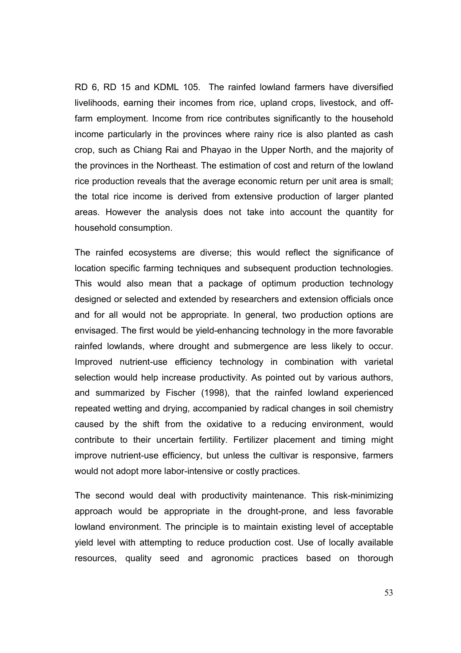RD 6, RD 15 and KDML 105. The rainfed lowland farmers have diversified livelihoods, earning their incomes from rice, upland crops, livestock, and offfarm employment. Income from rice contributes significantly to the household income particularly in the provinces where rainy rice is also planted as cash crop, such as Chiang Rai and Phayao in the Upper North, and the majority of the provinces in the Northeast. The estimation of cost and return of the lowland rice production reveals that the average economic return per unit area is small; the total rice income is derived from extensive production of larger planted areas. However the analysis does not take into account the quantity for household consumption.

The rainfed ecosystems are diverse; this would reflect the significance of location specific farming techniques and subsequent production technologies. This would also mean that a package of optimum production technology designed or selected and extended by researchers and extension officials once and for all would not be appropriate. In general, two production options are envisaged. The first would be yield-enhancing technology in the more favorable rainfed lowlands, where drought and submergence are less likely to occur. Improved nutrient-use efficiency technology in combination with varietal selection would help increase productivity. As pointed out by various authors, and summarized by Fischer (1998), that the rainfed lowland experienced repeated wetting and drying, accompanied by radical changes in soil chemistry caused by the shift from the oxidative to a reducing environment, would contribute to their uncertain fertility. Fertilizer placement and timing might improve nutrient-use efficiency, but unless the cultivar is responsive, farmers would not adopt more labor-intensive or costly practices.

The second would deal with productivity maintenance. This risk-minimizing approach would be appropriate in the drought-prone, and less favorable lowland environment. The principle is to maintain existing level of acceptable yield level with attempting to reduce production cost. Use of locally available resources, quality seed and agronomic practices based on thorough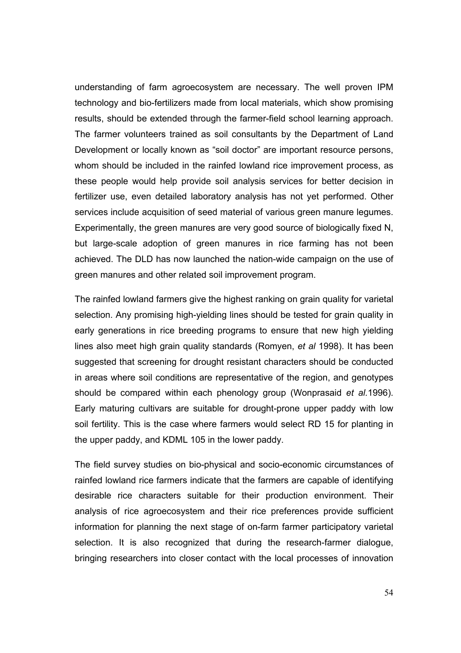understanding of farm agroecosystem are necessary. The well proven IPM technology and bio-fertilizers made from local materials, which show promising results, should be extended through the farmer-field school learning approach. The farmer volunteers trained as soil consultants by the Department of Land Development or locally known as "soil doctor" are important resource persons, whom should be included in the rainfed lowland rice improvement process, as these people would help provide soil analysis services for better decision in fertilizer use, even detailed laboratory analysis has not yet performed. Other services include acquisition of seed material of various green manure legumes. Experimentally, the green manures are very good source of biologically fixed N, but large-scale adoption of green manures in rice farming has not been achieved. The DLD has now launched the nation-wide campaign on the use of green manures and other related soil improvement program.

The rainfed lowland farmers give the highest ranking on grain quality for varietal selection. Any promising high-yielding lines should be tested for grain quality in early generations in rice breeding programs to ensure that new high yielding lines also meet high grain quality standards (Romyen, *et al* 1998). It has been suggested that screening for drought resistant characters should be conducted in areas where soil conditions are representative of the region, and genotypes should be compared within each phenology group (Wonprasaid *et al.*1996). Early maturing cultivars are suitable for drought-prone upper paddy with low soil fertility. This is the case where farmers would select RD 15 for planting in the upper paddy, and KDML 105 in the lower paddy.

The field survey studies on bio-physical and socio-economic circumstances of rainfed lowland rice farmers indicate that the farmers are capable of identifying desirable rice characters suitable for their production environment. Their analysis of rice agroecosystem and their rice preferences provide sufficient information for planning the next stage of on-farm farmer participatory varietal selection. It is also recognized that during the research-farmer dialogue, bringing researchers into closer contact with the local processes of innovation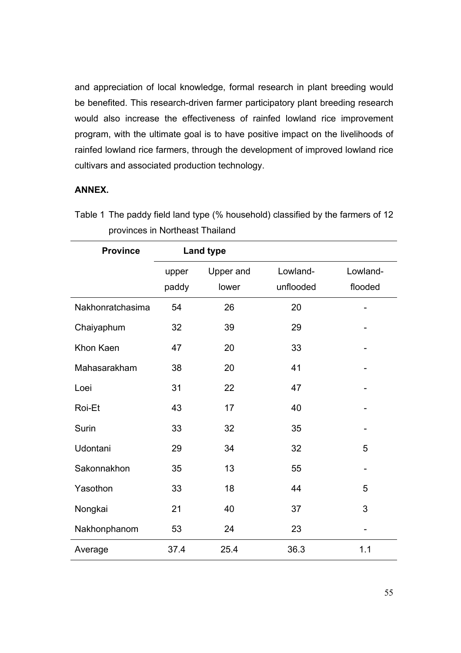and appreciation of local knowledge, formal research in plant breeding would be benefited. This research-driven farmer participatory plant breeding research would also increase the effectiveness of rainfed lowland rice improvement program, with the ultimate goal is to have positive impact on the livelihoods of rainfed lowland rice farmers, through the development of improved lowland rice cultivars and associated production technology.

#### **ANNEX.**

| <b>Province</b>  |       | <b>Land type</b> |           |                   |
|------------------|-------|------------------|-----------|-------------------|
|                  | upper | Upper and        | Lowland-  | Lowland-          |
|                  | paddy | lower            | unflooded | flooded           |
| Nakhonratchasima | 54    | 26               | 20        |                   |
| Chaiyaphum       | 32    | 39               | 29        |                   |
| Khon Kaen        | 47    | 20               | 33        |                   |
| Mahasarakham     | 38    | 20               | 41        |                   |
| Loei             | 31    | 22               | 47        |                   |
| Roi-Et           | 43    | 17               | 40        |                   |
| Surin            | 33    | 32               | 35        | $\qquad \qquad -$ |
| Udontani         | 29    | 34               | 32        | 5                 |
| Sakonnakhon      | 35    | 13               | 55        |                   |
| Yasothon         | 33    | 18               | 44        | 5                 |
| Nongkai          | 21    | 40               | 37        | 3                 |
| Nakhonphanom     | 53    | 24               | 23        |                   |
| Average          | 37.4  | 25.4             | 36.3      | 1.1               |

Table 1 The paddy field land type (% household) classified by the farmers of 12 provinces in Northeast Thailand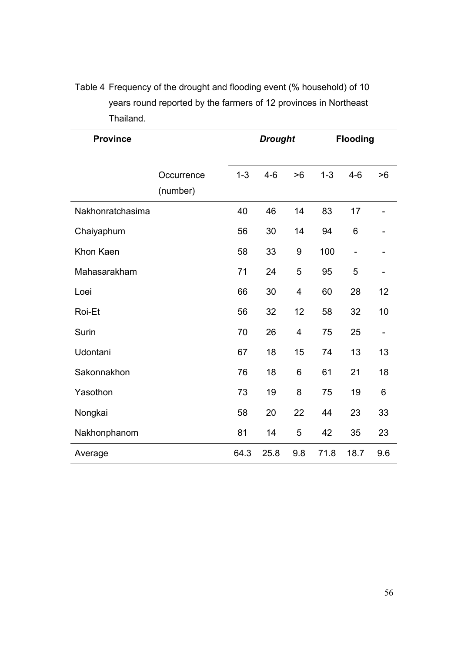| <b>Province</b>  |                        | <b>Drought</b> |         |     | <b>Flooding</b> |         |                   |
|------------------|------------------------|----------------|---------|-----|-----------------|---------|-------------------|
|                  | Occurrence<br>(number) | $1 - 3$        | $4 - 6$ | >6  | $1 - 3$         | $4 - 6$ | >6                |
| Nakhonratchasima |                        | 40             | 46      | 14  | 83              | 17      |                   |
| Chaiyaphum       |                        | 56             | 30      | 14  | 94              | 6       |                   |
| Khon Kaen        |                        | 58             | 33      | 9   | 100             |         |                   |
| Mahasarakham     |                        | 71             | 24      | 5   | 95              | 5       |                   |
| Loei             |                        | 66             | 30      | 4   | 60              | 28      | 12                |
| Roi-Et           |                        | 56             | 32      | 12  | 58              | 32      | 10                |
| Surin            |                        | 70             | 26      | 4   | 75              | 25      | $\qquad \qquad -$ |
| Udontani         |                        | 67             | 18      | 15  | 74              | 13      | 13                |
| Sakonnakhon      |                        | 76             | 18      | 6   | 61              | 21      | 18                |
| Yasothon         |                        | 73             | 19      | 8   | 75              | 19      | 6                 |
| Nongkai          |                        | 58             | 20      | 22  | 44              | 23      | 33                |
| Nakhonphanom     |                        | 81             | 14      | 5   | 42              | 35      | 23                |
| Average          |                        | 64.3           | 25.8    | 9.8 | 71.8            | 18.7    | 9.6               |

Table 4 Frequency of the drought and flooding event (% household) of 10 years round reported by the farmers of 12 provinces in Northeast Thailand.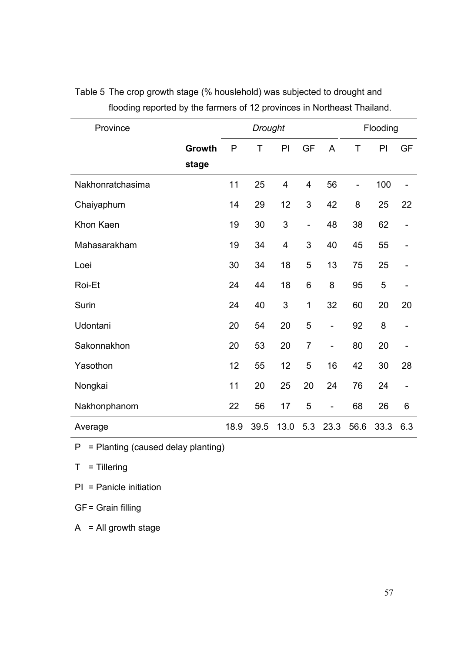| Province         |        |              | <b>Drought</b> |                         |                          |                          |             | Flooding |                              |
|------------------|--------|--------------|----------------|-------------------------|--------------------------|--------------------------|-------------|----------|------------------------------|
|                  | Growth | $\mathsf{P}$ | T              | PI                      | <b>GF</b>                | $\overline{A}$           | $\mathsf T$ | PI       | <b>GF</b>                    |
|                  | stage  |              |                |                         |                          |                          |             |          |                              |
| Nakhonratchasima |        | 11           | 25             | $\overline{\mathbf{4}}$ | $\overline{4}$           | 56                       | -           | 100      | $\overline{\phantom{0}}$     |
| Chaiyaphum       |        | 14           | 29             | 12                      | 3                        | 42                       | 8           | 25       | 22                           |
| Khon Kaen        |        | 19           | 30             | $\sqrt{3}$              | $\overline{\phantom{0}}$ | 48                       | 38          | 62       |                              |
| Mahasarakham     |        | 19           | 34             | $\overline{\mathbf{4}}$ | 3                        | 40                       | 45          | 55       | $\overline{\phantom{0}}$     |
| Loei             |        | 30           | 34             | 18                      | 5                        | 13                       | 75          | 25       |                              |
| Roi-Et           |        | 24           | 44             | 18                      | $6\phantom{1}$           | 8                        | 95          | 5        |                              |
| Surin            |        | 24           | 40             | 3                       | 1                        | 32                       | 60          | 20       | 20                           |
| Udontani         |        | 20           | 54             | 20                      | 5                        | -                        | 92          | 8        |                              |
| Sakonnakhon      |        | 20           | 53             | 20                      | $\overline{7}$           | $\overline{\phantom{a}}$ | 80          | 20       |                              |
| Yasothon         |        | 12           | 55             | 12                      | 5                        | 16                       | 42          | 30       | 28                           |
| Nongkai          |        | 11           | 20             | 25                      | 20                       | 24                       | 76          | 24       | $\qquad \qquad \blacksquare$ |
| Nakhonphanom     |        | 22           | 56             | 17                      | 5                        | $\overline{\phantom{a}}$ | 68          | 26       | 6                            |
| Average          |        | 18.9         | 39.5           | 13.0                    | 5.3                      | 23.3                     | 56.6        | 33.3     | 6.3                          |

# Table 5 The crop growth stage (% houslehold) was subjected to drought and flooding reported by the farmers of 12 provinces in Northeast Thailand.

 $P =$  Planting (caused delay planting)

 $T =$  Tillering

PI = Panicle initiation

GF = Grain filling

 $A = All growth stage$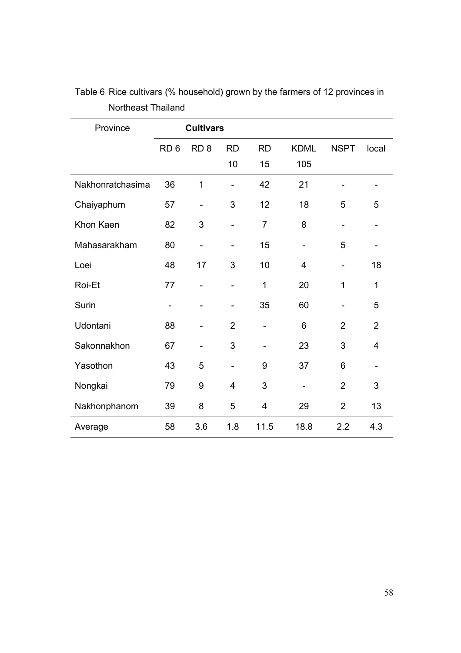| Province         |                 | <b>Cultivars</b>             |                              |                              |                          |                          |                              |
|------------------|-----------------|------------------------------|------------------------------|------------------------------|--------------------------|--------------------------|------------------------------|
|                  | RD <sub>6</sub> | RD <sub>8</sub>              | <b>RD</b>                    | <b>RD</b>                    | <b>KDML</b>              | <b>NSPT</b>              | local                        |
|                  |                 |                              | 10                           | 15                           | 105                      |                          |                              |
| Nakhonratchasima | 36              | 1                            | $\overline{a}$               | 42                           | 21                       |                          | -                            |
| Chaiyaphum       | 57              | $\overline{\phantom{a}}$     | 3                            | 12                           | 18                       | 5                        | 5                            |
| Khon Kaen        | 82              | 3                            | $\overline{a}$               | $\overline{7}$               | 8                        |                          |                              |
| Mahasarakham     | 80              | $\overline{\phantom{0}}$     | $\overline{\phantom{a}}$     | 15                           | $\overline{\phantom{a}}$ | 5                        | $\qquad \qquad \blacksquare$ |
| Loei             | 48              | 17                           | 3                            | 10                           | 4                        | $\overline{\phantom{0}}$ | 18                           |
| Roi-Et           | 77              | $\overline{\phantom{0}}$     | $\qquad \qquad \blacksquare$ | 1                            | 20                       | $\mathbf 1$              | $\mathbf 1$                  |
| Surin            | $\hbox{--}$     | $\qquad \qquad \blacksquare$ | $\overline{\phantom{a}}$     | 35                           | 60                       |                          | 5                            |
| Udontani         | 88              |                              | $\overline{2}$               | $\qquad \qquad \blacksquare$ | 6                        | $\overline{2}$           | $\overline{2}$               |
| Sakonnakhon      | 67              | $\overline{\phantom{0}}$     | 3                            |                              | 23                       | 3                        | 4                            |
| Yasothon         | 43              | 5                            | $\qquad \qquad -$            | 9                            | 37                       | 6                        | $\overline{\phantom{0}}$     |
| Nongkai          | 79              | 9                            | $\overline{4}$               | 3                            | -                        | $\overline{2}$           | 3                            |
| Nakhonphanom     | 39              | 8                            | 5                            | 4                            | 29                       | $\overline{2}$           | 13                           |
| Average          | 58              | 3.6                          | 1.8                          | 11.5                         | 18.8                     | 2.2                      | 4.3                          |

Table 6 Rice cultivars (% household) grown by the farmers of 12 provinces in Northeast Thailand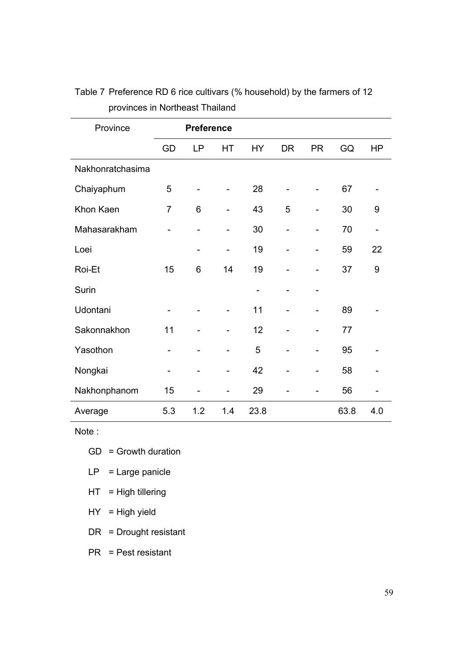| Province         | <b>Preference</b> |           |     |           |                          |                              |      |                          |
|------------------|-------------------|-----------|-----|-----------|--------------------------|------------------------------|------|--------------------------|
|                  | GD                | <b>LP</b> | HT  | <b>HY</b> | <b>DR</b>                | <b>PR</b>                    | GQ   | <b>HP</b>                |
| Nakhonratchasima |                   |           |     |           |                          |                              |      |                          |
| Chaiyaphum       | 5                 |           |     | 28        |                          | $\overline{\phantom{a}}$     | 67   |                          |
| Khon Kaen        | $\overline{7}$    | 6         |     | 43        | 5                        | $\overline{\phantom{a}}$     | 30   | 9                        |
| Mahasarakham     |                   |           |     | 30        | $\overline{\phantom{0}}$ | $\overline{\phantom{0}}$     | 70   | $\overline{\phantom{a}}$ |
| Loei             |                   |           |     | 19        |                          |                              | 59   | 22                       |
| Roi-Et           | 15                | 6         | 14  | 19        |                          |                              | 37   | 9                        |
| Surin            |                   |           |     |           |                          | $\qquad \qquad \blacksquare$ |      |                          |
| Udontani         |                   |           |     | 11        |                          |                              | 89   |                          |
| Sakonnakhon      | 11                |           |     | 12        |                          |                              | 77   |                          |
| Yasothon         |                   |           |     | 5         |                          | $\overline{\phantom{0}}$     | 95   |                          |
| Nongkai          |                   |           |     | 42        |                          |                              | 58   |                          |
| Nakhonphanom     | 15                |           |     | 29        |                          |                              | 56   |                          |
| Average          | 5.3               | 1.2       | 1.4 | 23.8      |                          |                              | 63.8 | 4.0                      |

# Table 7 Preference RD 6 rice cultivars (% household) by the farmers of 12 provinces in Northeast Thailand

Note :

- GD = Growth duration
- $LP = Large$  panicle
- $HT = High$  tillering
- $HY = High yield$
- DR = Drought resistant

PR = Pest resistant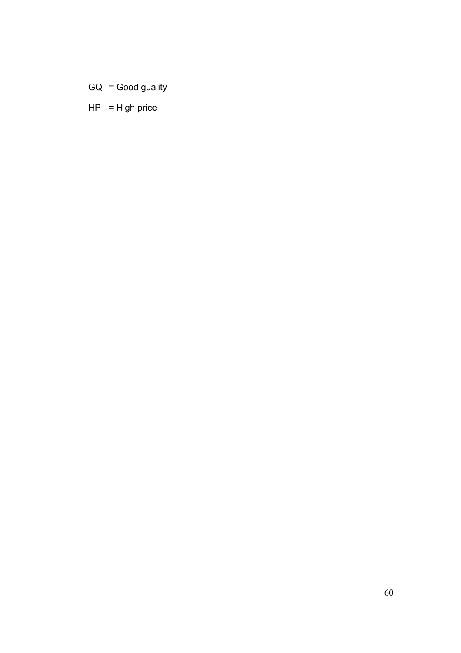- GQ = Good guality
- $HP = High price$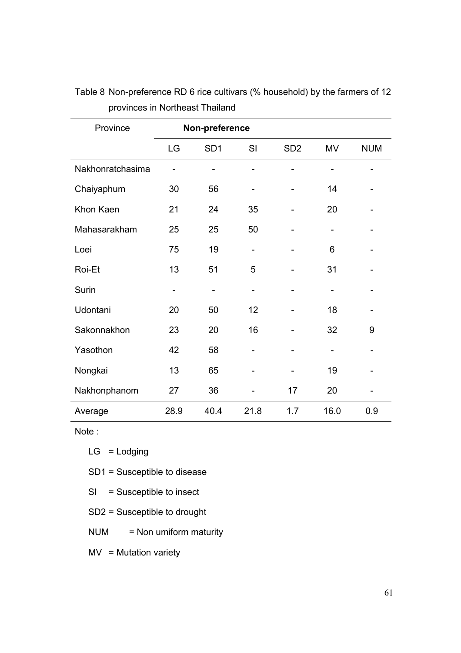| Province         | Non-preference |                 |                          |                 |      |            |  |
|------------------|----------------|-----------------|--------------------------|-----------------|------|------------|--|
|                  | LG             | SD <sub>1</sub> | SI                       | SD <sub>2</sub> | MV   | <b>NUM</b> |  |
| Nakhonratchasima |                |                 |                          |                 |      |            |  |
| Chaiyaphum       | 30             | 56              |                          |                 | 14   |            |  |
| Khon Kaen        | 21             | 24              | 35                       |                 | 20   |            |  |
| Mahasarakham     | 25             | 25              | 50                       |                 |      |            |  |
| Loei             | 75             | 19              | $\overline{\phantom{0}}$ |                 | 6    |            |  |
| Roi-Et           | 13             | 51              | 5                        |                 | 31   |            |  |
| Surin            |                |                 |                          |                 |      |            |  |
| Udontani         | 20             | 50              | 12                       |                 | 18   |            |  |
| Sakonnakhon      | 23             | 20              | 16                       |                 | 32   | 9          |  |
| Yasothon         | 42             | 58              |                          |                 |      |            |  |
| Nongkai          | 13             | 65              |                          |                 | 19   |            |  |
| Nakhonphanom     | 27             | 36              |                          | 17              | 20   |            |  |
| Average          | 28.9           | 40.4            | 21.8                     | 1.7             | 16.0 | 0.9        |  |

Table 8 Non-preference RD 6 rice cultivars (% household) by the farmers of 12 provinces in Northeast Thailand

Note :

 $LG =$  Lodging

SD1 = Susceptible to disease

- SI = Susceptible to insect
- SD2 = Susceptible to drought
- NUM = Non umiform maturity

 $MV = Mutation variety$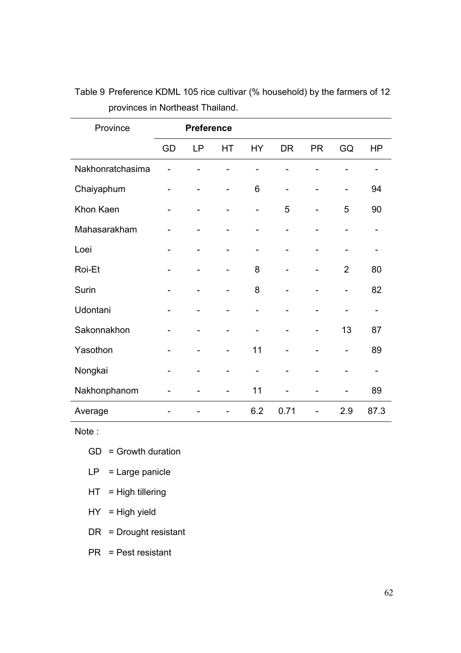| Province         |    | <b>Preference</b> |    |           |           |           |                |           |
|------------------|----|-------------------|----|-----------|-----------|-----------|----------------|-----------|
|                  | GD | <b>LP</b>         | HT | <b>HY</b> | <b>DR</b> | <b>PR</b> | GQ             | <b>HP</b> |
| Nakhonratchasima |    |                   |    |           |           |           |                |           |
| Chaiyaphum       |    |                   |    | 6         |           |           |                | 94        |
| Khon Kaen        |    |                   |    |           | 5         |           | 5              | 90        |
| Mahasarakham     |    |                   |    |           |           |           |                |           |
| Loei             |    |                   |    |           |           |           |                |           |
| Roi-Et           |    |                   |    | 8         |           |           | $\overline{2}$ | 80        |
| Surin            |    |                   |    | 8         |           |           |                | 82        |
| Udontani         |    |                   |    |           |           |           |                |           |
| Sakonnakhon      |    |                   |    |           |           |           | 13             | 87        |
| Yasothon         |    |                   |    | 11        |           |           |                | 89        |
| Nongkai          |    |                   |    |           |           |           |                |           |
| Nakhonphanom     |    |                   |    | 11        |           |           |                | 89        |
| Average          |    |                   |    | 6.2       | 0.71      |           | 2.9            | 87.3      |

Table 9 Preference KDML 105 rice cultivar (% household) by the farmers of 12 provinces in Northeast Thailand.

Note :

- GD = Growth duration
- $LP = Large$  panicle
- $HT = High$  tillering
- $HY = High yield$
- DR = Drought resistant

PR = Pest resistant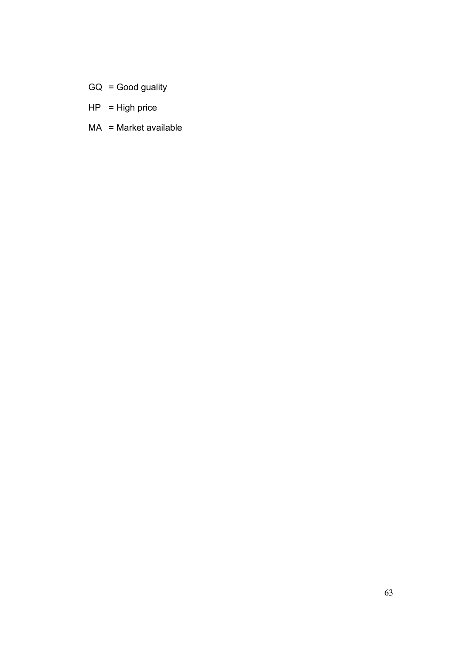- GQ = Good guality
- $HP = High price$
- MA = Market available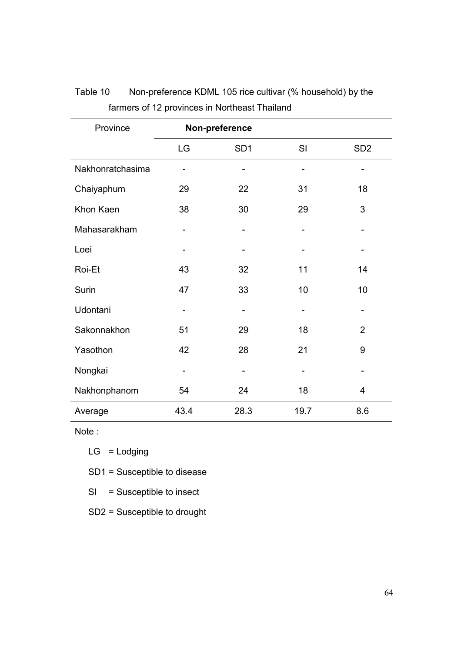| Province         | Non-preference |                 |      |                 |  |
|------------------|----------------|-----------------|------|-----------------|--|
|                  | LG             | SD <sub>1</sub> | SI   | SD <sub>2</sub> |  |
| Nakhonratchasima | -              |                 |      |                 |  |
| Chaiyaphum       | 29             | 22              | 31   | 18              |  |
| Khon Kaen        | 38             | 30              | 29   | 3               |  |
| Mahasarakham     |                |                 |      |                 |  |
| Loei             |                |                 |      |                 |  |
| Roi-Et           | 43             | 32              | 11   | 14              |  |
| Surin            | 47             | 33              | 10   | 10              |  |
| Udontani         |                |                 |      |                 |  |
| Sakonnakhon      | 51             | 29              | 18   | $\overline{2}$  |  |
| Yasothon         | 42             | 28              | 21   | 9               |  |
| Nongkai          | -              |                 |      |                 |  |
| Nakhonphanom     | 54             | 24              | 18   | 4               |  |
| Average          | 43.4           | 28.3            | 19.7 | 8.6             |  |

# Table 10 Non-preference KDML 105 rice cultivar (% household) by the farmers of 12 provinces in Northeast Thailand

Note :

 $LG =$  Lodging

SD1 = Susceptible to disease

- SI = Susceptible to insect
- SD2 = Susceptible to drought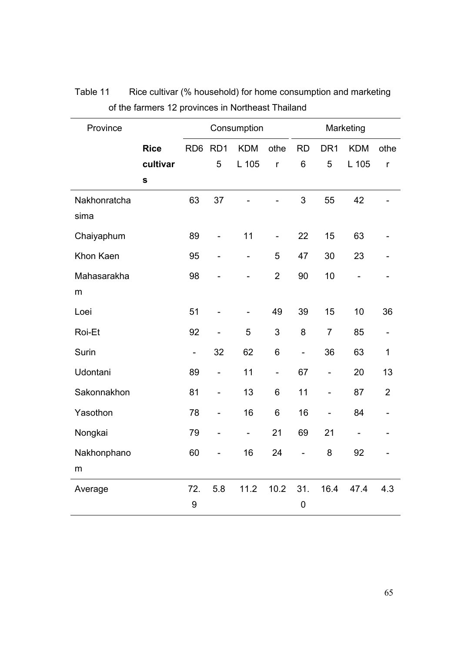| Province     |             |                          |                              | Consumption              |                          |                              |                   | Marketing                    |                |
|--------------|-------------|--------------------------|------------------------------|--------------------------|--------------------------|------------------------------|-------------------|------------------------------|----------------|
|              | <b>Rice</b> | RD6 RD1                  |                              | <b>KDM</b>               | othe                     | <b>RD</b>                    | DR <sub>1</sub>   | <b>KDM</b>                   | othe           |
|              | cultivar    |                          | 5                            | L 105                    | r                        | 6                            | 5                 | L 105                        | $\mathsf{r}$   |
|              | $\mathbf s$ |                          |                              |                          |                          |                              |                   |                              |                |
| Nakhonratcha |             | 63                       | 37                           |                          |                          | 3                            | 55                | 42                           |                |
| sima         |             |                          |                              |                          |                          |                              |                   |                              |                |
| Chaiyaphum   |             | 89                       | $\overline{\phantom{0}}$     | 11                       | $\qquad \qquad -$        | 22                           | 15                | 63                           |                |
| Khon Kaen    |             | 95                       | $\overline{a}$               | $\overline{\phantom{a}}$ | 5                        | 47                           | 30                | 23                           |                |
| Mahasarakha  |             | 98                       |                              |                          | $\overline{2}$           | 90                           | 10                |                              |                |
| m            |             |                          |                              |                          |                          |                              |                   |                              |                |
| Loei         |             | 51                       | $\overline{\phantom{0}}$     |                          | 49                       | 39                           | 15                | 10                           | 36             |
| Roi-Et       |             | 92                       | $\overline{\phantom{a}}$     | 5                        | $\sqrt{3}$               | 8                            | $\overline{7}$    | 85                           |                |
| Surin        |             | $\overline{\phantom{a}}$ | 32                           | 62                       | 6                        | $\qquad \qquad \blacksquare$ | 36                | 63                           | 1              |
| Udontani     |             | 89                       | $\overline{\phantom{0}}$     | 11                       | $\overline{\phantom{0}}$ | 67                           | $\qquad \qquad -$ | 20                           | 13             |
| Sakonnakhon  |             | 81                       | $\overline{a}$               | 13                       | 6                        | 11                           | $\qquad \qquad -$ | 87                           | $\overline{2}$ |
| Yasothon     |             | 78                       | $\qquad \qquad \blacksquare$ | 16                       | 6                        | 16                           | $\qquad \qquad -$ | 84                           |                |
| Nongkai      |             | 79                       | $\overline{\phantom{0}}$     | $\overline{\phantom{0}}$ | 21                       | 69                           | 21                | $\qquad \qquad \blacksquare$ |                |
| Nakhonphano  |             | 60                       | $\overline{a}$               | 16                       | 24                       | $\overline{a}$               | 8                 | 92                           |                |
| m            |             |                          |                              |                          |                          |                              |                   |                              |                |
| Average      |             | 72.                      | 5.8                          | 11.2                     | 10.2                     | 31.                          | 16.4              | 47.4                         | 4.3            |
|              |             | 9                        |                              |                          |                          | 0                            |                   |                              |                |

| Table 11 | Rice cultivar (% household) for home consumption and marketing |
|----------|----------------------------------------------------------------|
|          | of the farmers 12 provinces in Northeast Thailand              |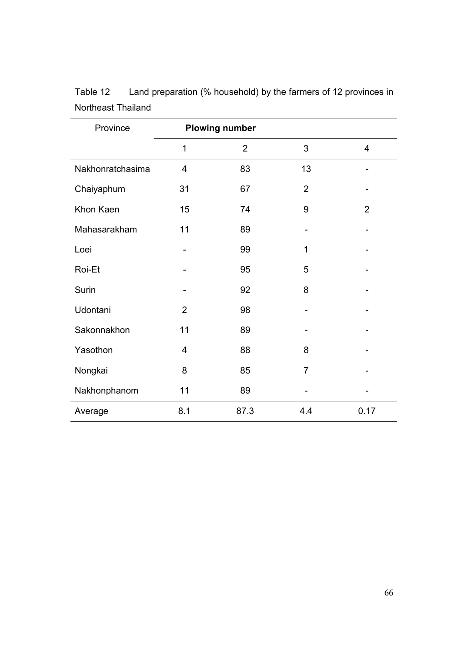| Province         |                | <b>Plowing number</b> |                |                |
|------------------|----------------|-----------------------|----------------|----------------|
|                  | $\mathbf{1}$   | $\overline{2}$        | 3              | 4              |
| Nakhonratchasima | $\overline{4}$ | 83                    | 13             |                |
| Chaiyaphum       | 31             | 67                    | $\overline{2}$ |                |
| Khon Kaen        | 15             | 74                    | 9              | $\overline{2}$ |
| Mahasarakham     | 11             | 89                    |                |                |
| Loei             |                | 99                    | 1              |                |
| Roi-Et           |                | 95                    | 5              |                |
| Surin            |                | 92                    | 8              |                |
| Udontani         | $\overline{2}$ | 98                    |                |                |
| Sakonnakhon      | 11             | 89                    |                |                |
| Yasothon         | $\overline{4}$ | 88                    | 8              |                |
| Nongkai          | 8              | 85                    | $\overline{7}$ |                |
| Nakhonphanom     | 11             | 89                    |                |                |
| Average          | 8.1            | 87.3                  | 4.4            | 0.17           |

| Table 12           | Land preparation (% household) by the farmers of 12 provinces in |
|--------------------|------------------------------------------------------------------|
| Northeast Thailand |                                                                  |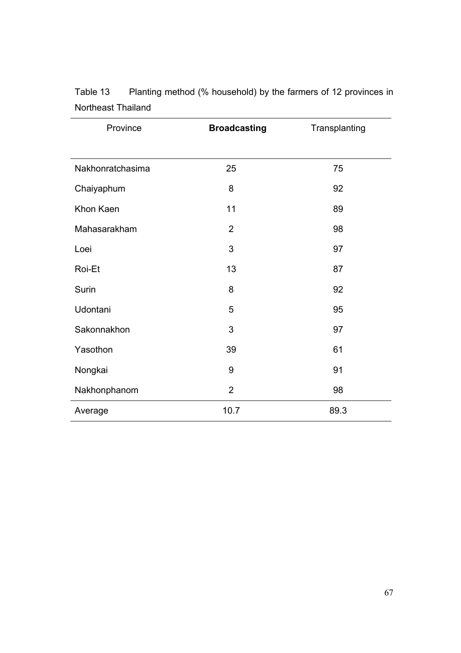| Province         | <b>Broadcasting</b> | Transplanting |
|------------------|---------------------|---------------|
|                  |                     |               |
| Nakhonratchasima | 25                  | 75            |
| Chaiyaphum       | 8                   | 92            |
| Khon Kaen        | 11                  | 89            |
| Mahasarakham     | $\overline{2}$      | 98            |
| Loei             | 3                   | 97            |
| Roi-Et           | 13                  | 87            |
| Surin            | 8                   | 92            |
| Udontani         | 5                   | 95            |
| Sakonnakhon      | 3                   | 97            |
| Yasothon         | 39                  | 61            |
| Nongkai          | 9                   | 91            |
| Nakhonphanom     | $\overline{2}$      | 98            |
| Average          | 10.7                | 89.3          |

Table 13 Planting method (% household) by the farmers of 12 provinces in Northeast Thailand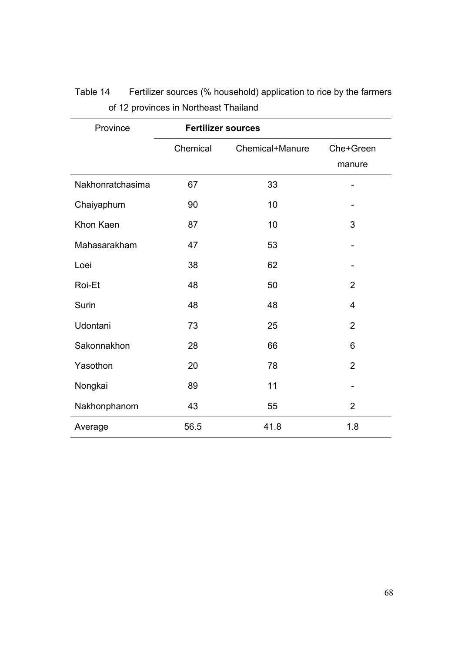| Province         | <b>Fertilizer sources</b> |                 |                     |  |  |  |
|------------------|---------------------------|-----------------|---------------------|--|--|--|
|                  | Chemical                  | Chemical+Manure | Che+Green<br>manure |  |  |  |
| Nakhonratchasima | 67                        | 33              |                     |  |  |  |
| Chaiyaphum       | 90                        | 10              |                     |  |  |  |
| Khon Kaen        | 87                        | 10              | 3                   |  |  |  |
| Mahasarakham     | 47                        | 53              |                     |  |  |  |
| Loei             | 38                        | 62              |                     |  |  |  |
| Roi-Et           | 48                        | 50              | $\overline{2}$      |  |  |  |
| Surin            | 48                        | 48              | 4                   |  |  |  |
| Udontani         | 73                        | 25              | $\overline{2}$      |  |  |  |
| Sakonnakhon      | 28                        | 66              | 6                   |  |  |  |
| Yasothon         | 20                        | 78              | $\overline{2}$      |  |  |  |
| Nongkai          | 89                        | 11              |                     |  |  |  |
| Nakhonphanom     | 43                        | 55              | $\overline{2}$      |  |  |  |
| Average          | 56.5                      | 41.8            | 1.8                 |  |  |  |

Table 14 Fertilizer sources (% household) application to rice by the farmers of 12 provinces in Northeast Thailand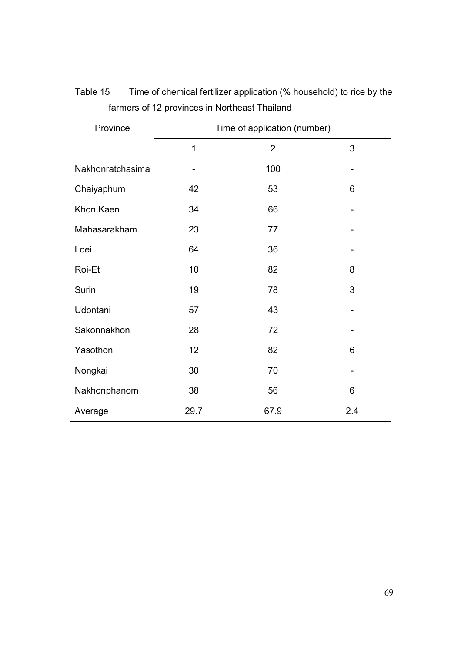| Province         | Time of application (number) |                |                              |
|------------------|------------------------------|----------------|------------------------------|
|                  | $\mathbf{1}$                 | $\overline{2}$ | 3                            |
| Nakhonratchasima |                              | 100            | $\qquad \qquad \blacksquare$ |
| Chaiyaphum       | 42                           | 53             | 6                            |
| Khon Kaen        | 34                           | 66             |                              |
| Mahasarakham     | 23                           | 77             |                              |
| Loei             | 64                           | 36             |                              |
| Roi-Et           | 10                           | 82             | 8                            |
| Surin            | 19                           | 78             | 3                            |
| Udontani         | 57                           | 43             |                              |
| Sakonnakhon      | 28                           | 72             |                              |
| Yasothon         | 12                           | 82             | 6                            |
| Nongkai          | 30                           | 70             |                              |
| Nakhonphanom     | 38                           | 56             | 6                            |
| Average          | 29.7                         | 67.9           | 2.4                          |

Table 15 Time of chemical fertilizer application (% household) to rice by the farmers of 12 provinces in Northeast Thailand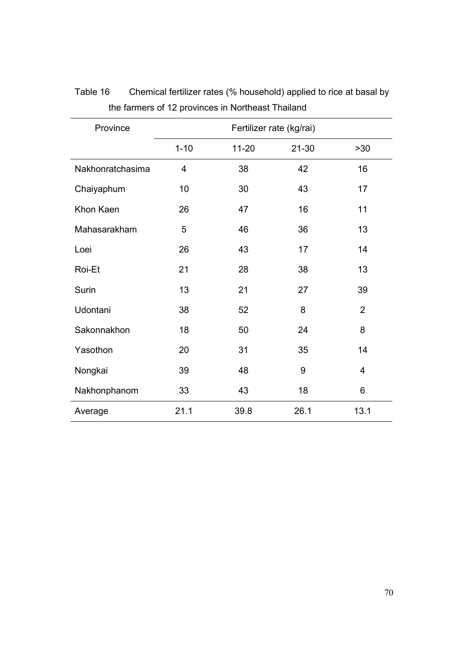| Province         | Fertilizer rate (kg/rai) |           |           |                |  |
|------------------|--------------------------|-----------|-----------|----------------|--|
|                  | $1 - 10$                 | $11 - 20$ | $21 - 30$ | >30            |  |
| Nakhonratchasima | 4                        | 38        | 42        | 16             |  |
| Chaiyaphum       | 10                       | 30        | 43        | 17             |  |
| Khon Kaen        | 26                       | 47        | 16        | 11             |  |
| Mahasarakham     | 5                        | 46        | 36        | 13             |  |
| Loei             | 26                       | 43        | 17        | 14             |  |
| Roi-Et           | 21                       | 28        | 38        | 13             |  |
| Surin            | 13                       | 21        | 27        | 39             |  |
| Udontani         | 38                       | 52        | 8         | $\overline{2}$ |  |
| Sakonnakhon      | 18                       | 50        | 24        | 8              |  |
| Yasothon         | 20                       | 31        | 35        | 14             |  |
| Nongkai          | 39                       | 48        | 9         | 4              |  |
| Nakhonphanom     | 33                       | 43        | 18        | 6              |  |
| Average          | 21.1                     | 39.8      | 26.1      | 13.1           |  |

Table 16 Chemical fertilizer rates (% household) applied to rice at basal by the farmers of 12 provinces in Northeast Thailand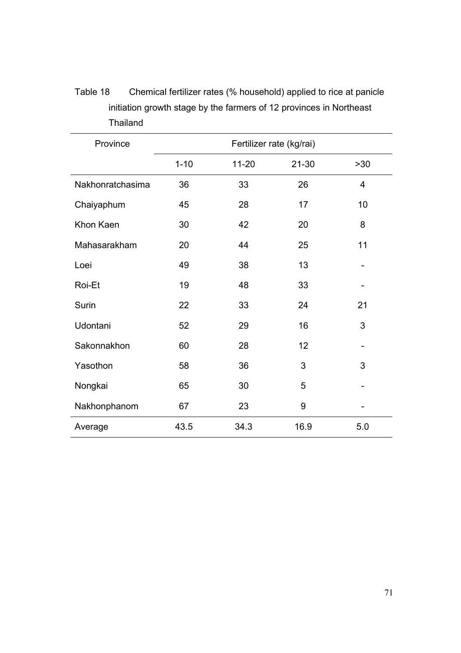| Province         | Fertilizer rate (kg/rai) |           |           |                |
|------------------|--------------------------|-----------|-----------|----------------|
|                  | $1 - 10$                 | $11 - 20$ | $21 - 30$ | $>30$          |
| Nakhonratchasima | 36                       | 33        | 26        | $\overline{4}$ |
| Chaiyaphum       | 45                       | 28        | 17        | 10             |
| Khon Kaen        | 30                       | 42        | 20        | 8              |
| Mahasarakham     | 20                       | 44        | 25        | 11             |
| Loei             | 49                       | 38        | 13        |                |
| Roi-Et           | 19                       | 48        | 33        |                |
| Surin            | 22                       | 33        | 24        | 21             |
| Udontani         | 52                       | 29        | 16        | 3              |
| Sakonnakhon      | 60                       | 28        | 12        |                |
| Yasothon         | 58                       | 36        | 3         | 3              |
| Nongkai          | 65                       | 30        | 5         |                |
| Nakhonphanom     | 67                       | 23        | 9         |                |
| Average          | 43.5                     | 34.3      | 16.9      | 5.0            |

Table 18 Chemical fertilizer rates (% household) applied to rice at panicle initiation growth stage by the farmers of 12 provinces in Northeast Thailand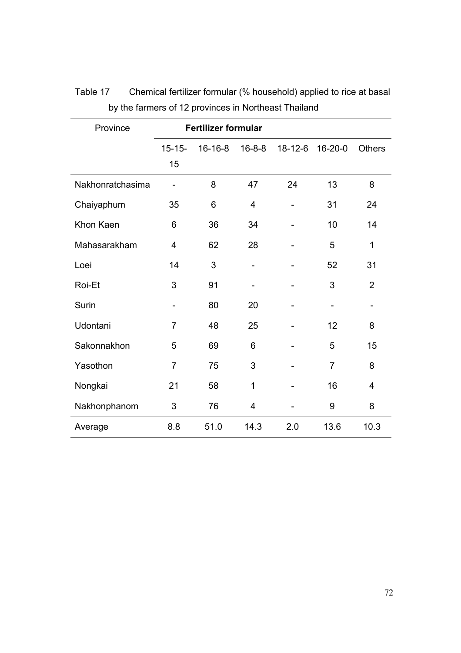| Province         | <b>Fertilizer formular</b> |         |                |               |                              |                |
|------------------|----------------------------|---------|----------------|---------------|------------------------------|----------------|
|                  | $15 - 15 -$<br>15          | 16-16-8 | $16 - 8 - 8$   | $18 - 12 - 6$ | $16 - 20 - 0$                | <b>Others</b>  |
| Nakhonratchasima |                            | 8       | 47             | 24            | 13                           | 8              |
| Chaiyaphum       | 35                         | 6       | $\overline{4}$ |               | 31                           | 24             |
| Khon Kaen        | 6                          | 36      | 34             |               | 10                           | 14             |
| Mahasarakham     | $\overline{4}$             | 62      | 28             |               | 5                            | 1              |
| Loei             | 14                         | 3       |                |               | 52                           | 31             |
| Roi-Et           | 3                          | 91      |                |               | 3                            | $\overline{2}$ |
| Surin            | $\overline{\phantom{a}}$   | 80      | 20             |               | $\qquad \qquad \blacksquare$ |                |
| Udontani         | $\overline{7}$             | 48      | 25             |               | 12                           | 8              |
| Sakonnakhon      | 5                          | 69      | 6              |               | 5                            | 15             |
| Yasothon         | $\overline{7}$             | 75      | 3              |               | $\overline{7}$               | 8              |
| Nongkai          | 21                         | 58      | 1              |               | 16                           | 4              |
| Nakhonphanom     | 3                          | 76      | 4              |               | 9                            | 8              |
| Average          | 8.8                        | 51.0    | 14.3           | 2.0           | 13.6                         | 10.3           |

Table 17 Chemical fertilizer formular (% household) applied to rice at basal by the farmers of 12 provinces in Northeast Thailand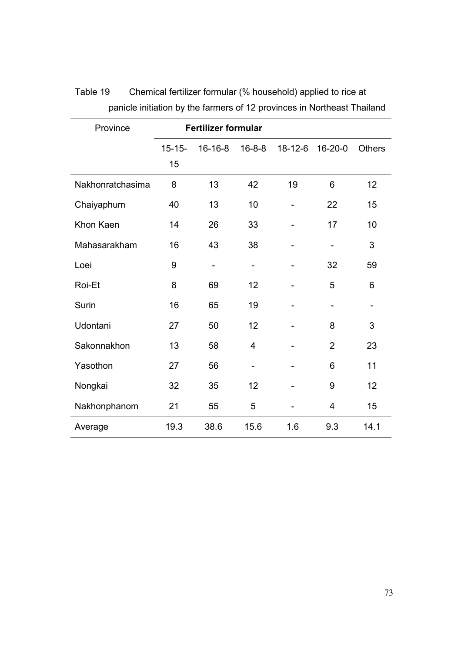| Province         |             | <b>Fertilizer formular</b> |                              |               |                          |               |
|------------------|-------------|----------------------------|------------------------------|---------------|--------------------------|---------------|
|                  | $15 - 15 -$ | $16 - 16 - 8$              | $16 - 8 - 8$                 | $18 - 12 - 6$ | $16 - 20 - 0$            | <b>Others</b> |
|                  | 15          |                            |                              |               |                          |               |
| Nakhonratchasima | 8           | 13                         | 42                           | 19            | 6                        | 12            |
| Chaiyaphum       | 40          | 13                         | 10                           |               | 22                       | 15            |
| Khon Kaen        | 14          | 26                         | 33                           |               | 17                       | 10            |
| Mahasarakham     | 16          | 43                         | 38                           |               |                          | 3             |
| Loei             | 9           |                            | $\overline{\phantom{0}}$     |               | 32                       | 59            |
| Roi-Et           | 8           | 69                         | 12                           |               | 5                        | 6             |
| Surin            | 16          | 65                         | 19                           |               | $\overline{\phantom{a}}$ |               |
| Udontani         | 27          | 50                         | 12                           |               | 8                        | 3             |
| Sakonnakhon      | 13          | 58                         | 4                            |               | $\overline{2}$           | 23            |
| Yasothon         | 27          | 56                         | $\qquad \qquad \blacksquare$ |               | 6                        | 11            |
| Nongkai          | 32          | 35                         | 12                           |               | 9                        | 12            |
| Nakhonphanom     | 21          | 55                         | 5                            |               | 4                        | 15            |
| Average          | 19.3        | 38.6                       | 15.6                         | 1.6           | 9.3                      | 14.1          |

Table 19 Chemical fertilizer formular (% household) applied to rice at panicle initiation by the farmers of 12 provinces in Northeast Thailand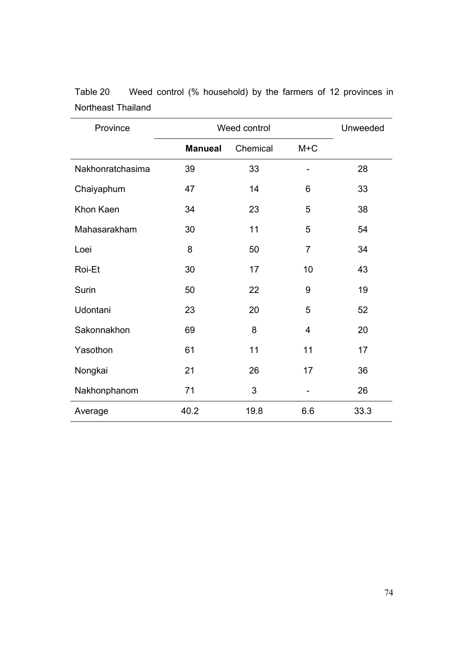| Province         | Weed control   |          | Unweeded       |      |
|------------------|----------------|----------|----------------|------|
|                  | <b>Manueal</b> | Chemical | $M+C$          |      |
| Nakhonratchasima | 39             | 33       |                | 28   |
| Chaiyaphum       | 47             | 14       | 6              | 33   |
| Khon Kaen        | 34             | 23       | 5              | 38   |
| Mahasarakham     | 30             | 11       | 5              | 54   |
| Loei             | 8              | 50       | $\overline{7}$ | 34   |
| Roi-Et           | 30             | 17       | 10             | 43   |
| Surin            | 50             | 22       | 9              | 19   |
| Udontani         | 23             | 20       | 5              | 52   |
| Sakonnakhon      | 69             | 8        | $\overline{4}$ | 20   |
| Yasothon         | 61             | 11       | 11             | 17   |
| Nongkai          | 21             | 26       | 17             | 36   |
| Nakhonphanom     | 71             | 3        |                | 26   |
| Average          | 40.2           | 19.8     | 6.6            | 33.3 |

Table 20 Weed control (% household) by the farmers of 12 provinces in Northeast Thailand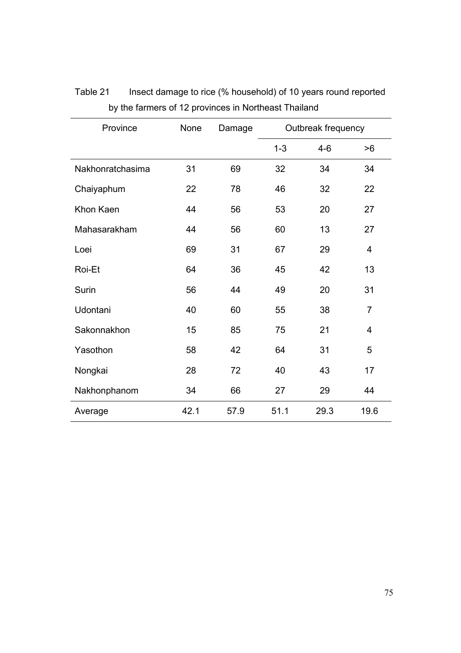| Province         | None | Damage |         | Outbreak frequency |                |
|------------------|------|--------|---------|--------------------|----------------|
|                  |      |        | $1 - 3$ | $4 - 6$            | >6             |
| Nakhonratchasima | 31   | 69     | 32      | 34                 | 34             |
| Chaiyaphum       | 22   | 78     | 46      | 32                 | 22             |
| Khon Kaen        | 44   | 56     | 53      | 20                 | 27             |
| Mahasarakham     | 44   | 56     | 60      | 13                 | 27             |
| Loei             | 69   | 31     | 67      | 29                 | 4              |
| Roi-Et           | 64   | 36     | 45      | 42                 | 13             |
| Surin            | 56   | 44     | 49      | 20                 | 31             |
| Udontani         | 40   | 60     | 55      | 38                 | $\overline{7}$ |
| Sakonnakhon      | 15   | 85     | 75      | 21                 | 4              |
| Yasothon         | 58   | 42     | 64      | 31                 | 5              |
| Nongkai          | 28   | 72     | 40      | 43                 | 17             |
| Nakhonphanom     | 34   | 66     | 27      | 29                 | 44             |
| Average          | 42.1 | 57.9   | 51.1    | 29.3               | 19.6           |

Table 21 Insect damage to rice (% household) of 10 years round reported by the farmers of 12 provinces in Northeast Thailand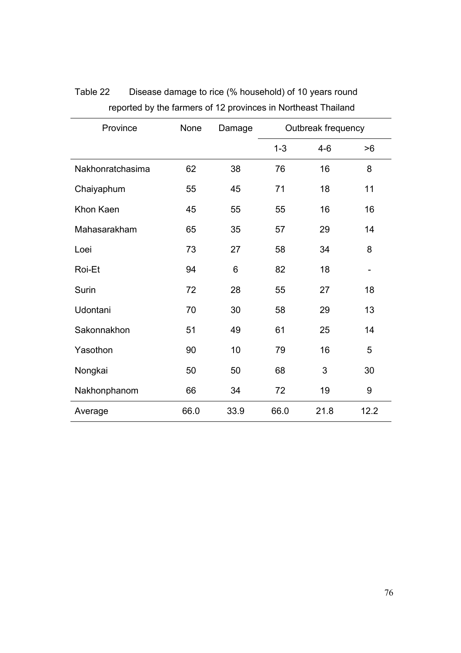| Province         | None | Damage | Outbreak frequency |       |                          |
|------------------|------|--------|--------------------|-------|--------------------------|
|                  |      |        | $1 - 3$            | $4-6$ | >6                       |
| Nakhonratchasima | 62   | 38     | 76                 | 16    | 8                        |
| Chaiyaphum       | 55   | 45     | 71                 | 18    | 11                       |
| Khon Kaen        | 45   | 55     | 55                 | 16    | 16                       |
| Mahasarakham     | 65   | 35     | 57                 | 29    | 14                       |
| Loei             | 73   | 27     | 58                 | 34    | 8                        |
| Roi-Et           | 94   | 6      | 82                 | 18    | $\overline{\phantom{a}}$ |
| Surin            | 72   | 28     | 55                 | 27    | 18                       |
| Udontani         | 70   | 30     | 58                 | 29    | 13                       |
| Sakonnakhon      | 51   | 49     | 61                 | 25    | 14                       |
| Yasothon         | 90   | 10     | 79                 | 16    | 5                        |
| Nongkai          | 50   | 50     | 68                 | 3     | 30                       |
| Nakhonphanom     | 66   | 34     | 72                 | 19    | 9                        |
| Average          | 66.0 | 33.9   | 66.0               | 21.8  | 12.2                     |

# Table 22 Disease damage to rice (% household) of 10 years round reported by the farmers of 12 provinces in Northeast Thailand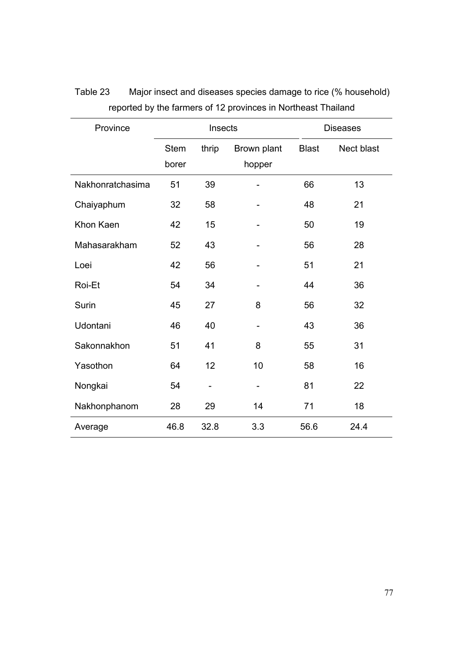| Province         |                      | Insects                  |                       |              | <b>Diseases</b> |
|------------------|----------------------|--------------------------|-----------------------|--------------|-----------------|
|                  | <b>Stem</b><br>borer | thrip                    | Brown plant<br>hopper | <b>Blast</b> | Nect blast      |
| Nakhonratchasima | 51                   | 39                       |                       | 66           | 13              |
| Chaiyaphum       | 32                   | 58                       |                       | 48           | 21              |
| Khon Kaen        | 42                   | 15                       |                       | 50           | 19              |
| Mahasarakham     | 52                   | 43                       |                       | 56           | 28              |
| Loei             | 42                   | 56                       |                       | 51           | 21              |
| Roi-Et           | 54                   | 34                       |                       | 44           | 36              |
| Surin            | 45                   | 27                       | 8                     | 56           | 32              |
| Udontani         | 46                   | 40                       |                       | 43           | 36              |
| Sakonnakhon      | 51                   | 41                       | 8                     | 55           | 31              |
| Yasothon         | 64                   | 12                       | 10                    | 58           | 16              |
| Nongkai          | 54                   | $\overline{\phantom{0}}$ |                       | 81           | 22              |
| Nakhonphanom     | 28                   | 29                       | 14                    | 71           | 18              |
| Average          | 46.8                 | 32.8                     | 3.3                   | 56.6         | 24.4            |

Table 23 Major insect and diseases species damage to rice (% household) reported by the farmers of 12 provinces in Northeast Thailand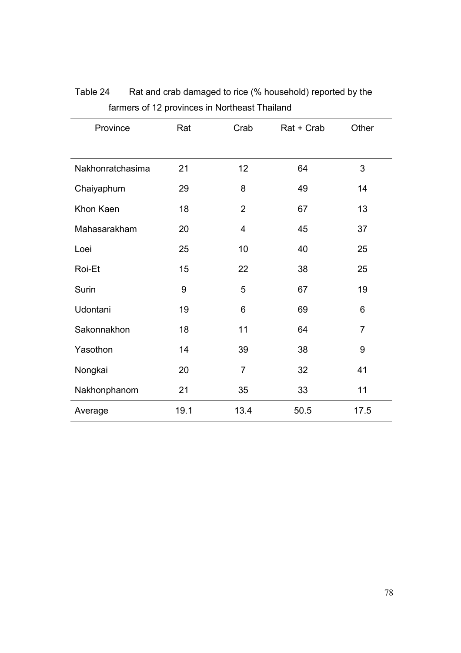| Province         | Rat  | Crab                    | Rat + Crab | Other          |
|------------------|------|-------------------------|------------|----------------|
|                  |      |                         |            |                |
| Nakhonratchasima | 21   | 12                      | 64         | 3              |
| Chaiyaphum       | 29   | 8                       | 49         | 14             |
| Khon Kaen        | 18   | $\overline{2}$          | 67         | 13             |
| Mahasarakham     | 20   | $\overline{\mathbf{4}}$ | 45         | 37             |
| Loei             | 25   | 10                      | 40         | 25             |
| Roi-Et           | 15   | 22                      | 38         | 25             |
| Surin            | 9    | 5                       | 67         | 19             |
| Udontani         | 19   | 6                       | 69         | 6              |
| Sakonnakhon      | 18   | 11                      | 64         | $\overline{7}$ |
| Yasothon         | 14   | 39                      | 38         | 9              |
| Nongkai          | 20   | 7                       | 32         | 41             |
| Nakhonphanom     | 21   | 35                      | 33         | 11             |
| Average          | 19.1 | 13.4                    | 50.5       | 17.5           |

Table 24 Rat and crab damaged to rice (% household) reported by the farmers of 12 provinces in Northeast Thailand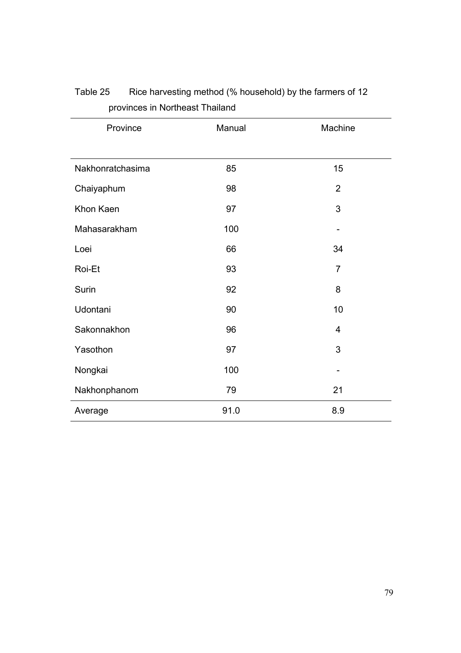| Province         | Manual | Machine        |
|------------------|--------|----------------|
|                  |        |                |
| Nakhonratchasima | 85     | 15             |
| Chaiyaphum       | 98     | $\overline{2}$ |
| Khon Kaen        | 97     | 3              |
| Mahasarakham     | 100    |                |
| Loei             | 66     | 34             |
| Roi-Et           | 93     | $\overline{7}$ |
| Surin            | 92     | 8              |
| Udontani         | 90     | 10             |
| Sakonnakhon      | 96     | 4              |
| Yasothon         | 97     | 3              |
| Nongkai          | 100    |                |
| Nakhonphanom     | 79     | 21             |
| Average          | 91.0   | 8.9            |

#### Table 25 Rice harvesting method (% household) by the farmers of 12 provinces in Northeast Thailand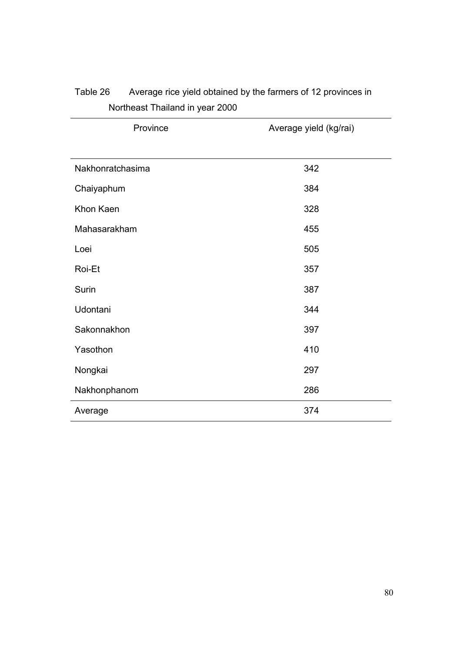| Province         | Average yield (kg/rai) |
|------------------|------------------------|
|                  |                        |
| Nakhonratchasima | 342                    |
| Chaiyaphum       | 384                    |
| Khon Kaen        | 328                    |
| Mahasarakham     | 455                    |
| Loei             | 505                    |
| Roi-Et           | 357                    |
| Surin            | 387                    |
| Udontani         | 344                    |
| Sakonnakhon      | 397                    |
| Yasothon         | 410                    |
| Nongkai          | 297                    |
| Nakhonphanom     | 286                    |
| Average          | 374                    |

# Table 26 Average rice yield obtained by the farmers of 12 provinces in Northeast Thailand in year 2000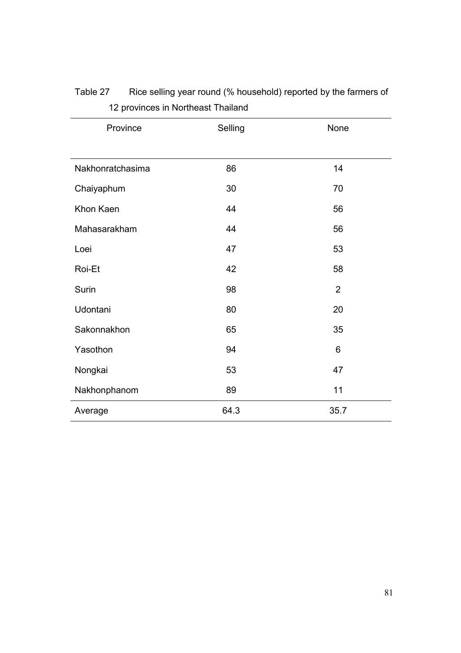| Province         | Selling | None           |
|------------------|---------|----------------|
|                  |         |                |
| Nakhonratchasima | 86      | 14             |
| Chaiyaphum       | 30      | 70             |
| Khon Kaen        | 44      | 56             |
| Mahasarakham     | 44      | 56             |
| Loei             | 47      | 53             |
| Roi-Et           | 42      | 58             |
| Surin            | 98      | $\overline{2}$ |
| Udontani         | 80      | 20             |
| Sakonnakhon      | 65      | 35             |
| Yasothon         | 94      | 6              |
| Nongkai          | 53      | 47             |
| Nakhonphanom     | 89      | 11             |
| Average          | 64.3    | 35.7           |

Table 27 Rice selling year round (% household) reported by the farmers of 12 provinces in Northeast Thailand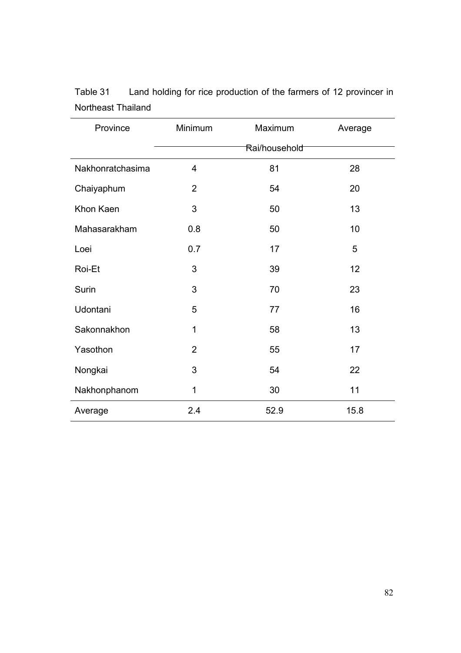| Province         | Minimum<br>Maximum |      | Average |  |  |
|------------------|--------------------|------|---------|--|--|
|                  | Rai/household      |      |         |  |  |
| Nakhonratchasima | 4                  | 81   | 28      |  |  |
| Chaiyaphum       | $\overline{2}$     | 54   | 20      |  |  |
| Khon Kaen        | 3                  | 50   | 13      |  |  |
| Mahasarakham     | 0.8                | 50   | 10      |  |  |
| Loei             | 0.7                | 17   | 5       |  |  |
| Roi-Et           | 3                  | 39   | 12      |  |  |
| Surin            | 3                  | 70   | 23      |  |  |
| Udontani         | 5                  | 77   | 16      |  |  |
| Sakonnakhon      | 1                  | 58   | 13      |  |  |
| Yasothon         | $\overline{2}$     | 55   | 17      |  |  |
| Nongkai          | 3                  | 54   | 22      |  |  |
| Nakhonphanom     | 1                  | 30   | 11      |  |  |
| Average          | 2.4                | 52.9 | 15.8    |  |  |

Table 31 Land holding for rice production of the farmers of 12 provincer in Northeast Thailand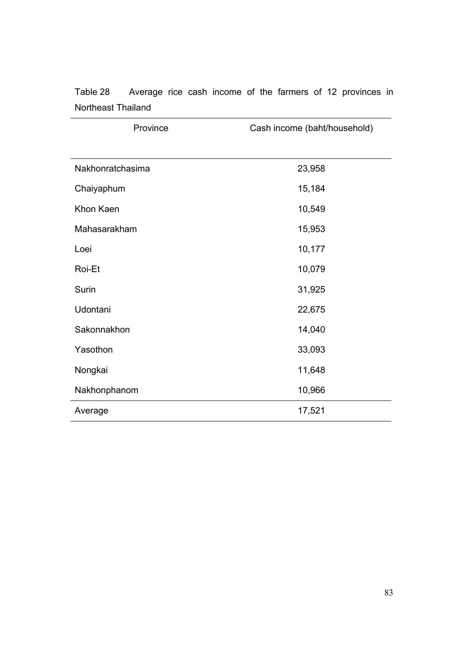| Northeast Thailand |                              |  |  |  |
|--------------------|------------------------------|--|--|--|
| Province           | Cash income (baht/household) |  |  |  |
|                    |                              |  |  |  |
| Nakhonratchasima   | 23,958                       |  |  |  |

Chaiyaphum 15,184

Khon Kaen 10,549

Table 28 Average rice cash income of the farmers of 12 provinces in

| Mahasarakham | 15,953 |
|--------------|--------|
| Loei         | 10,177 |
| Roi-Et       | 10,079 |
| Surin        | 31,925 |
| Udontani     | 22,675 |
| Sakonnakhon  | 14,040 |
| Yasothon     | 33,093 |
| Nongkai      | 11,648 |
| Nakhonphanom | 10,966 |
| Average      | 17,521 |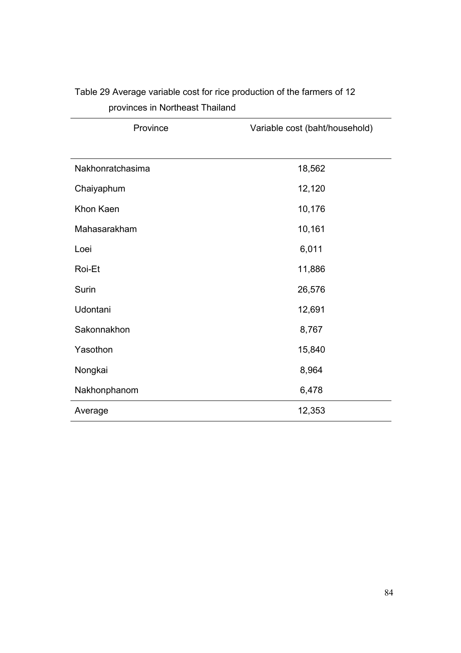| Province         | Variable cost (baht/household) |  |  |
|------------------|--------------------------------|--|--|
|                  |                                |  |  |
| Nakhonratchasima | 18,562                         |  |  |
| Chaiyaphum       | 12,120                         |  |  |
| Khon Kaen        | 10,176                         |  |  |
| Mahasarakham     | 10,161                         |  |  |
| Loei             | 6,011                          |  |  |
| Roi-Et           | 11,886                         |  |  |
| Surin            | 26,576                         |  |  |
| Udontani         | 12,691                         |  |  |
| Sakonnakhon      | 8,767                          |  |  |
| Yasothon         | 15,840                         |  |  |
| Nongkai          | 8,964                          |  |  |
| Nakhonphanom     | 6,478                          |  |  |
| Average          | 12,353                         |  |  |

### Table 29 Average variable cost for rice production of the farmers of 12 provinces in Northeast Thailand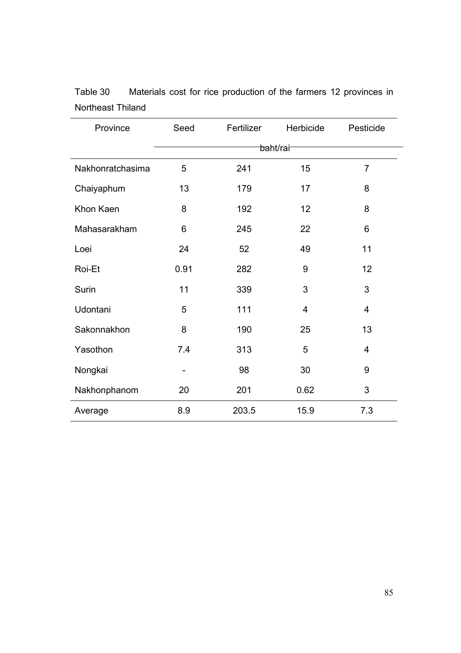| Province         | Seed                 | Fertilizer | Herbicide | Pesticide      |
|------------------|----------------------|------------|-----------|----------------|
|                  | <del>ba</del> ht/rai |            |           |                |
| Nakhonratchasima | 5                    | 241        | 15        | $\overline{7}$ |
| Chaiyaphum       | 13                   | 179        | 17        | 8              |
| Khon Kaen        | 8                    | 192        | 12        | 8              |
| Mahasarakham     | 6                    | 245        | 22        | 6              |
| Loei             | 24                   | 52         | 49        | 11             |
| Roi-Et           | 0.91                 | 282        | 9         | 12             |
| <b>Surin</b>     | 11                   | 339        | 3         | 3              |
| Udontani         | 5                    | 111        | 4         | $\overline{4}$ |
| Sakonnakhon      | 8                    | 190        | 25        | 13             |
| Yasothon         | 7.4                  | 313        | 5         | $\overline{4}$ |
| Nongkai          | $\qquad \qquad$      | 98         | 30        | 9              |
| Nakhonphanom     | 20                   | 201        | 0.62      | 3              |
| Average          | 8.9                  | 203.5      | 15.9      | 7.3            |

| Table 30          |  | Materials cost for rice production of the farmers 12 provinces in |  |  |  |
|-------------------|--|-------------------------------------------------------------------|--|--|--|
| Northeast Thiland |  |                                                                   |  |  |  |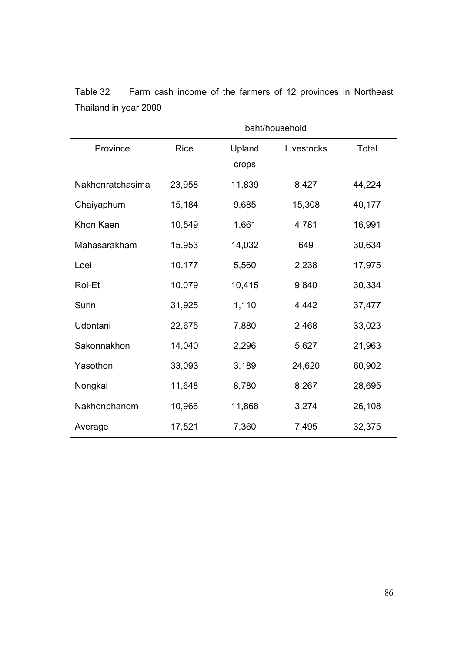|                  | baht/household |        |            |        |
|------------------|----------------|--------|------------|--------|
| Province         | <b>Rice</b>    | Upland | Livestocks | Total  |
|                  |                | crops  |            |        |
| Nakhonratchasima | 23,958         | 11,839 | 8,427      | 44,224 |
| Chaiyaphum       | 15,184         | 9,685  | 15,308     | 40,177 |
| Khon Kaen        | 10,549         | 1,661  | 4,781      | 16,991 |
| Mahasarakham     | 15,953         | 14,032 | 649        | 30,634 |
| Loei             | 10,177         | 5,560  | 2,238      | 17,975 |
| Roi-Et           | 10,079         | 10,415 | 9,840      | 30,334 |
| Surin            | 31,925         | 1,110  | 4,442      | 37,477 |
| Udontani         | 22,675         | 7,880  | 2,468      | 33,023 |
| Sakonnakhon      | 14,040         | 2,296  | 5,627      | 21,963 |
| Yasothon         | 33,093         | 3,189  | 24,620     | 60,902 |
| Nongkai          | 11,648         | 8,780  | 8,267      | 28,695 |
| Nakhonphanom     | 10,966         | 11,868 | 3,274      | 26,108 |
| Average          | 17,521         | 7,360  | 7,495      | 32,375 |

Table 32 Farm cash income of the farmers of 12 provinces in Northeast Thailand in year 2000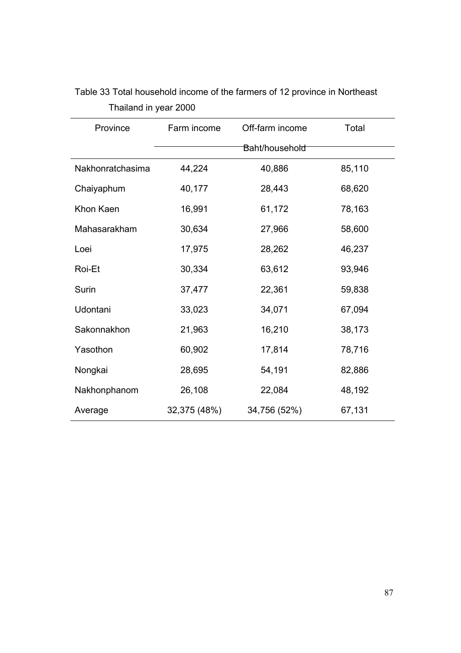| Province         | Farm income<br>Off-farm income |                | Total  |
|------------------|--------------------------------|----------------|--------|
|                  |                                | Baht/household |        |
| Nakhonratchasima | 44,224                         | 40,886         | 85,110 |
| Chaiyaphum       | 40,177                         | 28,443         | 68,620 |
| Khon Kaen        | 16,991                         | 61,172         | 78,163 |
| Mahasarakham     | 30,634                         | 27,966         | 58,600 |
| Loei             | 17,975                         | 28,262         | 46,237 |
| Roi-Et           | 30,334                         | 63,612         | 93,946 |
| Surin            | 37,477                         | 22,361         | 59,838 |
| Udontani         | 33,023                         | 34,071         | 67,094 |
| Sakonnakhon      | 21,963                         | 16,210         | 38,173 |
| Yasothon         | 60,902                         | 17,814         | 78,716 |
| Nongkai          | 28,695                         | 54,191         | 82,886 |
| Nakhonphanom     | 26,108                         | 22,084         | 48,192 |
| Average          | 32,375 (48%)                   | 34,756 (52%)   | 67,131 |

Table 33 Total household income of the farmers of 12 province in Northeast Thailand in year 2000